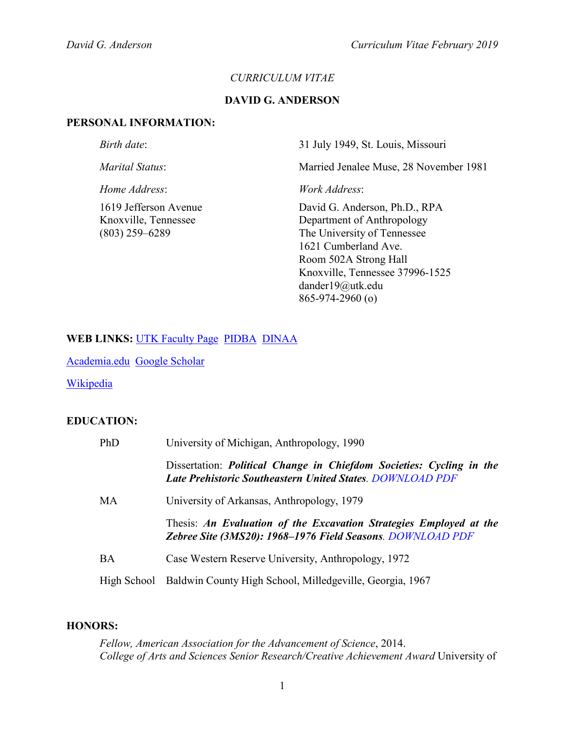### *CURRICULUM VITAE*

#### **DAVID G. ANDERSON**

#### **PERSONAL INFORMATION:**

*Birth date*: 31 July 1949, St. Louis, Missouri

*Marital Status*: Married Jenalee Muse, 28 November 1981

*Home Address*: *Work Address*:

1619 Jefferson Avenue David G. Anderson, Ph.D., RPA Knoxville, Tennessee Department of Anthropology (803) 259–6289 The University of Tennessee 1621 Cumberland Ave. Room 502A Strong Hall Knoxville, Tennessee 37996-1525 dander19@utk.edu 865-974-2960 (o)

## **WEB LINKS:** [UTK Faculty Page](http://anthropology.utk.edu/people/david-g-anderson/) [PIDBA](http://pidba.utk.edu/main.htm) [DINAA](http://ux.opencontext.org/archaeology-site-data/)

[Academia.edu](https://utk.academia.edu/DavidAnderson) [Google Scholar](http://scholar.google.com/citations?user=FRh1mW8AAAAJ&hl=en)

**[Wikipedia](https://en.wikipedia.org/wiki/David_G._Anderson)** 

## **EDUCATION:**

| PhD | University of Michigan, Anthropology, 1990                                                                                                      |
|-----|-------------------------------------------------------------------------------------------------------------------------------------------------|
|     | Dissertation: <i>Political Change in Chiefdom Societies: Cycling in the</i><br><b>Late Prehistoric Southeastern United States. DOWNLOAD PDF</b> |
| МA  | University of Arkansas, Anthropology, 1979                                                                                                      |
|     | Thesis: An Evaluation of the Excavation Strategies Employed at the<br>Zebree Site (3MS20): 1968–1976 Field Seasons. DOWNLOAD PDF                |
| ВA  | Case Western Reserve University, Anthropology, 1972                                                                                             |
|     | High School Baldwin County High School, Milledgeville, Georgia, 1967                                                                            |

#### **HONORS:**

*Fellow, American Association for the Advancement of Science*, 2014. *College of Arts and Sciences Senior Research/Creative Achievement Award* University of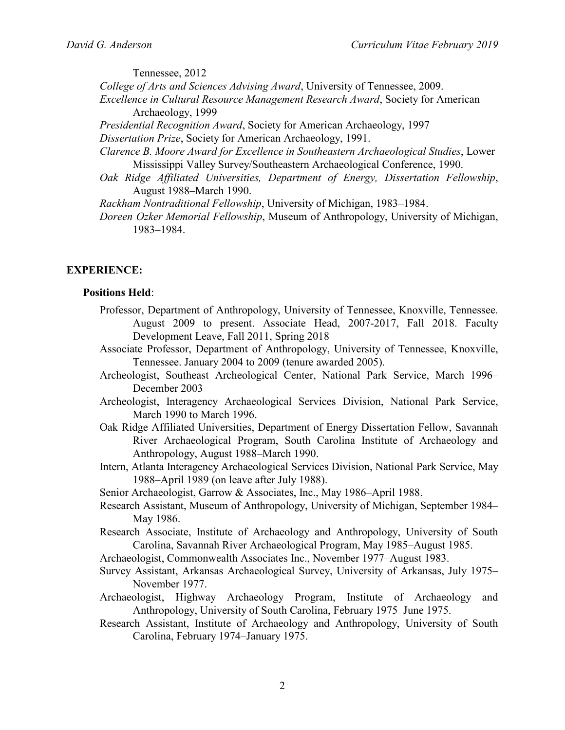Tennessee, 2012

*College of Arts and Sciences Advising Award*, University of Tennessee, 2009.

- *Excellence in Cultural Resource Management Research Award*, Society for American Archaeology, 1999
- *Presidential Recognition Award*, Society for American Archaeology, 1997
- *Dissertation Prize*, Society for American Archaeology, 1991.
- *Clarence B. Moore Award for Excellence in Southeastern Archaeological Studies*, Lower Mississippi Valley Survey/Southeastern Archaeological Conference, 1990.
- *Oak Ridge Affiliated Universities, Department of Energy, Dissertation Fellowship*, August 1988–March 1990.
- *Rackham Nontraditional Fellowship*, University of Michigan, 1983–1984.
- *Doreen Ozker Memorial Fellowship*, Museum of Anthropology, University of Michigan, 1983–1984.

#### **EXPERIENCE:**

#### **Positions Held**:

- Professor, Department of Anthropology, University of Tennessee, Knoxville, Tennessee. August 2009 to present. Associate Head, 2007-2017, Fall 2018. Faculty Development Leave, Fall 2011, Spring 2018
- Associate Professor, Department of Anthropology, University of Tennessee, Knoxville, Tennessee. January 2004 to 2009 (tenure awarded 2005).
- Archeologist, Southeast Archeological Center, National Park Service, March 1996– December 2003
- Archeologist, Interagency Archaeological Services Division, National Park Service, March 1990 to March 1996.
- Oak Ridge Affiliated Universities, Department of Energy Dissertation Fellow, Savannah River Archaeological Program, South Carolina Institute of Archaeology and Anthropology, August 1988–March 1990.
- Intern, Atlanta Interagency Archaeological Services Division, National Park Service, May 1988–April 1989 (on leave after July 1988).

Senior Archaeologist, Garrow & Associates, Inc., May 1986–April 1988.

- Research Assistant, Museum of Anthropology, University of Michigan, September 1984– May 1986.
- Research Associate, Institute of Archaeology and Anthropology, University of South Carolina, Savannah River Archaeological Program, May 1985–August 1985.
- Archaeologist, Commonwealth Associates Inc., November 1977–August 1983.
- Survey Assistant, Arkansas Archaeological Survey, University of Arkansas, July 1975– November 1977.
- Archaeologist, Highway Archaeology Program, Institute of Archaeology and Anthropology, University of South Carolina, February 1975–June 1975.
- Research Assistant, Institute of Archaeology and Anthropology, University of South Carolina, February 1974–January 1975.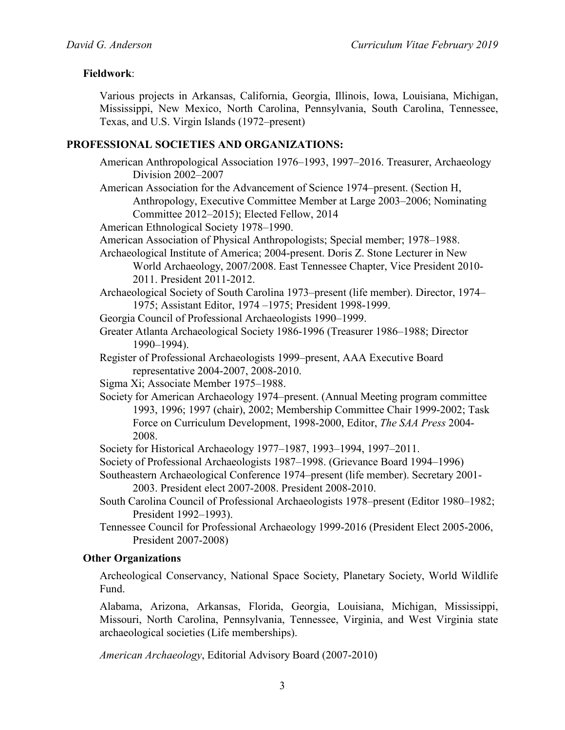# **Fieldwork**:

Various projects in Arkansas, California, Georgia, Illinois, Iowa, Louisiana, Michigan, Mississippi, New Mexico, North Carolina, Pennsylvania, South Carolina, Tennessee, Texas, and U.S. Virgin Islands (1972–present)

## **PROFESSIONAL SOCIETIES AND ORGANIZATIONS:**

- American Anthropological Association 1976–1993, 1997–2016. Treasurer, Archaeology Division 2002–2007
- American Association for the Advancement of Science 1974–present. (Section H, Anthropology, Executive Committee Member at Large 2003–2006; Nominating Committee 2012–2015); Elected Fellow, 2014
- American Ethnological Society 1978–1990.
- American Association of Physical Anthropologists; Special member; 1978–1988.
- Archaeological Institute of America; 2004-present. Doris Z. Stone Lecturer in New World Archaeology, 2007/2008. East Tennessee Chapter, Vice President 2010- 2011. President 2011-2012.
- Archaeological Society of South Carolina 1973–present (life member). Director, 1974– 1975; Assistant Editor, 1974 –1975; President 1998-1999.
- Georgia Council of Professional Archaeologists 1990–1999.
- Greater Atlanta Archaeological Society 1986-1996 (Treasurer 1986–1988; Director 1990–1994).
- Register of Professional Archaeologists 1999–present, AAA Executive Board representative 2004-2007, 2008-2010.
- Sigma Xi; Associate Member 1975–1988.
- Society for American Archaeology 1974–present. (Annual Meeting program committee 1993, 1996; 1997 (chair), 2002; Membership Committee Chair 1999-2002; Task Force on Curriculum Development, 1998-2000, Editor, *The SAA Press* 2004- 2008.
- Society for Historical Archaeology 1977–1987, 1993–1994, 1997–2011.
- Society of Professional Archaeologists 1987–1998. (Grievance Board 1994–1996)
- Southeastern Archaeological Conference 1974–present (life member). Secretary 2001- 2003. President elect 2007-2008. President 2008-2010.
- South Carolina Council of Professional Archaeologists 1978–present (Editor 1980–1982; President 1992–1993).
- Tennessee Council for Professional Archaeology 1999-2016 (President Elect 2005-2006, President 2007-2008)

## **Other Organizations**

Archeological Conservancy, National Space Society, Planetary Society, World Wildlife Fund.

Alabama, Arizona, Arkansas, Florida, Georgia, Louisiana, Michigan, Mississippi, Missouri, North Carolina, Pennsylvania, Tennessee, Virginia, and West Virginia state archaeological societies (Life memberships).

*American Archaeology*, Editorial Advisory Board (2007-2010)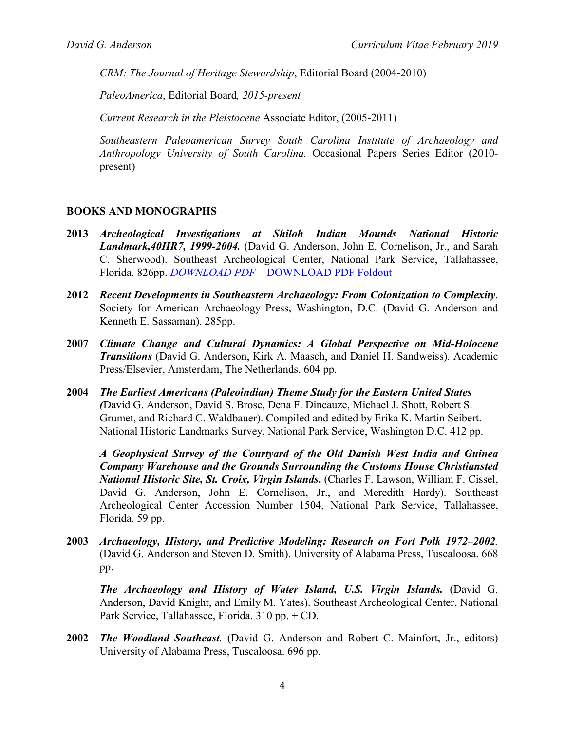*CRM: The Journal of Heritage Stewardship*, Editorial Board (2004-2010)

*PaleoAmerica*, Editorial Board*, 2015-present*

*Current Research in the Pleistocene* Associate Editor, (2005-2011)

*Southeastern Paleoamerican Survey South Carolina Institute of Archaeology and Anthropology University of South Carolina.* Occasional Papers Series Editor (2010 present)

## **BOOKS AND MONOGRAPHS**

- **2013** *Archeological Investigations at Shiloh Indian Mounds National Historic Landmark,40HR7, 1999-2004.* (David G. Anderson, John E. Cornelison, Jr., and Sarah C. Sherwood). Southeast Archeological Center, National Park Service, Tallahassee, Florida. 826pp. *[DOWNLOAD PDF](http://pidba.org/anderson/cv/2013.Anderson.Shiloh.pdf)* [DOWNLOAD PDF Foldout](http://pidba.org/anderson/cv/Shiloh.foldout.pdf)
- **2012** *Recent Developments in Southeastern Archaeology: From Colonization to Complexity*. Society for American Archaeology Press, Washington, D.C. (David G. Anderson and Kenneth E. Sassaman). 285pp.
- **2007** *Climate Change and Cultural Dynamics: A Global Perspective on Mid-Holocene Transitions* (David G. Anderson, Kirk A. Maasch, and Daniel H. Sandweiss). Academic Press/Elsevier, Amsterdam, The Netherlands. 604 pp.
- **2004** *The Earliest Americans (Paleoindian) Theme Study for the Eastern United States (*David G. Anderson, David S. Brose, Dena F. Dincauze, Michael J. Shott, Robert S. Grumet, and Richard C. Waldbauer). Compiled and edited by Erika K. Martin Seibert. National Historic Landmarks Survey, National Park Service, Washington D.C. 412 pp.

*A Geophysical Survey of the Courtyard of the Old Danish West India and Guinea Company Warehouse and the Grounds Surrounding the Customs House Christiansted National Historic Site, St. Croix, Virgin Islands***.** (Charles F. Lawson, William F. Cissel, David G. Anderson, John E. Cornelison, Jr., and Meredith Hardy). Southeast Archeological Center Accession Number 1504, National Park Service, Tallahassee, Florida. 59 pp.

**2003** *Archaeology, History, and Predictive Modeling: Research on Fort Polk 1972–2002.* (David G. Anderson and Steven D. Smith). University of Alabama Press, Tuscaloosa. 668 pp.

*The Archaeology and History of Water Island, U.S. Virgin Islands.* (David G. Anderson, David Knight, and Emily M. Yates). Southeast Archeological Center, National Park Service, Tallahassee, Florida. 310 pp. + CD.

**2002** *The Woodland Southeast.* (David G. Anderson and Robert C. Mainfort, Jr., editors) University of Alabama Press, Tuscaloosa. 696 pp.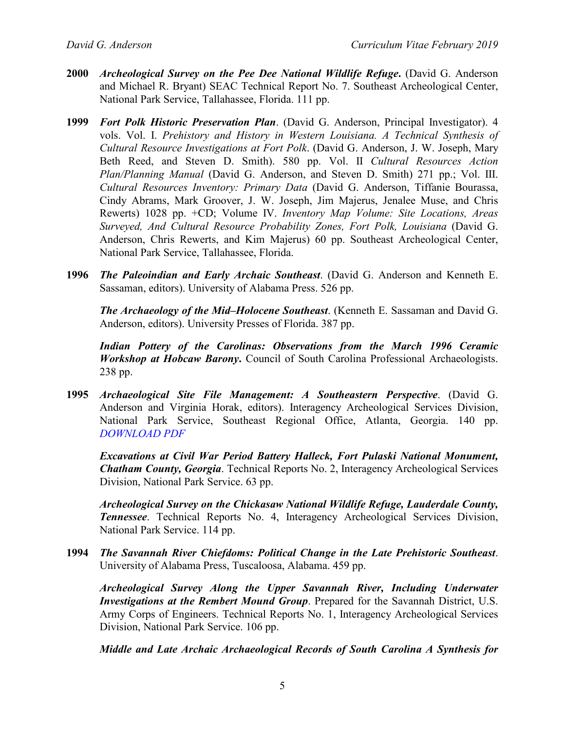- **2000** *Archeological Survey on the Pee Dee National Wildlife Refuge***.** (David G. Anderson and Michael R. Bryant) SEAC Technical Report No. 7. Southeast Archeological Center, National Park Service, Tallahassee, Florida. 111 pp.
- **1999** *Fort Polk Historic Preservation Plan*. (David G. Anderson, Principal Investigator). 4 vols. Vol. I. *Prehistory and History in Western Louisiana. A Technical Synthesis of Cultural Resource Investigations at Fort Polk*. (David G. Anderson, J. W. Joseph, Mary Beth Reed, and Steven D. Smith). 580 pp. Vol. II *Cultural Resources Action Plan/Planning Manual* (David G. Anderson, and Steven D. Smith) 271 pp.; Vol. III. *Cultural Resources Inventory: Primary Data* (David G. Anderson, Tiffanie Bourassa, Cindy Abrams, Mark Groover, J. W. Joseph, Jim Majerus, Jenalee Muse, and Chris Rewerts) 1028 pp. +CD; Volume IV. *Inventory Map Volume: Site Locations, Areas Surveyed, And Cultural Resource Probability Zones, Fort Polk, Louisiana* (David G. Anderson, Chris Rewerts, and Kim Majerus) 60 pp. Southeast Archeological Center, National Park Service, Tallahassee, Florida.
- **1996** *The Paleoindian and Early Archaic Southeast*. (David G. Anderson and Kenneth E. Sassaman, editors). University of Alabama Press. 526 pp.

*The Archaeology of the Mid–Holocene Southeast*. (Kenneth E. Sassaman and David G. Anderson, editors). University Presses of Florida. 387 pp.

*Indian Pottery of the Carolinas: Observations from the March 1996 Ceramic Workshop at Hobcaw Barony***.** Council of South Carolina Professional Archaeologists. 238 pp.

**1995** *Archaeological Site File Management: A Southeastern Perspective*. (David G. Anderson and Virginia Horak, editors). Interagency Archeological Services Division, National Park Service, Southeast Regional Office, Atlanta, Georgia. 140 pp. *[DOWNLOAD PDF](http://pidba.org/anderson/cv/1995.Anderson.Horak.pdf)*

*Excavations at Civil War Period Battery Halleck, Fort Pulaski National Monument, Chatham County, Georgia*. Technical Reports No. 2, Interagency Archeological Services Division, National Park Service. 63 pp.

*Archeological Survey on the Chickasaw National Wildlife Refuge, Lauderdale County, Tennessee*. Technical Reports No. 4, Interagency Archeological Services Division, National Park Service. 114 pp.

**1994** *The Savannah River Chiefdoms: Political Change in the Late Prehistoric Southeast*. University of Alabama Press, Tuscaloosa, Alabama. 459 pp.

*Archeological Survey Along the Upper Savannah River, Including Underwater Investigations at the Rembert Mound Group*. Prepared for the Savannah District, U.S. Army Corps of Engineers. Technical Reports No. 1, Interagency Archeological Services Division, National Park Service. 106 pp.

*Middle and Late Archaic Archaeological Records of South Carolina A Synthesis for*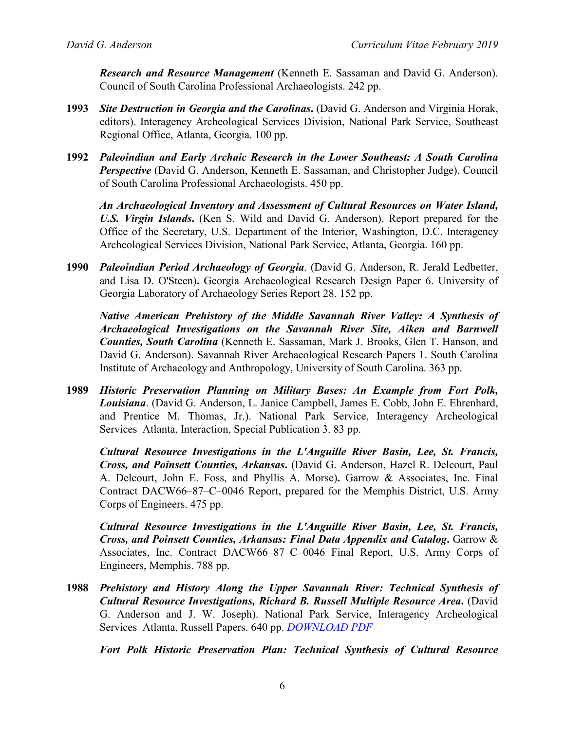*Research and Resource Management* (Kenneth E. Sassaman and David G. Anderson). Council of South Carolina Professional Archaeologists. 242 pp.

- **1993** *Site Destruction in Georgia and the Carolinas***.** (David G. Anderson and Virginia Horak, editors). Interagency Archeological Services Division, National Park Service, Southeast Regional Office, Atlanta, Georgia. 100 pp.
- **1992** *Paleoindian and Early Archaic Research in the Lower Southeast: A South Carolina Perspective* (David G. Anderson, Kenneth E. Sassaman, and Christopher Judge). Council of South Carolina Professional Archaeologists. 450 pp.

*An Archaeological Inventory and Assessment of Cultural Resources on Water Island, U.S. Virgin Islands***.** (Ken S. Wild and David G. Anderson). Report prepared for the Office of the Secretary, U.S. Department of the Interior, Washington, D.C. Interagency Archeological Services Division, National Park Service, Atlanta, Georgia. 160 pp.

**1990** *Paleoindian Period Archaeology of Georgia*. (David G. Anderson, R. Jerald Ledbetter, and Lisa D. O'Steen)**.** Georgia Archaeological Research Design Paper 6. University of Georgia Laboratory of Archaeology Series Report 28. 152 pp.

*Native American Prehistory of the Middle Savannah River Valley: A Synthesis of Archaeological Investigations on the Savannah River Site, Aiken and Barnwell Counties, South Carolina* (Kenneth E. Sassaman, Mark J. Brooks, Glen T. Hanson, and David G. Anderson). Savannah River Archaeological Research Papers 1. South Carolina Institute of Archaeology and Anthropology, University of South Carolina. 363 pp.

**1989** *Historic Preservation Planning on Military Bases: An Example from Fort Polk, Louisiana*. (David G. Anderson, L. Janice Campbell, James E. Cobb, John E. Ehrenhard, and Prentice M. Thomas, Jr.). National Park Service, Interagency Archeological Services–Atlanta, Interaction, Special Publication 3. 83 pp.

*Cultural Resource Investigations in the L'Anguille River Basin, Lee, St. Francis, Cross, and Poinsett Counties, Arkansas***.** (David G. Anderson, Hazel R. Delcourt, Paul A. Delcourt, John E. Foss, and Phyllis A. Morse)**.** Garrow & Associates, Inc. Final Contract DACW66–87–C–0046 Report, prepared for the Memphis District, U.S. Army Corps of Engineers. 475 pp.

*Cultural Resource Investigations in the L'Anguille River Basin, Lee, St. Francis, Cross, and Poinsett Counties, Arkansas: Final Data Appendix and Catalog***.** Garrow & Associates, Inc. Contract DACW66–87–C–0046 Final Report, U.S. Army Corps of Engineers, Memphis. 788 pp.

**1988** *Prehistory and History Along the Upper Savannah River: Technical Synthesis of Cultural Resource Investigations, Richard B. Russell Multiple Resource Area***.** (David G. Anderson and J. W. Joseph). National Park Service, Interagency Archeological Services–Atlanta, Russell Papers. 640 pp. *[DOWNLOAD PDF](http://pidba.org/anderson/cv/Anderson%201988.pdf)*

*Fort Polk Historic Preservation Plan: Technical Synthesis of Cultural Resource*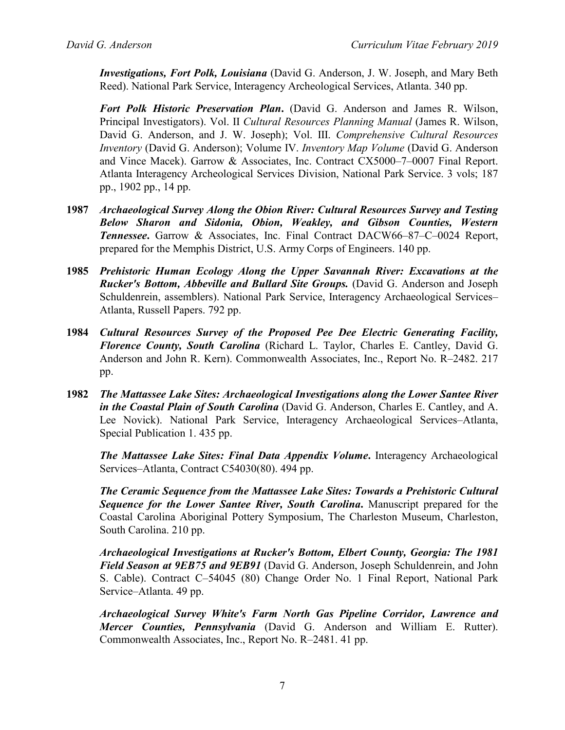*Investigations, Fort Polk, Louisiana* (David G. Anderson, J. W. Joseph, and Mary Beth Reed). National Park Service, Interagency Archeological Services, Atlanta. 340 pp.

*Fort Polk Historic Preservation Plan***.** (David G. Anderson and James R. Wilson, Principal Investigators). Vol. II *Cultural Resources Planning Manual* (James R. Wilson, David G. Anderson, and J. W. Joseph); Vol. III. *Comprehensive Cultural Resources Inventory* (David G. Anderson); Volume IV. *Inventory Map Volume* (David G. Anderson and Vince Macek). Garrow & Associates, Inc. Contract CX5000–7–0007 Final Report. Atlanta Interagency Archeological Services Division, National Park Service. 3 vols; 187 pp., 1902 pp., 14 pp.

- **1987** *Archaeological Survey Along the Obion River: Cultural Resources Survey and Testing Below Sharon and Sidonia, Obion, Weakley, and Gibson Counties, Western Tennessee***.** Garrow & Associates, Inc. Final Contract DACW66–87–C–0024 Report, prepared for the Memphis District, U.S. Army Corps of Engineers. 140 pp.
- **1985** *Prehistoric Human Ecology Along the Upper Savannah River: Excavations at the Rucker's Bottom, Abbeville and Bullard Site Groups.* (David G. Anderson and Joseph Schuldenrein, assemblers). National Park Service, Interagency Archaeological Services– Atlanta, Russell Papers. 792 pp.
- **1984** *Cultural Resources Survey of the Proposed Pee Dee Electric Generating Facility, Florence County, South Carolina* (Richard L. Taylor, Charles E. Cantley, David G. Anderson and John R. Kern). Commonwealth Associates, Inc., Report No. R–2482. 217 pp.
- **1982** *The Mattassee Lake Sites: Archaeological Investigations along the Lower Santee River in the Coastal Plain of South Carolina* (David G. Anderson, Charles E. Cantley, and A. Lee Novick). National Park Service, Interagency Archaeological Services–Atlanta, Special Publication 1. 435 pp.

*The Mattassee Lake Sites: Final Data Appendix Volume***.** Interagency Archaeological Services–Atlanta, Contract C54030(80). 494 pp.

*The Ceramic Sequence from the Mattassee Lake Sites: Towards a Prehistoric Cultural Sequence for the Lower Santee River, South Carolina***.** Manuscript prepared for the Coastal Carolina Aboriginal Pottery Symposium, The Charleston Museum, Charleston, South Carolina. 210 pp.

*Archaeological Investigations at Rucker's Bottom, Elbert County, Georgia: The 1981 Field Season at 9EB75 and 9EB91* (David G. Anderson, Joseph Schuldenrein, and John S. Cable). Contract C–54045 (80) Change Order No. 1 Final Report, National Park Service–Atlanta. 49 pp.

*Archaeological Survey White's Farm North Gas Pipeline Corridor, Lawrence and Mercer Counties, Pennsylvania* (David G. Anderson and William E. Rutter). Commonwealth Associates, Inc., Report No. R–2481. 41 pp.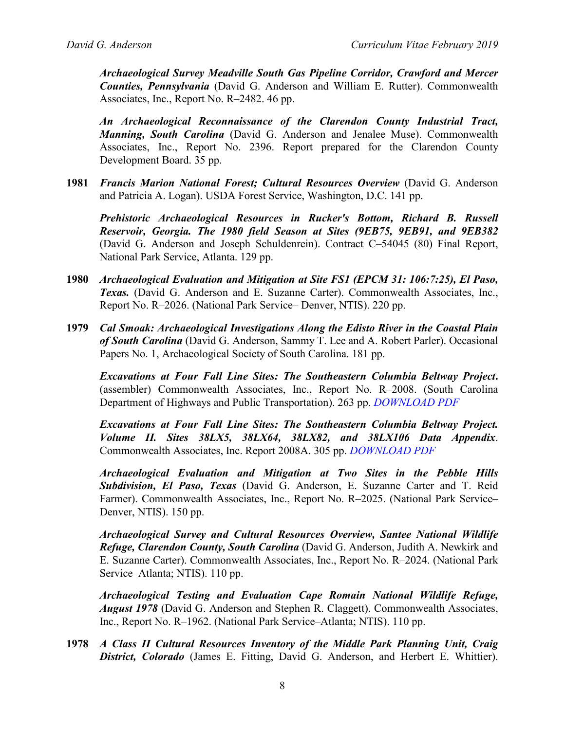*Archaeological Survey Meadville South Gas Pipeline Corridor, Crawford and Mercer Counties, Pennsylvania* (David G. Anderson and William E. Rutter). Commonwealth Associates, Inc., Report No. R–2482. 46 pp.

*An Archaeological Reconnaissance of the Clarendon County Industrial Tract, Manning, South Carolina* (David G. Anderson and Jenalee Muse). Commonwealth Associates, Inc., Report No. 2396. Report prepared for the Clarendon County Development Board. 35 pp.

**1981** *Francis Marion National Forest; Cultural Resources Overview* (David G. Anderson and Patricia A. Logan). USDA Forest Service, Washington, D.C. 141 pp.

*Prehistoric Archaeological Resources in Rucker's Bottom, Richard B. Russell Reservoir, Georgia. The 1980 field Season at Sites (9EB75, 9EB91, and 9EB382* (David G. Anderson and Joseph Schuldenrein). Contract C–54045 (80) Final Report, National Park Service, Atlanta. 129 pp.

- **1980** *Archaeological Evaluation and Mitigation at Site FS1 (EPCM 31: 106:7:25), El Paso, Texas.* (David G. Anderson and E. Suzanne Carter). Commonwealth Associates, Inc., Report No. R–2026. (National Park Service– Denver, NTIS). 220 pp.
- **1979** *Cal Smoak: Archaeological Investigations Along the Edisto River in the Coastal Plain of South Carolina* (David G. Anderson, Sammy T. Lee and A. Robert Parler). Occasional Papers No. 1, Archaeological Society of South Carolina. 181 pp.

*Excavations at Four Fall Line Sites: The Southeastern Columbia Beltway Project***.** (assembler) Commonwealth Associates, Inc., Report No. R–2008. (South Carolina Department of Highways and Public Transportation). 263 pp. *[DOWNLOAD PDF](http://pidba.org/anderson/cv/Anderson%201979.pdf)*

*Excavations at Four Fall Line Sites: The Southeastern Columbia Beltway Project. Volume II. Sites 38LX5, 38LX64, 38LX82, and 38LX106 Data Appendix*. Commonwealth Associates, Inc. Report 2008A. 305 pp. *[DOWNLOAD PDF](http://pidba.org/anderson/cv/Anderson%201979%20Data%20Appendix.pdf)*

*Archaeological Evaluation and Mitigation at Two Sites in the Pebble Hills Subdivision, El Paso, Texas* (David G. Anderson, E. Suzanne Carter and T. Reid Farmer). Commonwealth Associates, Inc., Report No. R–2025. (National Park Service– Denver, NTIS). 150 pp.

*Archaeological Survey and Cultural Resources Overview, Santee National Wildlife Refuge, Clarendon County, South Carolina* (David G. Anderson, Judith A. Newkirk and E. Suzanne Carter). Commonwealth Associates, Inc., Report No. R–2024. (National Park Service–Atlanta; NTIS). 110 pp.

*Archaeological Testing and Evaluation Cape Romain National Wildlife Refuge, August 1978* (David G. Anderson and Stephen R. Claggett). Commonwealth Associates, Inc., Report No. R–1962. (National Park Service–Atlanta; NTIS). 110 pp.

**1978** *A Class II Cultural Resources Inventory of the Middle Park Planning Unit, Craig District, Colorado* (James E. Fitting, David G. Anderson, and Herbert E. Whittier).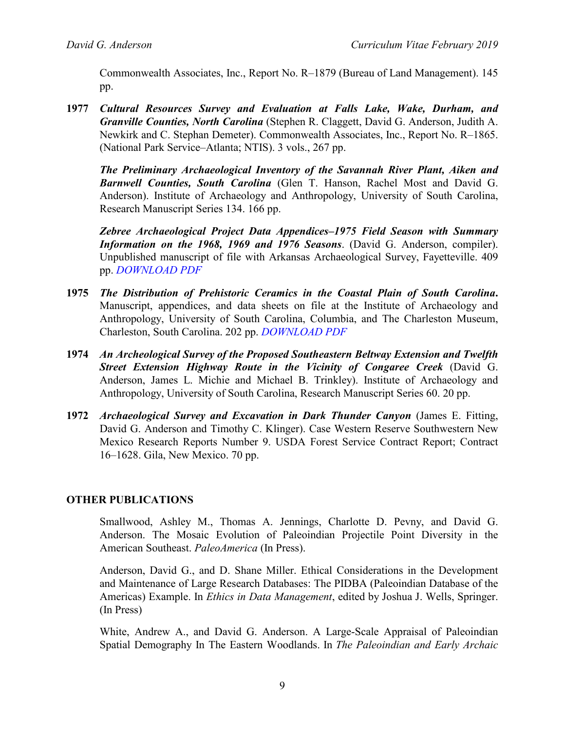Commonwealth Associates, Inc., Report No. R–1879 (Bureau of Land Management). 145 pp.

**1977** *Cultural Resources Survey and Evaluation at Falls Lake, Wake, Durham, and Granville Counties, North Carolina* (Stephen R. Claggett, David G. Anderson, Judith A. Newkirk and C. Stephan Demeter). Commonwealth Associates, Inc., Report No. R–1865. (National Park Service–Atlanta; NTIS). 3 vols., 267 pp.

*The Preliminary Archaeological Inventory of the Savannah River Plant, Aiken and Barnwell Counties, South Carolina* (Glen T. Hanson, Rachel Most and David G. Anderson). Institute of Archaeology and Anthropology, University of South Carolina, Research Manuscript Series 134. 166 pp.

*Zebree Archaeological Project Data Appendices–1975 Field Season with Summary Information on the 1968, 1969 and 1976 Seasons*. (David G. Anderson, compiler). Unpublished manuscript of file with Arkansas Archaeological Survey, Fayetteville. 409 pp. *[DOWNLOAD PDF](http://pidba.org/anderson/cv/1977.Zebree.Appendix.pdf)*

- **1975** *The Distribution of Prehistoric Ceramics in the Coastal Plain of South Carolina***.** Manuscript, appendices, and data sheets on file at the Institute of Archaeology and Anthropology, University of South Carolina, Columbia, and The Charleston Museum, Charleston, South Carolina. 202 pp. *[DOWNLOAD PDF](http://pidba.org/anderson/cv/Anderson%201976%20Distribution%20of%20Prehistoric%20Ceramics%20in%20SC.pdf)*
- **1974** *An Archeological Survey of the Proposed Southeastern Beltway Extension and Twelfth Street Extension Highway Route in the Vicinity of Congaree Creek* (David G. Anderson, James L. Michie and Michael B. Trinkley). Institute of Archaeology and Anthropology, University of South Carolina, Research Manuscript Series 60. 20 pp.
- **1972** *Archaeological Survey and Excavation in Dark Thunder Canyon* (James E. Fitting, David G. Anderson and Timothy C. Klinger). Case Western Reserve Southwestern New Mexico Research Reports Number 9. USDA Forest Service Contract Report; Contract 16–1628. Gila, New Mexico. 70 pp.

## **OTHER PUBLICATIONS**

Smallwood, Ashley M., Thomas A. Jennings, Charlotte D. Pevny, and David G. Anderson. The Mosaic Evolution of Paleoindian Projectile Point Diversity in the American Southeast. *PaleoAmerica* (In Press).

Anderson, David G., and D. Shane Miller. Ethical Considerations in the Development and Maintenance of Large Research Databases: The PIDBA (Paleoindian Database of the Americas) Example. In *Ethics in Data Management*, edited by Joshua J. Wells, Springer. (In Press)

White, Andrew A., and David G. Anderson. A Large-Scale Appraisal of Paleoindian Spatial Demography In The Eastern Woodlands. In *The Paleoindian and Early Archaic*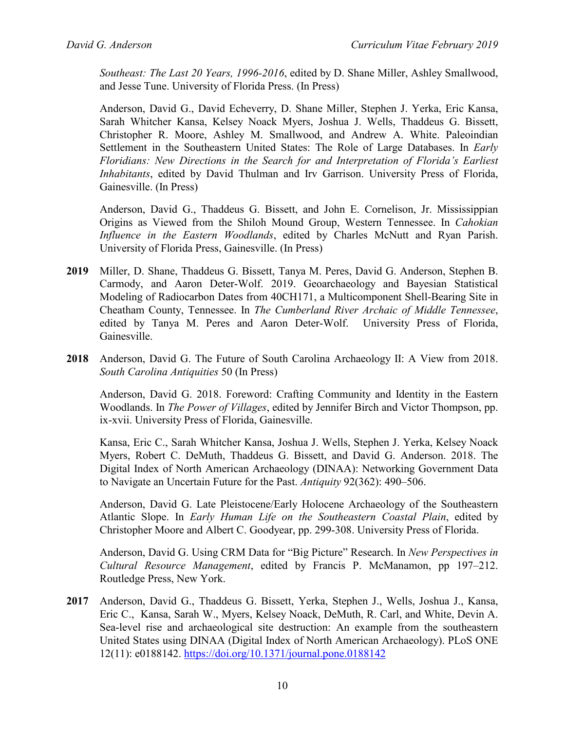*Southeast: The Last 20 Years, 1996-2016*, edited by D. Shane Miller, Ashley Smallwood, and Jesse Tune. University of Florida Press. (In Press)

Anderson, David G., David Echeverry, D. Shane Miller, Stephen J. Yerka, Eric Kansa, Sarah Whitcher Kansa, Kelsey Noack Myers, Joshua J. Wells, Thaddeus G. Bissett, Christopher R. Moore, Ashley M. Smallwood, and Andrew A. White. Paleoindian Settlement in the Southeastern United States: The Role of Large Databases. In *Early Floridians: New Directions in the Search for and Interpretation of Florida's Earliest Inhabitants*, edited by David Thulman and Irv Garrison. University Press of Florida, Gainesville. (In Press)

Anderson, David G., Thaddeus G. Bissett, and John E. Cornelison, Jr. Mississippian Origins as Viewed from the Shiloh Mound Group, Western Tennessee. In *Cahokian Influence in the Eastern Woodlands*, edited by Charles McNutt and Ryan Parish. University of Florida Press, Gainesville. (In Press)

- **2019** Miller, D. Shane, Thaddeus G. Bissett, Tanya M. Peres, David G. Anderson, Stephen B. Carmody, and Aaron Deter-Wolf. 2019. Geoarchaeology and Bayesian Statistical Modeling of Radiocarbon Dates from 40CH171, a Multicomponent Shell-Bearing Site in Cheatham County, Tennessee. In *The Cumberland River Archaic of Middle Tennessee*, edited by Tanya M. Peres and Aaron Deter-Wolf. University Press of Florida, Gainesville.
- **2018** Anderson, David G. The Future of South Carolina Archaeology II: A View from 2018. *South Carolina Antiquities* 50 (In Press)

Anderson, David G. 2018. Foreword: Crafting Community and Identity in the Eastern Woodlands. In *The Power of Villages*, edited by Jennifer Birch and Victor Thompson, pp. ix-xvii. University Press of Florida, Gainesville.

Kansa, Eric C., Sarah Whitcher Kansa, Joshua J. Wells, Stephen J. Yerka, Kelsey Noack Myers, Robert C. DeMuth, Thaddeus G. Bissett, and David G. Anderson. 2018. The Digital Index of North American Archaeology (DINAA): Networking Government Data to Navigate an Uncertain Future for the Past. *Antiquity* 92(362): 490–506.

Anderson, David G. Late Pleistocene/Early Holocene Archaeology of the Southeastern Atlantic Slope. In *Early Human Life on the Southeastern Coastal Plain*, edited by Christopher Moore and Albert C. Goodyear, pp. 299-308. University Press of Florida.

Anderson, David G. Using CRM Data for "Big Picture" Research. In *New Perspectives in Cultural Resource Management*, edited by Francis P. McManamon, pp 197–212. Routledge Press, New York.

**2017** Anderson, David G., Thaddeus G. Bissett, Yerka, Stephen J., Wells, Joshua J., Kansa, Eric C., Kansa, Sarah W., Myers, Kelsey Noack, DeMuth, R. Carl, and White, Devin A. Sea-level rise and archaeological site destruction: An example from the southeastern United States using DINAA (Digital Index of North American Archaeology). PLoS ONE 12(11): e0188142.<https://doi.org/10.1371/journal.pone.0188142>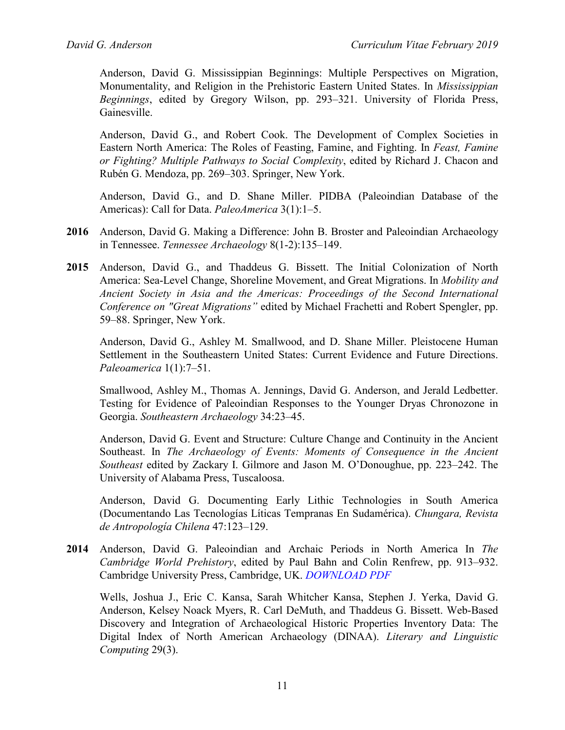Anderson, David G. Mississippian Beginnings: Multiple Perspectives on Migration, Monumentality, and Religion in the Prehistoric Eastern United States. In *Mississippian Beginnings*, edited by Gregory Wilson, pp. 293–321. University of Florida Press, Gainesville.

Anderson, David G., and Robert Cook. The Development of Complex Societies in Eastern North America: The Roles of Feasting, Famine, and Fighting. In *Feast, Famine or Fighting? Multiple Pathways to Social Complexity*, edited by Richard J. Chacon and Rubén G. Mendoza, pp. 269–303. Springer, New York.

Anderson, David G., and D. Shane Miller. PIDBA (Paleoindian Database of the Americas): Call for Data. *PaleoAmerica* 3(1):1–5.

- **2016** Anderson, David G. Making a Difference: John B. Broster and Paleoindian Archaeology in Tennessee. *Tennessee Archaeology* 8(1-2):135–149.
- **2015** Anderson, David G., and Thaddeus G. Bissett. The Initial Colonization of North America: Sea-Level Change, Shoreline Movement, and Great Migrations. In *Mobility and Ancient Society in Asia and the Americas: Proceedings of the Second International Conference on "Great Migrations"* edited by Michael Frachetti and Robert Spengler, pp. 59–88. Springer, New York.

Anderson, David G., Ashley M. Smallwood, and D. Shane Miller. Pleistocene Human Settlement in the Southeastern United States: Current Evidence and Future Directions. *Paleoamerica* 1(1):7–51.

Smallwood, Ashley M., Thomas A. Jennings, David G. Anderson, and Jerald Ledbetter. Testing for Evidence of Paleoindian Responses to the Younger Dryas Chronozone in Georgia. *Southeastern Archaeology* 34:23–45.

Anderson, David G. Event and Structure: Culture Change and Continuity in the Ancient Southeast. In *The Archaeology of Events: Moments of Consequence in the Ancient Southeast* edited by Zackary I. Gilmore and Jason M. O'Donoughue, pp. 223–242. The University of Alabama Press, Tuscaloosa.

Anderson, David G. Documenting Early Lithic Technologies in South America (Documentando Las Tecnologías Líticas Tempranas En Sudamérica). *Chungara, Revista de Antropología Chilena* 47:123–129.

**2014** Anderson, David G. Paleoindian and Archaic Periods in North America In *The Cambridge World Prehistory*, edited by Paul Bahn and Colin Renfrew, pp. 913–932. Cambridge University Press, Cambridge, UK. *[DOWNLOAD PDF](http://pidba.org/anderson/cv/2013.Anderson.Cambridge.pdf)*

Wells, Joshua J., Eric C. Kansa, Sarah Whitcher Kansa, Stephen J. Yerka, David G. Anderson, Kelsey Noack Myers, R. Carl DeMuth, and Thaddeus G. Bissett. Web-Based Discovery and Integration of Archaeological Historic Properties Inventory Data: The Digital Index of North American Archaeology (DINAA). *Literary and Linguistic Computing* 29(3).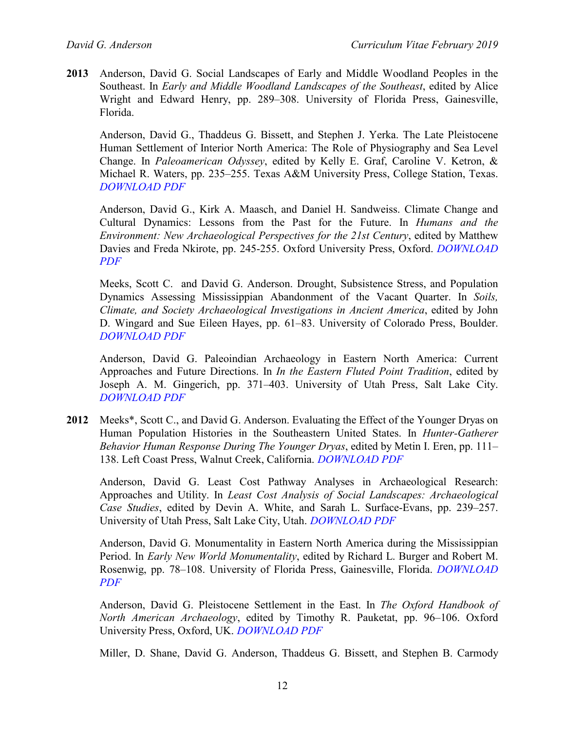**2013** Anderson, David G. Social Landscapes of Early and Middle Woodland Peoples in the Southeast. In *Early and Middle Woodland Landscapes of the Southeast*, edited by Alice Wright and Edward Henry, pp. 289–308. University of Florida Press, Gainesville, Florida.

Anderson, David G., Thaddeus G. Bissett, and Stephen J. Yerka. The Late Pleistocene Human Settlement of Interior North America: The Role of Physiography and Sea Level Change. In *Paleoamerican Odyssey*, edited by Kelly E. Graf, Caroline V. Ketron, & Michael R. Waters, pp. 235–255. Texas A&M University Press, College Station, Texas. *[DOWNLOAD PDF](http://pidba.org/anderson/cv/2013.Anderson.PO.pdf)*

Anderson, David G., Kirk A. Maasch, and Daniel H. Sandweiss. Climate Change and Cultural Dynamics: Lessons from the Past for the Future. In *Humans and the Environment: New Archaeological Perspectives for the 21st Century*, edited by Matthew Davies and Freda Nkirote, pp. 245-255. Oxford University Press, Oxford. *[DOWNLOAD](http://pidba.org/anderson/cv/2013.Anderson.Oxford.pdf)  [PDF](http://pidba.org/anderson/cv/2013.Anderson.Oxford.pdf)*

Meeks, Scott C. and David G. Anderson. Drought, Subsistence Stress, and Population Dynamics Assessing Mississippian Abandonment of the Vacant Quarter. In *Soils, Climate, and Society Archaeological Investigations in Ancient America*, edited by John D. Wingard and Sue Eileen Hayes, pp. 61–83. University of Colorado Press, Boulder. *[DOWNLOAD PDF](http://pidba.org/anderson/cv/2013.Meeks.Anderson.pdf)*

Anderson, David G. Paleoindian Archaeology in Eastern North America: Current Approaches and Future Directions. In *In the Eastern Fluted Point Tradition*, edited by Joseph A. M. Gingerich, pp. 371–403. University of Utah Press, Salt Lake City. *[DOWNLOAD PDF](http://pidba.org/anderson/cv/2013.Anderson.EFPT.pdf)*

**2012** Meeks\*, Scott C., and David G. Anderson. Evaluating the Effect of the Younger Dryas on Human Population Histories in the Southeastern United States. In *Hunter-Gatherer Behavior Human Response During The Younger Dryas*, edited by Metin I. Eren, pp. 111– 138. Left Coast Press, Walnut Creek, California. *[DOWNLOAD PDF](http://pidba.org/anderson/cv/2012.Meeks.Anderson.OCR.pdf)*

Anderson, David G. Least Cost Pathway Analyses in Archaeological Research: Approaches and Utility. In *Least Cost Analysis of Social Landscapes: Archaeological Case Studies*, edited by Devin A. White, and Sarah L. Surface-Evans, pp. 239–257. University of Utah Press, Salt Lake City, Utah. *[DOWNLOAD PDF](http://pidba.org/anderson/cv/2012.Anderson.LCPA.pdf)*

Anderson, David G. Monumentality in Eastern North America during the Mississippian Period. In *Early New World Monumentality*, edited by Richard L. Burger and Robert M. Rosenwig, pp. 78–108. University of Florida Press, Gainesville, Florida. *[DOWNLOAD](http://pidba.org/anderson/cv/2012.Anderson.Monumentality.pdf)  [PDF](http://pidba.org/anderson/cv/2012.Anderson.Monumentality.pdf)*

Anderson, David G. Pleistocene Settlement in the East. In *The Oxford Handbook of North American Archaeology*, edited by Timothy R. Pauketat, pp. 96–106. Oxford University Press, Oxford, UK. *[DOWNLOAD PDF](http://pidba.org/anderson/cv/2012.Anderson.Oxford.pdf)*

Miller, D. Shane, David G. Anderson, Thaddeus G. Bissett, and Stephen B. Carmody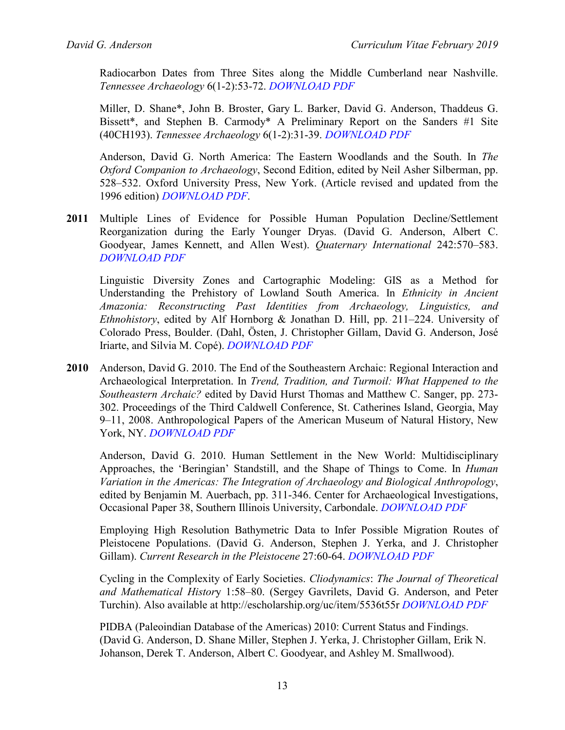Radiocarbon Dates from Three Sites along the Middle Cumberland near Nashville. *Tennessee Archaeology* 6(1-2):53-72. *[DOWNLOAD PDF](http://pidba.org/anderson/cv/2012a.Miller%20et%20al.TA.pdf)*

Miller, D. Shane\*, John B. Broster, Gary L. Barker, David G. Anderson, Thaddeus G. Bissett\*, and Stephen B. Carmody\* A Preliminary Report on the Sanders #1 Site (40CH193). *Tennessee Archaeology* 6(1-2):31-39. *[DOWNLOAD PDF](http://pidba.org/anderson/cv/2012b.Miller%20et%20al.TA.pdf)*

Anderson, David G. North America: The Eastern Woodlands and the South. In *The Oxford Companion to Archaeology*, Second Edition, edited by Neil Asher Silberman, pp. 528–532. Oxford University Press, New York. (Article revised and updated from the 1996 edition) *[DOWNLOAD PDF](http://pidba.org/anderson/cv/2012.Anderson.Oxford2.pdf)*.

**2011** Multiple Lines of Evidence for Possible Human Population Decline/Settlement Reorganization during the Early Younger Dryas. (David G. Anderson, Albert C. Goodyear, James Kennett, and Allen West). *Quaternary International* 242:570–583. *[DOWNLOAD PDF](http://pidba.org/anderson/cv/2011.Anderson%20et%20al.QuatInt.pdf)*

Linguistic Diversity Zones and Cartographic Modeling: GIS as a Method for Understanding the Prehistory of Lowland South America. In *Ethnicity in Ancient Amazonia: Reconstructing Past Identities from Archaeology, Linguistics, and Ethnohistory*, edited by Alf Hornborg & Jonathan D. Hill, pp. 211–224. University of Colorado Press, Boulder. (Dahl, Östen, J. Christopher Gillam, David G. Anderson, José Iriarte, and Silvia M. Copé). *[DOWNLOAD PDF](http://pidba.org/anderson/cv/2011.Dahl%20et%20al..pdf)*

**2010** Anderson, David G. 2010. The End of the Southeastern Archaic: Regional Interaction and Archaeological Interpretation. In *Trend, Tradition, and Turmoil: What Happened to the Southeastern Archaic?* edited by David Hurst Thomas and Matthew C. Sanger, pp. 273- 302. Proceedings of the Third Caldwell Conference, St. Catherines Island, Georgia, May 9–11, 2008. Anthropological Papers of the American Museum of Natural History, New York, NY. *[DOWNLOAD PDF](http://pidba.org/anderson/cv/Anderson%202010%20AMNH.pdf)*

Anderson, David G. 2010. Human Settlement in the New World: Multidisciplinary Approaches, the 'Beringian' Standstill, and the Shape of Things to Come. In *Human Variation in the Americas: The Integration of Archaeology and Biological Anthropology*, edited by Benjamin M. Auerbach, pp. 311-346. Center for Archaeological Investigations, Occasional Paper 38, Southern Illinois University, Carbondale. *[DOWNLOAD PDF](http://pidba.org/anderson/cv/Anderson%202010%20OC%20SIU%2038.pdf)*

Employing High Resolution Bathymetric Data to Infer Possible Migration Routes of Pleistocene Populations. (David G. Anderson, Stephen J. Yerka, and J. Christopher Gillam). *Current Research in the Pleistocene* 27:60-64. *[DOWNLOAD PDF](http://pidba.org/anderson/cv/dv-ansn2.pdf)*

Cycling in the Complexity of Early Societies. *Cliodynamics*: *The Journal of Theoretical and Mathematical Histor*y 1:58–80. (Sergey Gavrilets, David G. Anderson, and Peter Turchin). Also available at<http://escholarship.org/uc/item/5536t55r> *[DOWNLOAD PDF](http://pidba.org/anderson/cv/Gavrilets%20et%20al.%202010.pdf)*

PIDBA (Paleoindian Database of the Americas) 2010: Current Status and Findings. (David G. Anderson, D. Shane Miller, Stephen J. Yerka, J. Christopher Gillam, Erik N. Johanson, Derek T. Anderson, Albert C. Goodyear, and Ashley M. Smallwood).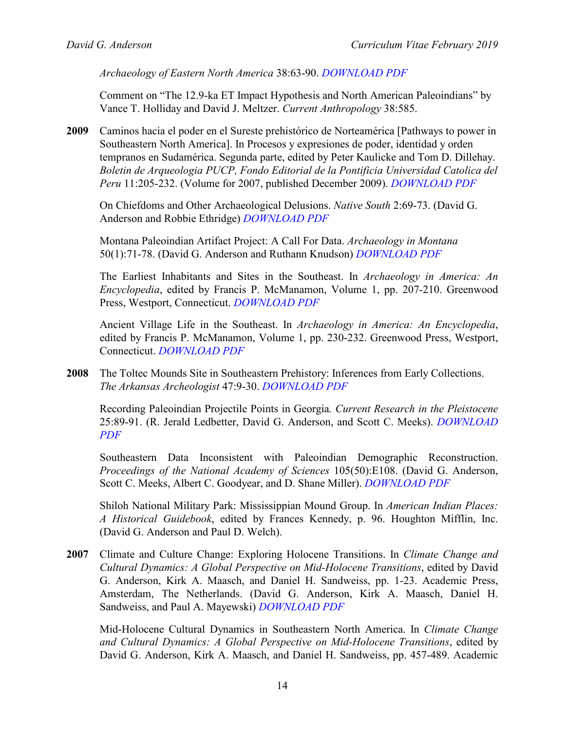*Archaeology of Eastern North America* 38:63-90. *[DOWNLOAD PDF](http://pidba.org/anderson/cv/Anderson%20et%20al.%20PIDBA%20AENA%202010%20.pdf)*

Comment on "The 12.9-ka ET Impact Hypothesis and North American Paleoindians" by Vance T. Holliday and David J. Meltzer. *Current Anthropology* 38:585.

**2009** Caminos hacia el poder en el Sureste prehistórico de Norteamérica [Pathways to power in Southeastern North America]. In Procesos y expresiones de poder, identidad y orden tempranos en Sudamérica. Segunda parte, edited by Peter Kaulicke and Tom D. Dillehay. *Boletin de Arqueologia PUCP, Fondo Editorial de la Pontificia Universidad Catolica del Peru* 11:205-232. (Volume for 2007, published December 2009). *[DOWNLOAD PDF](http://pidba.org/anderson/cv/2009.Anderson.Caminos.pdf)*

On Chiefdoms and Other Archaeological Delusions. *Native South* 2:69-73. (David G. Anderson and Robbie Ethridge) *[DOWNLOAD PDF](http://pidba.org/anderson/cv/Anderson%20and%20Ethridge%202009%20native%20South.pdf)*

Montana Paleoindian Artifact Project: A Call For Data. *Archaeology in Montana* 50(1):71-78. (David G. Anderson and Ruthann Knudson) *[DOWNLOAD PDF](http://pidba.org/anderson/cv/2009.Anderson.Knudson.pdf)*

The Earliest Inhabitants and Sites in the Southeast. In *Archaeology in America: An Encyclopedia*, edited by Francis P. McManamon, Volume 1, pp. 207-210. Greenwood Press, Westport, Connecticut. *[DOWNLOAD PDF](http://pidba.org/anderson/cv/Anderson.Earliest.Inhabitants.pdf)*

Ancient Village Life in the Southeast. In *Archaeology in America: An Encyclopedia*, edited by Francis P. McManamon, Volume 1, pp. 230-232. Greenwood Press, Westport, Connecticut. *[DOWNLOAD PDF](http://pidba.org/anderson/cv/Anderson.Ancient.Village.Life.pdf)*

**2008** The Toltec Mounds Site in Southeastern Prehistory: Inferences from Early Collections. *The Arkansas Archeologist* 47:9-30. *[DOWNLOAD PDF](http://pidba.org/anderson/cv/Anderson%202008%20Toltec%20Mounds%20in%20Southeastern%20Prehistory.pdf)*

Recording Paleoindian Projectile Points in Georgia*. Current Research in the Pleistocene* 25:89-91. (R. Jerald Ledbetter, David G. Anderson, and Scott C. Meeks). *[DOWNLOAD](http://pidba.org/anderson/cv/2008.Ledbetter%20et%20al.pdf)  [PDF](http://pidba.org/anderson/cv/2008.Ledbetter%20et%20al.pdf)*

Southeastern Data Inconsistent with Paleoindian Demographic Reconstruction. *Proceedings of the National Academy of Sciences* 105(50):E108. (David G. Anderson, Scott C. Meeks, Albert C. Goodyear, and D. Shane Miller). *[DOWNLOAD PDF](http://pidba.org/anderson/cv/Anderson%20et%20al.%202008%20PNAS.pdf)*

Shiloh National Military Park: Mississippian Mound Group. In *American Indian Places: A Historical Guidebook*, edited by Frances Kennedy, p. 96. Houghton Mifflin, Inc. (David G. Anderson and Paul D. Welch).

**2007** Climate and Culture Change: Exploring Holocene Transitions. In *Climate Change and Cultural Dynamics: A Global Perspective on Mid-Holocene Transitions*, edited by David G. Anderson, Kirk A. Maasch, and Daniel H. Sandweiss, pp. 1-23. Academic Press, Amsterdam, The Netherlands. (David G. Anderson, Kirk A. Maasch, Daniel H. Sandweiss, and Paul A. Mayewski) *[DOWNLOAD PDF](http://pidba.org/anderson/cv/Anderson%20et%20al.%202007%20MH%20Ch001.pdf)*

Mid-Holocene Cultural Dynamics in Southeastern North America. In *Climate Change and Cultural Dynamics: A Global Perspective on Mid-Holocene Transitions*, edited by David G. Anderson, Kirk A. Maasch, and Daniel H. Sandweiss, pp. 457-489. Academic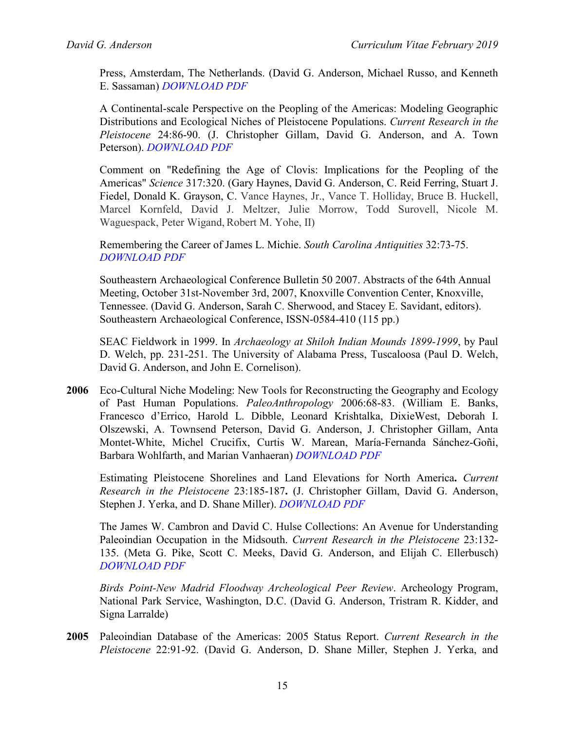Press, Amsterdam, The Netherlands. (David G. Anderson, Michael Russo, and Kenneth E. Sassaman) *[DOWNLOAD PDF](http://pidba.org/anderson/cv/Anderson%20et%20al.%202007%20MH%20Ch013.pdf)*

A Continental-scale Perspective on the Peopling of the Americas: Modeling Geographic Distributions and Ecological Niches of Pleistocene Populations. *Current Research in the Pleistocene* 24:86-90. (J. Christopher Gillam, David G. Anderson, and A. Town Peterson). *[DOWNLOAD PDF](http://pidba.org/anderson/cv/Gillam%20et%20al.%202007%20CRP.pdf)*

Comment on "Redefining the Age of Clovis: Implications for the Peopling of the Americas" *Science* 317:320. (Gary Haynes, David G. Anderson, C. Reid Ferring, Stuart J. Fiedel, Donald K. Grayson, C. Vance Haynes, Jr., Vance T. Holliday, Bruce B. Huckell, Marcel Kornfeld, David J. Meltzer, Julie Morrow, Todd Surovell, Nicole M. Waguespack, Peter Wigand, Robert M. Yohe, II)

Remembering the Career of James L. Michie. *South Carolina Antiquities* 32:73-75. *[DOWNLOAD PDF](http://pidba.org/anderson/cv/2007.Anderson.JLM.SCA.pdf)*

Southeastern Archaeological Conference Bulletin 50 2007. Abstracts of the 64th Annual Meeting, October 31st-November 3rd, 2007, Knoxville Convention Center, Knoxville, Tennessee. (David G. Anderson, Sarah C. Sherwood, and Stacey E. Savidant, editors). Southeastern Archaeological Conference, ISSN-0584-410 (115 pp.)

SEAC Fieldwork in 1999. In *Archaeology at Shiloh Indian Mounds 1899-1999*, by Paul D. Welch, pp. 231-251. The University of Alabama Press, Tuscaloosa (Paul D. Welch, David G. Anderson, and John E. Cornelison).

**2006** Eco-Cultural Niche Modeling: New Tools for Reconstructing the Geography and Ecology of Past Human Populations. *PaleoAnthropology* 2006:68-83. (William E. Banks, Francesco d'Errico, Harold L. Dibble, Leonard Krishtalka, DixieWest, Deborah I. Olszewski, A. Townsend Peterson, David G. Anderson, J. Christopher Gillam, Anta Montet-White, Michel Crucifix, Curtis W. Marean, María-Fernanda Sánchez-Goñi, Barbara Wohlfarth, and Marian Vanhaeran) *[DOWNLOAD PDF](http://pidba.org/anderson/cv/Banks%20et%20al%202006%20Paleoanthropology.pdf)*

Estimating Pleistocene Shorelines and Land Elevations for North America**.** *Current Research in the Pleistocene* 23:185-187**.** (J. Christopher Gillam, David G. Anderson, Stephen J. Yerka, and D. Shane Miller). *[DOWNLOAD PDF](http://pidba.org/anderson/cv/2006.Gillam%20et%20al.pdf)*

The James W. Cambron and David C. Hulse Collections: An Avenue for Understanding Paleoindian Occupation in the Midsouth. *Current Research in the Pleistocene* 23:132- 135. (Meta G. Pike, Scott C. Meeks, David G. Anderson, and Elijah C. Ellerbusch) *[DOWNLOAD PDF](http://pidba.org/anderson/cv/Pike%20et%20al.%202006.pdf)*

*Birds Point-New Madrid Floodway Archeological Peer Review*. Archeology Program, National Park Service, Washington, D.C. (David G. Anderson, Tristram R. Kidder, and Signa Larralde)

**2005** Paleoindian Database of the Americas: 2005 Status Report. *Current Research in the Pleistocene* 22:91-92. (David G. Anderson, D. Shane Miller, Stephen J. Yerka, and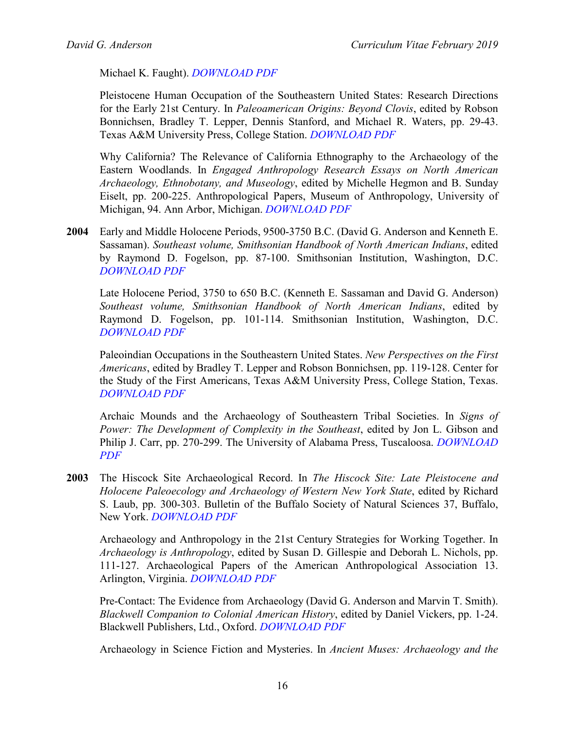Michael K. Faught). *[DOWNLOAD PDF](http://pidba.org/anderson/cv/Anderson%20et%20al.%202005%20PIDBA%20CRP.pdf)*

Pleistocene Human Occupation of the Southeastern United States: Research Directions for the Early 21st Century. In *Paleoamerican Origins: Beyond Clovis*, edited by Robson Bonnichsen, Bradley T. Lepper, Dennis Stanford, and Michael R. Waters, pp. 29-43. Texas A&M University Press, College Station. *[DOWNLOAD PDF](http://pidba.org/anderson/cv/Anderson%202005%20Paleoindian%20Origins.pdf)*

Why California? The Relevance of California Ethnography to the Archaeology of the Eastern Woodlands. In *Engaged Anthropology Research Essays on North American Archaeology, Ethnobotany, and Museology*, edited by Michelle Hegmon and B. Sunday Eiselt, pp. 200-225. Anthropological Papers, Museum of Anthropology, University of Michigan, 94. Ann Arbor, Michigan. *[DOWNLOAD PDF](http://pidba.org/anderson/cv/Anderson%202005%20Why%20California.pdf)*

**2004** Early and Middle Holocene Periods, 9500-3750 B.C. (David G. Anderson and Kenneth E. Sassaman). *Southeast volume, Smithsonian Handbook of North American Indians*, edited by Raymond D. Fogelson, pp. 87-100. Smithsonian Institution, Washington, D.C. *[DOWNLOAD PDF](http://pidba.org/anderson/cv/2004.Anderson.Sassaman.pdf)*

Late Holocene Period, 3750 to 650 B.C. (Kenneth E. Sassaman and David G. Anderson) *Southeast volume, Smithsonian Handbook of North American Indians*, edited by Raymond D. Fogelson, pp. 101-114. Smithsonian Institution, Washington, D.C. *[DOWNLOAD PDF](http://pidba.org/anderson/cv/2004.Anderson.Sassaman2.pdf)*

Paleoindian Occupations in the Southeastern United States. *New Perspectives on the First Americans*, edited by Bradley T. Lepper and Robson Bonnichsen, pp. 119-128. Center for the Study of the First Americans, Texas A&M University Press, College Station, Texas. *[DOWNLOAD PDF](http://pidba.org/anderson/cv/Anderson%202004%20NPFA.pdf)*

Archaic Mounds and the Archaeology of Southeastern Tribal Societies. In *Signs of Power: The Development of Complexity in the Southeast*, edited by Jon L. Gibson and Philip J. Carr, pp. 270-299. The University of Alabama Press, Tuscaloosa. *[DOWNLOAD](http://pidba.org/anderson/cv/Anderson%202004%20ATS.pdf)  [PDF](http://pidba.org/anderson/cv/Anderson%202004%20ATS.pdf)*

**2003** The Hiscock Site Archaeological Record. In *The Hiscock Site: Late Pleistocene and Holocene Paleoecology and Archaeology of Western New York State*, edited by Richard S. Laub, pp. 300-303. Bulletin of the Buffalo Society of Natural Sciences 37, Buffalo, New York. *[DOWNLOAD PDF](http://pidba.org/anderson/cv/2003.Anderson.Hiscock.pdf)*

Archaeology and Anthropology in the 21st Century Strategies for Working Together. In *Archaeology is Anthropology*, edited by Susan D. Gillespie and Deborah L. Nichols, pp. 111-127. Archaeological Papers of the American Anthropological Association 13. Arlington, Virginia. *[DOWNLOAD PDF](http://pidba.org/anderson/cv/Anderson%202003%20ap3a%2013.pdf)*

Pre-Contact: The Evidence from Archaeology (David G. Anderson and Marvin T. Smith). *Blackwell Companion to Colonial American History*, edited by Daniel Vickers, pp. 1-24. Blackwell Publishers, Ltd., Oxford. *[DOWNLOAD PDF](http://pidba.org/anderson/cv/2003.Anderson%20and%20Smith.pdf)*

Archaeology in Science Fiction and Mysteries. In *Ancient Muses: Archaeology and the*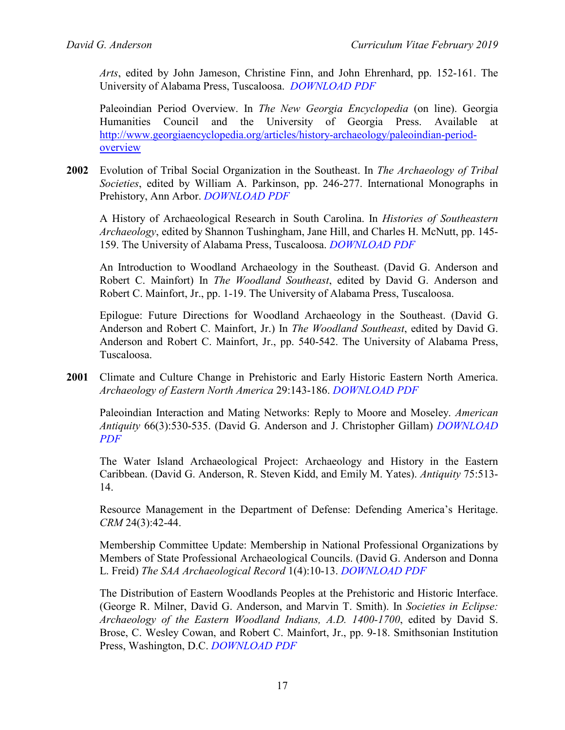*Arts*, edited by John Jameson, Christine Finn, and John Ehrenhard, pp. 152-161. The University of Alabama Press, Tuscaloosa. *[DOWNLOAD PDF](http://pidba.org/anderson/cv/Anderson%202003%20Archaeology%20in%20Science%20Fiction%20and%20Mysteries.pdf)*

Paleoindian Period Overview. In *The New Georgia Encyclopedia* (on line). Georgia Humanities Council and the University of Georgia Press. Available at [http://www.georgiaencyclopedia.org/articles/history-archaeology/paleoindian-period](http://www.georgiaencyclopedia.org/articles/history-archaeology/paleoindian-period-overview)[overview](http://www.georgiaencyclopedia.org/articles/history-archaeology/paleoindian-period-overview)

**2002** Evolution of Tribal Social Organization in the Southeast. In *The Archaeology of Tribal Societies*, edited by William A. Parkinson, pp. 246-277. International Monographs in Prehistory, Ann Arbor. *[DOWNLOAD PDF](http://pidba.org/anderson/cv/Anderson%202002a%20Southeast%20Tribal%20Social%20Organization.pdf)*

A History of Archaeological Research in South Carolina. In *Histories of Southeastern Archaeology*, edited by Shannon Tushingham, Jane Hill, and Charles H. McNutt, pp. 145- 159. The University of Alabama Press, Tuscaloosa. *[DOWNLOAD PDF](http://pidba.org/anderson/cv/Anderson%202002b%20History%20of%20SC%20Archaeology.pdf)*

An Introduction to Woodland Archaeology in the Southeast. (David G. Anderson and Robert C. Mainfort) In *The Woodland Southeast*, edited by David G. Anderson and Robert C. Mainfort, Jr., pp. 1-19. The University of Alabama Press, Tuscaloosa.

Epilogue: Future Directions for Woodland Archaeology in the Southeast. (David G. Anderson and Robert C. Mainfort, Jr.) In *The Woodland Southeast*, edited by David G. Anderson and Robert C. Mainfort, Jr., pp. 540-542. The University of Alabama Press, Tuscaloosa.

**2001** Climate and Culture Change in Prehistoric and Early Historic Eastern North America. *Archaeology of Eastern North America* 29:143-186. *[DOWNLOAD PDF](http://pidba.org/anderson/cv/Anderson%202001%20Climate%20and%20Culture.pdf)*

Paleoindian Interaction and Mating Networks: Reply to Moore and Moseley. *American Antiquity* 66(3):530-535. (David G. Anderson and J. Christopher Gillam) *[DOWNLOAD](http://pidba.org/anderson/cv/Anderson%20&%20Gillam%202001%20American%20Antiquity.pdf)  [PDF](http://pidba.org/anderson/cv/Anderson%20&%20Gillam%202001%20American%20Antiquity.pdf)*

The Water Island Archaeological Project: Archaeology and History in the Eastern Caribbean. (David G. Anderson, R. Steven Kidd, and Emily M. Yates). *Antiquity* 75:513- 14.

Resource Management in the Department of Defense: Defending America's Heritage. *CRM* 24(3):42-44.

Membership Committee Update: Membership in National Professional Organizations by Members of State Professional Archaeological Councils. (David G. Anderson and Donna L. Freid) *The SAA Archaeological Record* 1(4):10-13. *[DOWNLOAD PDF](http://pidba.org/anderson/cv/2001.Anderson.Fried.pdf)*

The Distribution of Eastern Woodlands Peoples at the Prehistoric and Historic Interface. (George R. Milner, David G. Anderson, and Marvin T. Smith). In *Societies in Eclipse: Archaeology of the Eastern Woodland Indians, A.D. 1400-1700*, edited by David S. Brose, C. Wesley Cowan, and Robert C. Mainfort, Jr., pp. 9-18. Smithsonian Institution Press, Washington, D.C. *[DOWNLOAD PDF](http://pidba.org/anderson/cv/2001.Milner%20et%20al.pdf)*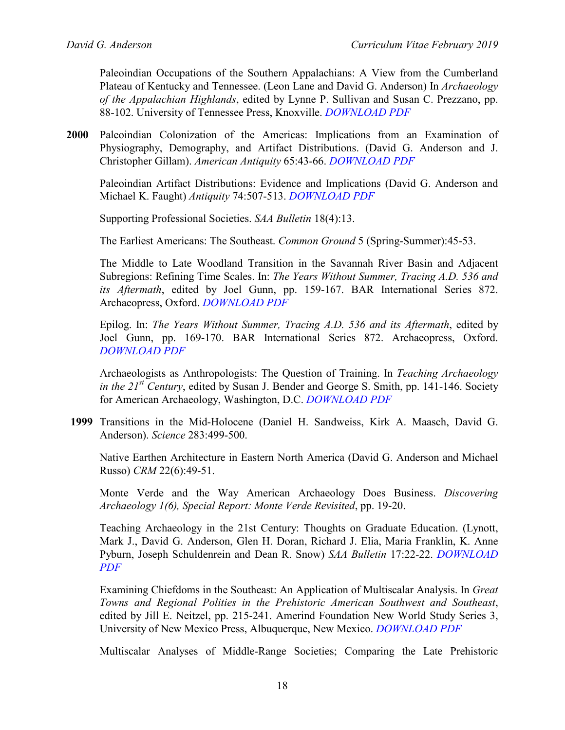Paleoindian Occupations of the Southern Appalachians: A View from the Cumberland Plateau of Kentucky and Tennessee. (Leon Lane and David G. Anderson) In *Archaeology of the Appalachian Highlands*, edited by Lynne P. Sullivan and Susan C. Prezzano, pp. 88-102. University of Tennessee Press, Knoxville. *[DOWNLOAD PDF](http://pidba.org/anderson/cv/2001.Lane.Anderson.pdf)*

**2000** Paleoindian Colonization of the Americas: Implications from an Examination of Physiography, Demography, and Artifact Distributions. (David G. Anderson and J. Christopher Gillam). *American Antiquity* 65:43-66. *[DOWNLOAD PDF](http://pidba.org/anderson/cv/Anderson%20Gillam%202000%20American%20Antiquity.pdf)*

Paleoindian Artifact Distributions: Evidence and Implications (David G. Anderson and Michael K. Faught) *Antiquity* 74:507-513. *[DOWNLOAD PDF](http://pidba.org/anderson/cv/Anderson%20and%20Faught%202000%20Antiquity%20(2).pdf)*

Supporting Professional Societies. *SAA Bulletin* 18(4):13.

The Earliest Americans: The Southeast. *Common Ground* 5 (Spring-Summer):45-53.

The Middle to Late Woodland Transition in the Savannah River Basin and Adjacent Subregions: Refining Time Scales. In: *The Years Without Summer, Tracing A.D. 536 and its Aftermath*, edited by Joel Gunn, pp. 159-167. BAR International Series 872. Archaeopress, Oxford. *[DOWNLOAD PDF](http://pidba.org/anderson/cv/Anderson%202000%20AD%20536.pdf)*

Epilog. In: *The Years Without Summer, Tracing A.D. 536 and its Aftermath*, edited by Joel Gunn, pp. 169-170. BAR International Series 872. Archaeopress, Oxford. *[DOWNLOAD PDF](http://pidba.org/anderson/cv/Anderson%202000%20AD%20536%20Epilogue.pdf)*

Archaeologists as Anthropologists: The Question of Training. In *Teaching Archaeology in the 21st Century*, edited by Susan J. Bender and George S. Smith, pp. 141-146. Society for American Archaeology, Washington, D.C. *[DOWNLOAD PDF](http://pidba.org/anderson/cv/Anderson%202000%20Archaeology%2021st%20Century.pdf)*

**1999** Transitions in the Mid-Holocene (Daniel H. Sandweiss, Kirk A. Maasch, David G. Anderson). *Science* 283:499-500.

Native Earthen Architecture in Eastern North America (David G. Anderson and Michael Russo) *CRM* 22(6):49-51.

Monte Verde and the Way American Archaeology Does Business. *Discovering Archaeology 1(6), Special Report: Monte Verde Revisited*, pp. 19-20.

Teaching Archaeology in the 21st Century: Thoughts on Graduate Education. (Lynott, Mark J., David G. Anderson, Glen H. Doran, Richard J. Elia, Maria Franklin, K. Anne Pyburn, Joseph Schuldenrein and Dean R. Snow) *SAA Bulletin* 17:22-22. *[DOWNLOAD](http://pidba.org/anderson/cv/Anderson.Teaching%20in%20Archaeology.pdf)  [PDF](http://pidba.org/anderson/cv/Anderson.Teaching%20in%20Archaeology.pdf)*

Examining Chiefdoms in the Southeast: An Application of Multiscalar Analysis. In *Great Towns and Regional Polities in the Prehistoric American Southwest and Southeast*, edited by Jill E. Neitzel, pp. 215-241. Amerind Foundation New World Study Series 3, University of New Mexico Press, Albuquerque, New Mexico. *[DOWNLOAD PDF](http://pidba.org/anderson/cv/Anderson%201999%20GTRP%20SE.pdf)*

Multiscalar Analyses of Middle-Range Societies; Comparing the Late Prehistoric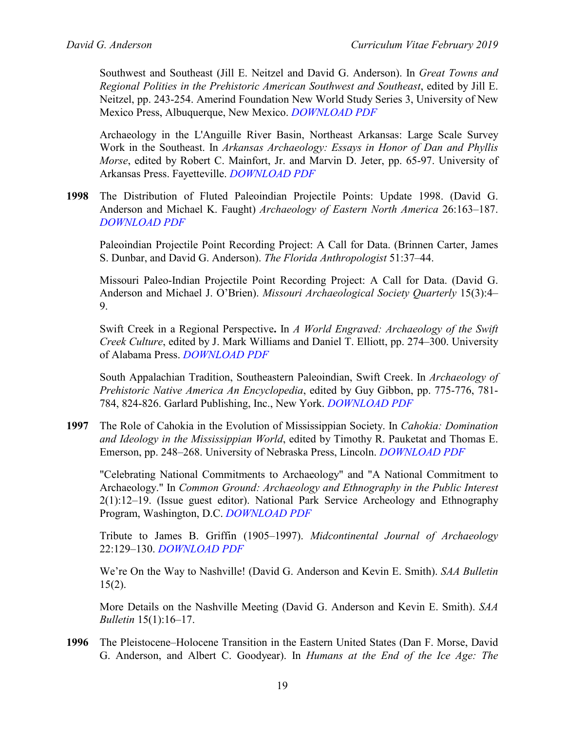Southwest and Southeast (Jill E. Neitzel and David G. Anderson). In *Great Towns and Regional Polities in the Prehistoric American Southwest and Southeast*, edited by Jill E. Neitzel, pp. 243-254. Amerind Foundation New World Study Series 3, University of New Mexico Press, Albuquerque, New Mexico. *[DOWNLOAD PDF](http://pidba.org/anderson/cv/Neitzel%20and%20Anderson%201999%20Multiscalar%20Analyses.pdf)*

Archaeology in the L'Anguille River Basin, Northeast Arkansas: Large Scale Survey Work in the Southeast. In *Arkansas Archaeology: Essays in Honor of Dan and Phyllis Morse*, edited by Robert C. Mainfort, Jr. and Marvin D. Jeter, pp. 65-97. University of Arkansas Press. Fayetteville. *[DOWNLOAD PDF](http://pidba.org/anderson/cv/1999.Anderson.LA.pdf)*

**1998** The Distribution of Fluted Paleoindian Projectile Points: Update 1998. (David G. Anderson and Michael K. Faught) *Archaeology of Eastern North America* 26:163–187. *[DOWNLOAD PDF](http://pidba.org/anderson/cv/Anderson%20and%20Faught%201998%20AENA.pdf)*

Paleoindian Projectile Point Recording Project: A Call for Data. (Brinnen Carter, James S. Dunbar, and David G. Anderson). *The Florida Anthropologist* 51:37–44.

Missouri Paleo-Indian Projectile Point Recording Project: A Call for Data. (David G. Anderson and Michael J. O'Brien). *Missouri Archaeological Society Quarterly* 15(3):4– 9.

Swift Creek in a Regional Perspective**.** In *A World Engraved: Archaeology of the Swift Creek Culture*, edited by J. Mark Williams and Daniel T. Elliott, pp. 274–300. University of Alabama Press. *[DOWNLOAD PDF](http://pidba.org/anderson/cv/1998.Anderson%20Swift%20Creek.pdf)*

South Appalachian Tradition, Southeastern Paleoindian, Swift Creek. In *Archaeology of Prehistoric Native America An Encyclopedia*, edited by Guy Gibbon, pp. 775-776, 781- 784, 824-826. Garlard Publishing, Inc., New York. *[DOWNLOAD PDF](http://pidba.org/anderson/cv/1998.Anderson.PNA.pdf)*

**1997** The Role of Cahokia in the Evolution of Mississippian Society. In *Cahokia: Domination and Ideology in the Mississippian World*, edited by Timothy R. Pauketat and Thomas E. Emerson, pp. 248–268. University of Nebraska Press, Lincoln. *[DOWNLOAD PDF](http://pidba.org/anderson/cv/Anderson%201997%20Cahokia.pdf)*

"Celebrating National Commitments to Archaeology" and "A National Commitment to Archaeology." In *Common Ground: Archaeology and Ethnography in the Public Interest* 2(1):12–19. (Issue guest editor). National Park Service Archeology and Ethnography Program, Washington, D.C. *[DOWNLOAD PDF](http://pidba.org/anderson/cv/1997.Anderson.CG.pdf)*

Tribute to James B. Griffin (1905–1997). *Midcontinental Journal of Archaeology* 22:129–130. *[DOWNLOAD PDF](http://pidba.org/anderson/cv/1997.Anderson.MCJA.pdf)*

We're On the Way to Nashville! (David G. Anderson and Kevin E. Smith). *SAA Bulletin*  $15(2)$ .

More Details on the Nashville Meeting (David G. Anderson and Kevin E. Smith). *SAA Bulletin* 15(1):16–17.

**1996** The Pleistocene–Holocene Transition in the Eastern United States (Dan F. Morse, David G. Anderson, and Albert C. Goodyear). In *Humans at the End of the Ice Age: The*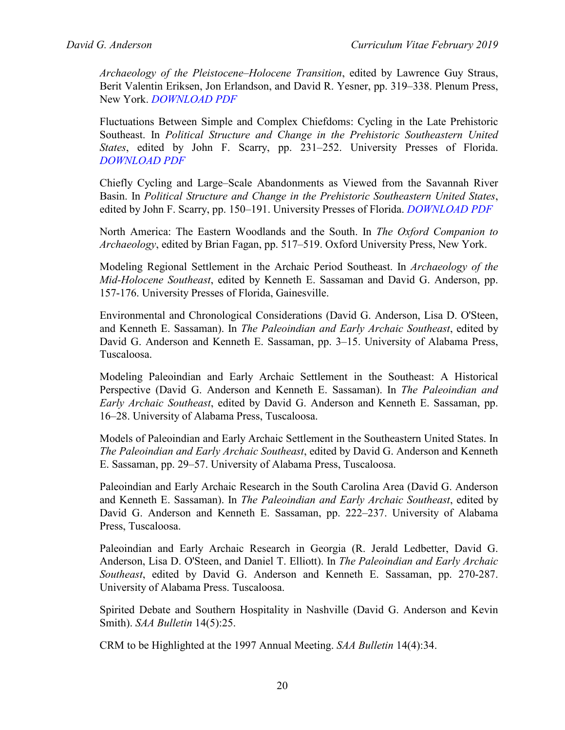*Archaeology of the Pleistocene–Holocene Transition*, edited by Lawrence Guy Straus, Berit Valentin Eriksen, Jon Erlandson, and David R. Yesner, pp. 319–338. Plenum Press, New York. *[DOWNLOAD PDF](http://pidba.org/anderson/cv/1996.Morse%20et%20al.pdf)*

Fluctuations Between Simple and Complex Chiefdoms: Cycling in the Late Prehistoric Southeast. In *Political Structure and Change in the Prehistoric Southeastern United States*, edited by John F. Scarry, pp. 231–252. University Presses of Florida. *[DOWNLOAD PDF](http://pidba.org/anderson/cv/Anderson%201996%20Fluctuations%20between%20Simple%20and%20Complex%20Chiefdoms.pdf)*

Chiefly Cycling and Large–Scale Abandonments as Viewed from the Savannah River Basin. In *Political Structure and Change in the Prehistoric Southeastern United States*, edited by John F. Scarry, pp. 150–191. University Presses of Florida. *[DOWNLOAD PDF](http://pidba.org/anderson/cv/Anderson%201996%20Cycling%20and%20Abandonments.pdf)*

North America: The Eastern Woodlands and the South. In *The Oxford Companion to Archaeology*, edited by Brian Fagan, pp. 517–519. Oxford University Press, New York.

Modeling Regional Settlement in the Archaic Period Southeast. In *Archaeology of the Mid-Holocene Southeast*, edited by Kenneth E. Sassaman and David G. Anderson, pp. 157-176. University Presses of Florida, Gainesville.

Environmental and Chronological Considerations (David G. Anderson, Lisa D. O'Steen, and Kenneth E. Sassaman). In *The Paleoindian and Early Archaic Southeast*, edited by David G. Anderson and Kenneth E. Sassaman, pp. 3–15. University of Alabama Press, Tuscaloosa.

Modeling Paleoindian and Early Archaic Settlement in the Southeast: A Historical Perspective (David G. Anderson and Kenneth E. Sassaman). In *The Paleoindian and Early Archaic Southeast*, edited by David G. Anderson and Kenneth E. Sassaman, pp. 16–28. University of Alabama Press, Tuscaloosa.

Models of Paleoindian and Early Archaic Settlement in the Southeastern United States. In *The Paleoindian and Early Archaic Southeast*, edited by David G. Anderson and Kenneth E. Sassaman, pp. 29–57. University of Alabama Press, Tuscaloosa.

Paleoindian and Early Archaic Research in the South Carolina Area (David G. Anderson and Kenneth E. Sassaman). In *The Paleoindian and Early Archaic Southeast*, edited by David G. Anderson and Kenneth E. Sassaman, pp. 222–237. University of Alabama Press, Tuscaloosa.

Paleoindian and Early Archaic Research in Georgia (R. Jerald Ledbetter, David G. Anderson, Lisa D. O'Steen, and Daniel T. Elliott). In *The Paleoindian and Early Archaic Southeast*, edited by David G. Anderson and Kenneth E. Sassaman, pp. 270-287. University of Alabama Press. Tuscaloosa.

Spirited Debate and Southern Hospitality in Nashville (David G. Anderson and Kevin Smith). *SAA Bulletin* 14(5):25.

CRM to be Highlighted at the 1997 Annual Meeting. *SAA Bulletin* 14(4):34.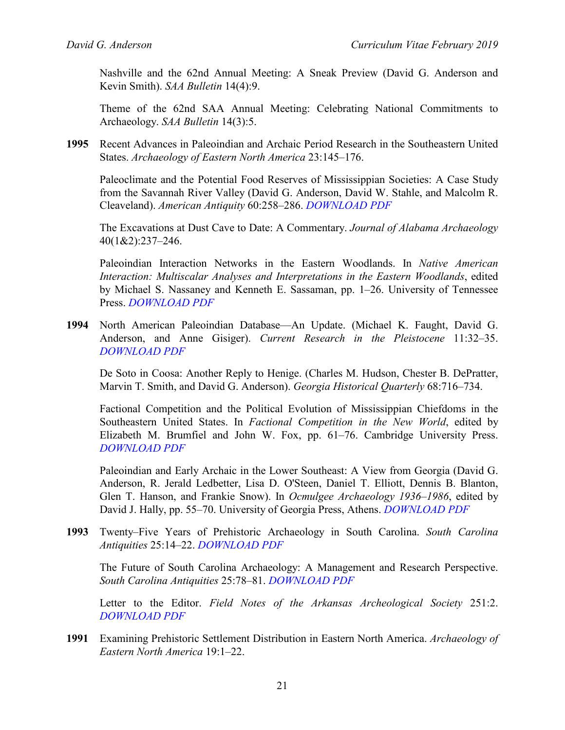Nashville and the 62nd Annual Meeting: A Sneak Preview (David G. Anderson and Kevin Smith). *SAA Bulletin* 14(4):9.

Theme of the 62nd SAA Annual Meeting: Celebrating National Commitments to Archaeology. *SAA Bulletin* 14(3):5.

**1995** Recent Advances in Paleoindian and Archaic Period Research in the Southeastern United States. *Archaeology of Eastern North America* 23:145–176.

Paleoclimate and the Potential Food Reserves of Mississippian Societies: A Case Study from the Savannah River Valley (David G. Anderson, David W. Stahle, and Malcolm R. Cleaveland). *American Antiquity* 60:258–286. *[DOWNLOAD PDF](http://pidba.org/anderson/cv/Anderson%20et%20al.%201995%20AmAntASC.pdf)*

The Excavations at Dust Cave to Date: A Commentary. *Journal of Alabama Archaeology* 40(1&2):237–246.

Paleoindian Interaction Networks in the Eastern Woodlands. In *Native American Interaction: Multiscalar Analyses and Interpretations in the Eastern Woodlands*, edited by Michael S. Nassaney and Kenneth E. Sassaman, pp. 1–26. University of Tennessee Press. *[DOWNLOAD PDF](http://pidba.org/anderson/cv/Anderson%201995%20Paleoindian%20Interaction%20Networks.pdf)*

**1994** North American Paleoindian Database—An Update. (Michael K. Faught, David G. Anderson, and Anne Gisiger). *Current Research in the Pleistocene* 11:32–35. *[DOWNLOAD PDF](http://pidba.org/anderson/cv/1994.Faught%20et%20al.pdf)*

De Soto in Coosa: Another Reply to Henige. (Charles M. Hudson, Chester B. DePratter, Marvin T. Smith, and David G. Anderson). *Georgia Historical Quarterly* 68:716–734.

Factional Competition and the Political Evolution of Mississippian Chiefdoms in the Southeastern United States. In *Factional Competition in the New World*, edited by Elizabeth M. Brumfiel and John W. Fox, pp. 61–76. Cambridge University Press. *[DOWNLOAD PDF](http://pidba.org/anderson/cv/Anderson%201994%20Factional%20Competition.pdf)*

Paleoindian and Early Archaic in the Lower Southeast: A View from Georgia (David G. Anderson, R. Jerald Ledbetter, Lisa D. O'Steen, Daniel T. Elliott, Dennis B. Blanton, Glen T. Hanson, and Frankie Snow). In *Ocmulgee Archaeology 1936–1986*, edited by David J. Hally, pp. 55–70. University of Georgia Press, Athens. *[DOWNLOAD PDF](http://pidba.org/anderson/cv/1994.Anderson.Ocmulgee.pdf)*

**1993** Twenty–Five Years of Prehistoric Archaeology in South Carolina. *South Carolina Antiquities* 25:14–22. *[DOWNLOAD PDF](http://pidba.org/anderson/cv/1993.Anderson.SCA.pdf)*

The Future of South Carolina Archaeology: A Management and Research Perspective. *South Carolina Antiquities* 25:78–81. *[DOWNLOAD PDF](http://pidba.org/anderson/cv/1993.Anderson.SCA2.pdf)*

Letter to the Editor. *Field Notes of the Arkansas Archeological Society* 251:2. *[DOWNLOAD PDF](http://pidba.org/anderson/cv/Anderson%201993%20Field%20Notes%20AAS.pdf)*

**1991** Examining Prehistoric Settlement Distribution in Eastern North America. *Archaeology of Eastern North America* 19:1–22.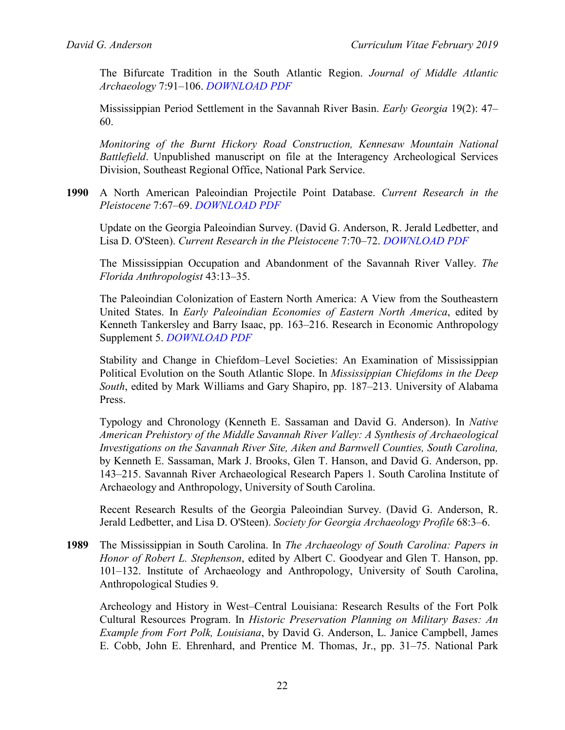The Bifurcate Tradition in the South Atlantic Region. *Journal of Middle Atlantic Archaeology* 7:91–106. *[DOWNLOAD PDF](http://pidba.org/anderson/cv/1991.Anderson.JMAA.pdf)*

Mississippian Period Settlement in the Savannah River Basin. *Early Georgia* 19(2): 47– 60.

*Monitoring of the Burnt Hickory Road Construction, Kennesaw Mountain National Battlefield*. Unpublished manuscript on file at the Interagency Archeological Services Division, Southeast Regional Office, National Park Service.

**1990** A North American Paleoindian Projectile Point Database. *Current Research in the Pleistocene* 7:67–69. *[DOWNLOAD PDF](http://pidba.org/anderson/cv/1990.Anderson,%20Projectile%20Point%20Database.pdf)*

Update on the Georgia Paleoindian Survey. (David G. Anderson, R. Jerald Ledbetter, and Lisa D. O'Steen). *Current Research in the Pleistocene* 7:70–72. *[DOWNLOAD PDF](http://pidba.org/anderson/cv/1990.Anderson%20et%20al.pdf)*

The Mississippian Occupation and Abandonment of the Savannah River Valley. *The Florida Anthropologist* 43:13–35.

The Paleoindian Colonization of Eastern North America: A View from the Southeastern United States. In *Early Paleoindian Economies of Eastern North America*, edited by Kenneth Tankersley and Barry Isaac, pp. 163–216. Research in Economic Anthropology Supplement 5. *[DOWNLOAD PDF](http://pidba.org/anderson/cv/Anderson%201990%20REA.pdf)*

Stability and Change in Chiefdom–Level Societies: An Examination of Mississippian Political Evolution on the South Atlantic Slope. In *Mississippian Chiefdoms in the Deep South*, edited by Mark Williams and Gary Shapiro, pp. 187–213. University of Alabama Press.

Typology and Chronology (Kenneth E. Sassaman and David G. Anderson). In *Native American Prehistory of the Middle Savannah River Valley: A Synthesis of Archaeological Investigations on the Savannah River Site, Aiken and Barnwell Counties, South Carolina,* by Kenneth E. Sassaman, Mark J. Brooks, Glen T. Hanson, and David G. Anderson, pp. 143–215. Savannah River Archaeological Research Papers 1. South Carolina Institute of Archaeology and Anthropology, University of South Carolina.

Recent Research Results of the Georgia Paleoindian Survey. (David G. Anderson, R. Jerald Ledbetter, and Lisa D. O'Steen). *Society for Georgia Archaeology Profile* 68:3–6.

**1989** The Mississippian in South Carolina. In *The Archaeology of South Carolina: Papers in Honor of Robert L. Stephenson*, edited by Albert C. Goodyear and Glen T. Hanson, pp. 101–132. Institute of Archaeology and Anthropology, University of South Carolina, Anthropological Studies 9.

Archeology and History in West–Central Louisiana: Research Results of the Fort Polk Cultural Resources Program. In *Historic Preservation Planning on Military Bases: An Example from Fort Polk, Louisiana*, by David G. Anderson, L. Janice Campbell, James E. Cobb, John E. Ehrenhard, and Prentice M. Thomas, Jr., pp. 31–75. National Park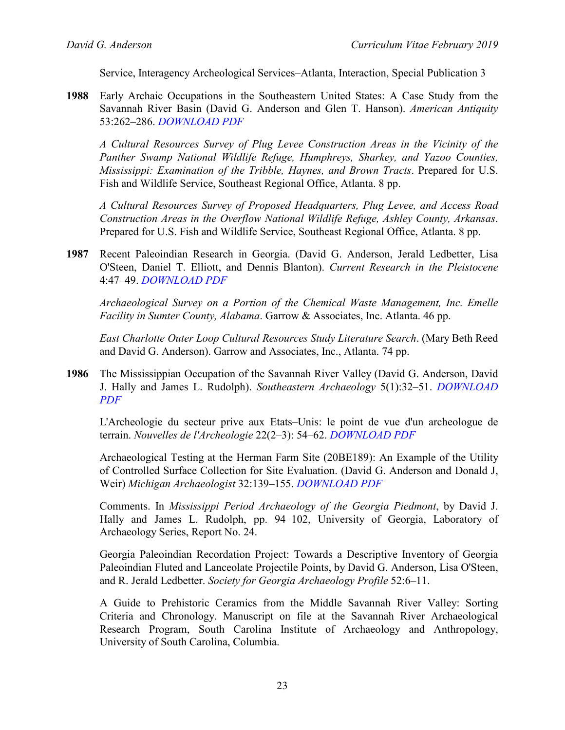Service, Interagency Archeological Services–Atlanta, Interaction, Special Publication 3

**1988** Early Archaic Occupations in the Southeastern United States: A Case Study from the Savannah River Basin (David G. Anderson and Glen T. Hanson). *American Antiquity* 53:262–286. *[DOWNLOAD PDF](http://pidba.org/anderson/cv/Anderson%20and%20Hanson%201988%20AmAnt.pdf)*

*A Cultural Resources Survey of Plug Levee Construction Areas in the Vicinity of the Panther Swamp National Wildlife Refuge, Humphreys, Sharkey, and Yazoo Counties, Mississippi: Examination of the Tribble, Haynes, and Brown Tracts*. Prepared for U.S. Fish and Wildlife Service, Southeast Regional Office, Atlanta. 8 pp.

*A Cultural Resources Survey of Proposed Headquarters, Plug Levee, and Access Road Construction Areas in the Overflow National Wildlife Refuge, Ashley County, Arkansas*. Prepared for U.S. Fish and Wildlife Service, Southeast Regional Office, Atlanta. 8 pp.

**1987** Recent Paleoindian Research in Georgia. (David G. Anderson, Jerald Ledbetter, Lisa O'Steen, Daniel T. Elliott, and Dennis Blanton). *Current Research in the Pleistocene* 4:47–49. *[DOWNLOAD PDF](http://pidba.org/anderson/cv/1987.Anderson%20et%20al.CRP.pdf)*

*Archaeological Survey on a Portion of the Chemical Waste Management, Inc. Emelle Facility in Sumter County, Alabama*. Garrow & Associates, Inc. Atlanta. 46 pp.

*East Charlotte Outer Loop Cultural Resources Study Literature Search*. (Mary Beth Reed and David G. Anderson). Garrow and Associates, Inc., Atlanta. 74 pp.

**1986** The Mississippian Occupation of the Savannah River Valley (David G. Anderson, David J. Hally and James L. Rudolph). *Southeastern Archaeology* 5(1):32–51. *[DOWNLOAD](http://pidba.org/anderson/cv/1986.Anderson.SA.pdf)  [PDF](http://pidba.org/anderson/cv/1986.Anderson.SA.pdf)*

L'Archeologie du secteur prive aux Etats–Unis: le point de vue d'un archeologue de terrain. *Nouvelles de l'Archeologie* 22(2–3): 54–62. *[DOWNLOAD PDF](http://pidba.org/anderson/cv/L)*

Archaeological Testing at the Herman Farm Site (20BE189): An Example of the Utility of Controlled Surface Collection for Site Evaluation. (David G. Anderson and Donald J, Weir) *Michigan Archaeologist* 32:139–155. *[DOWNLOAD PDF](http://pidba.org/anderson/cv/1985.Anderson.SCAF.pdf)*

Comments. In *Mississippi Period Archaeology of the Georgia Piedmont*, by David J. Hally and James L. Rudolph, pp. 94–102, University of Georgia, Laboratory of Archaeology Series, Report No. 24.

Georgia Paleoindian Recordation Project: Towards a Descriptive Inventory of Georgia Paleoindian Fluted and Lanceolate Projectile Points, by David G. Anderson, Lisa O'Steen, and R. Jerald Ledbetter. *Society for Georgia Archaeology Profile* 52:6–11.

A Guide to Prehistoric Ceramics from the Middle Savannah River Valley: Sorting Criteria and Chronology. Manuscript on file at the Savannah River Archaeological Research Program, South Carolina Institute of Archaeology and Anthropology, University of South Carolina, Columbia.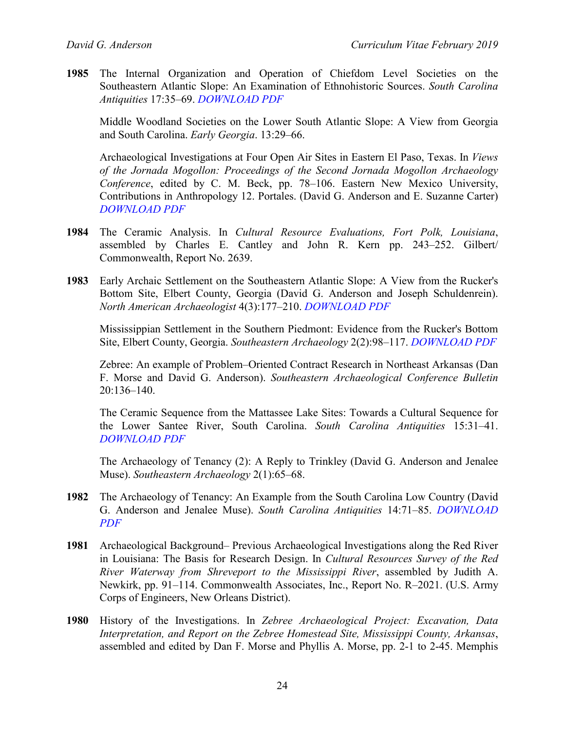**1985** The Internal Organization and Operation of Chiefdom Level Societies on the Southeastern Atlantic Slope: An Examination of Ethnohistoric Sources. *South Carolina Antiquities* 17:35–69. *[DOWNLOAD PDF](http://pidba.org/anderson/cv/1985.Anderson.SCA.pdf)*

Middle Woodland Societies on the Lower South Atlantic Slope: A View from Georgia and South Carolina. *Early Georgia*. 13:29–66.

Archaeological Investigations at Four Open Air Sites in Eastern El Paso, Texas. In *Views of the Jornada Mogollon: Proceedings of the Second Jornada Mogollon Archaeology Conference*, edited by C. M. Beck, pp. 78–106. Eastern New Mexico University, Contributions in Anthropology 12. Portales. (David G. Anderson and E. Suzanne Carter) *[DOWNLOAD PDF](http://pidba.org/anderson/cv/1985.Anderson.Carter.pdf)*

- **1984** The Ceramic Analysis. In *Cultural Resource Evaluations, Fort Polk, Louisiana*, assembled by Charles E. Cantley and John R. Kern pp. 243–252. Gilbert/ Commonwealth, Report No. 2639.
- **1983** Early Archaic Settlement on the Southeastern Atlantic Slope: A View from the Rucker's Bottom Site, Elbert County, Georgia (David G. Anderson and Joseph Schuldenrein). *North American Archaeologist* 4(3):177–210. *[DOWNLOAD PDF](http://pidba.org/anderson/cv/1983.Anderson.NAA.pdf)*

Mississippian Settlement in the Southern Piedmont: Evidence from the Rucker's Bottom Site, Elbert County, Georgia. *Southeastern Archaeology* 2(2):98–117. *[DOWNLOAD PDF](http://pidba.org/anderson/cv/Anderson%20and%20Schuldenrein%201983%20SA.pdf)*

Zebree: An example of Problem–Oriented Contract Research in Northeast Arkansas (Dan F. Morse and David G. Anderson). *Southeastern Archaeological Conference Bulletin* 20:136–140.

The Ceramic Sequence from the Mattassee Lake Sites: Towards a Cultural Sequence for the Lower Santee River, South Carolina. *South Carolina Antiquities* 15:31–41. *[DOWNLOAD PDF](http://pidba.org/anderson/cv/1983.Anderson.SCA.pdf)*

The Archaeology of Tenancy (2): A Reply to Trinkley (David G. Anderson and Jenalee Muse). *Southeastern Archaeology* 2(1):65–68.

- **1982** The Archaeology of Tenancy: An Example from the South Carolina Low Country (David G. Anderson and Jenalee Muse). *South Carolina Antiquities* 14:71–85. *[DOWNLOAD](http://pidba.org/anderson/cv/1982.Anderson.Muse.pdf)  [PDF](http://pidba.org/anderson/cv/1982.Anderson.Muse.pdf)*
- **1981** Archaeological Background– Previous Archaeological Investigations along the Red River in Louisiana: The Basis for Research Design. In *Cultural Resources Survey of the Red River Waterway from Shreveport to the Mississippi River*, assembled by Judith A. Newkirk, pp. 91–114. Commonwealth Associates, Inc., Report No. R–2021. (U.S. Army Corps of Engineers, New Orleans District).
- **1980** History of the Investigations. In *Zebree Archaeological Project: Excavation, Data Interpretation, and Report on the Zebree Homestead Site, Mississippi County, Arkansas*, assembled and edited by Dan F. Morse and Phyllis A. Morse, pp. 2-1 to 2-45. Memphis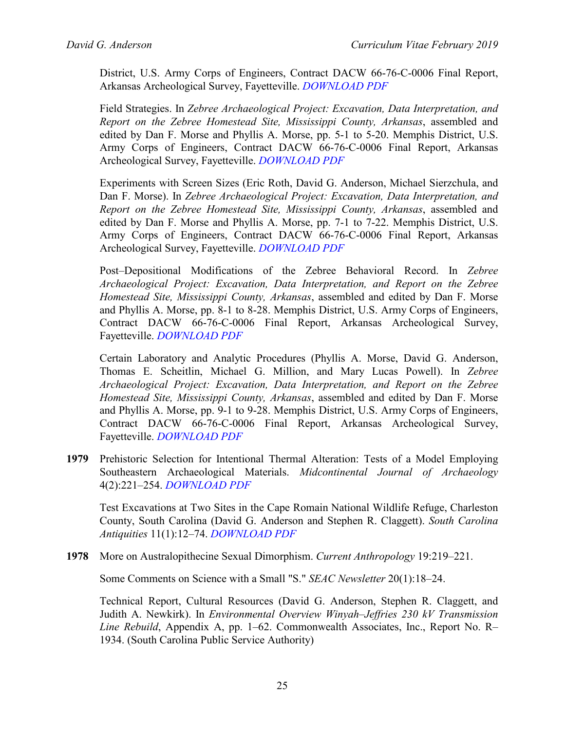District, U.S. Army Corps of Engineers, Contract DACW 66-76-C-0006 Final Report, Arkansas Archeological Survey, Fayetteville. *[DOWNLOAD PDF](http://pidba.org/anderson/cv/1980.Anderson.Zebree.pdf)*

Field Strategies. In *Zebree Archaeological Project: Excavation, Data Interpretation, and Report on the Zebree Homestead Site, Mississippi County, Arkansas*, assembled and edited by Dan F. Morse and Phyllis A. Morse, pp. 5-1 to 5-20. Memphis District, U.S. Army Corps of Engineers, Contract DACW 66-76-C-0006 Final Report, Arkansas Archeological Survey, Fayetteville. *[DOWNLOAD PDF](http://pidba.org/anderson/cv/1982.Anderson.Muse.pdf)*

Experiments with Screen Sizes (Eric Roth, David G. Anderson, Michael Sierzchula, and Dan F. Morse). In *Zebree Archaeological Project: Excavation, Data Interpretation, and Report on the Zebree Homestead Site, Mississippi County, Arkansas*, assembled and edited by Dan F. Morse and Phyllis A. Morse, pp. 7-1 to 7-22. Memphis District, U.S. Army Corps of Engineers, Contract DACW 66-76-C-0006 Final Report, Arkansas Archeological Survey, Fayetteville. *[DOWNLOAD PDF](http://pidba.org/anderson/cv/1982.Anderson.Muse.pdf)*

Post–Depositional Modifications of the Zebree Behavioral Record. In *Zebree Archaeological Project: Excavation, Data Interpretation, and Report on the Zebree Homestead Site, Mississippi County, Arkansas*, assembled and edited by Dan F. Morse and Phyllis A. Morse, pp. 8-1 to 8-28. Memphis District, U.S. Army Corps of Engineers, Contract DACW 66-76-C-0006 Final Report, Arkansas Archeological Survey, Fayetteville. *[DOWNLOAD PDF](http://pidba.org/anderson/cv/1982.Anderson.Muse.pdf)*

Certain Laboratory and Analytic Procedures (Phyllis A. Morse, David G. Anderson, Thomas E. Scheitlin, Michael G. Million, and Mary Lucas Powell). In *Zebree Archaeological Project: Excavation, Data Interpretation, and Report on the Zebree Homestead Site, Mississippi County, Arkansas*, assembled and edited by Dan F. Morse and Phyllis A. Morse, pp. 9-1 to 9-28. Memphis District, U.S. Army Corps of Engineers, Contract DACW 66-76-C-0006 Final Report, Arkansas Archeological Survey, Fayetteville. *[DOWNLOAD PDF](http://pidba.org/anderson/cv/1982.Anderson.Muse.pdf)*

**1979** Prehistoric Selection for Intentional Thermal Alteration: Tests of a Model Employing Southeastern Archaeological Materials. *Midcontinental Journal of Archaeology* 4(2):221–254. *[DOWNLOAD PDF](http://pidba.org/anderson/cv/Anderson%201979%20MCJA.pdf)*

Test Excavations at Two Sites in the Cape Romain National Wildlife Refuge, Charleston County, South Carolina (David G. Anderson and Stephen R. Claggett). *South Carolina Antiquities* 11(1):12–74. *[DOWNLOAD PDF](http://pidba.org/anderson/cv/1979.Anderson.Claggett.SCA.pdf)*

**1978** More on Australopithecine Sexual Dimorphism. *Current Anthropology* 19:219–221.

Some Comments on Science with a Small "S." *SEAC Newsletter* 20(1):18–24.

Technical Report, Cultural Resources (David G. Anderson, Stephen R. Claggett, and Judith A. Newkirk). In *Environmental Overview Winyah–Jeffries 230 kV Transmission Line Rebuild*, Appendix A, pp. 1–62. Commonwealth Associates, Inc., Report No. R– 1934. (South Carolina Public Service Authority)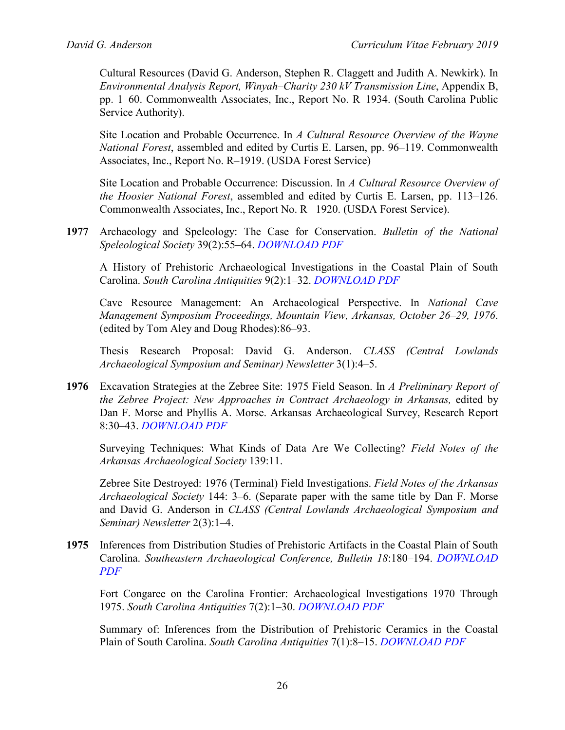Cultural Resources (David G. Anderson, Stephen R. Claggett and Judith A. Newkirk). In *Environmental Analysis Report, Winyah–Charity 230 kV Transmission Line*, Appendix B, pp. 1–60. Commonwealth Associates, Inc., Report No. R–1934. (South Carolina Public Service Authority).

Site Location and Probable Occurrence. In *A Cultural Resource Overview of the Wayne National Forest*, assembled and edited by Curtis E. Larsen, pp. 96–119. Commonwealth Associates, Inc., Report No. R–1919. (USDA Forest Service)

Site Location and Probable Occurrence: Discussion. In *A Cultural Resource Overview of the Hoosier National Forest*, assembled and edited by Curtis E. Larsen, pp. 113–126. Commonwealth Associates, Inc., Report No. R– 1920. (USDA Forest Service).

**1977** Archaeology and Speleology: The Case for Conservation. *Bulletin of the National Speleological Society* 39(2):55–64. *[DOWNLOAD PDF](http://pidba.org/anderson/cv/1977.Anderson.Speleology.pdf)*

A History of Prehistoric Archaeological Investigations in the Coastal Plain of South Carolina. *South Carolina Antiquities* 9(2):1–32. *[DOWNLOAD PDF](http://pidba.org/anderson/cv/1977.Anderson.SCA.pdf)*

Cave Resource Management: An Archaeological Perspective. In *National Cave Management Symposium Proceedings, Mountain View, Arkansas, October 26–29, 1976*. (edited by Tom Aley and Doug Rhodes):86–93.

Thesis Research Proposal: David G. Anderson. *CLASS (Central Lowlands Archaeological Symposium and Seminar) Newsletter* 3(1):4–5.

**1976** Excavation Strategies at the Zebree Site: 1975 Field Season. In *A Preliminary Report of the Zebree Project: New Approaches in Contract Archaeology in Arkansas,* edited by Dan F. Morse and Phyllis A. Morse. Arkansas Archaeological Survey, Research Report 8:30–43. *[DOWNLOAD PDF](http://pidba.org/anderson/cv/1976.Anderson.Zebree.pdf)*

Surveying Techniques: What Kinds of Data Are We Collecting? *Field Notes of the Arkansas Archaeological Society* 139:11.

Zebree Site Destroyed: 1976 (Terminal) Field Investigations. *Field Notes of the Arkansas Archaeological Society* 144: 3–6. (Separate paper with the same title by Dan F. Morse and David G. Anderson in *CLASS (Central Lowlands Archaeological Symposium and Seminar) Newsletter* 2(3):1–4.

**1975** Inferences from Distribution Studies of Prehistoric Artifacts in the Coastal Plain of South Carolina. *Southeastern Archaeological Conference, Bulletin 18*:180–194. *[DOWNLOAD](http://pidba.org/anderson/cv/Anderson%201975%20SEAC.pdf)  [PDF](http://pidba.org/anderson/cv/Anderson%201975%20SEAC.pdf)*

Fort Congaree on the Carolina Frontier: Archaeological Investigations 1970 Through 1975. *South Carolina Antiquities* 7(2):1–30. *[DOWNLOAD PDF](http://pidba.org/anderson/cv/1975.Anderson.SCA2.pdf)*

Summary of: Inferences from the Distribution of Prehistoric Ceramics in the Coastal Plain of South Carolina. *South Carolina Antiquities* 7(1):8–15. *[DOWNLOAD PDF](http://pidba.org/anderson/cv/1975.Anderson.SCA.pdf)*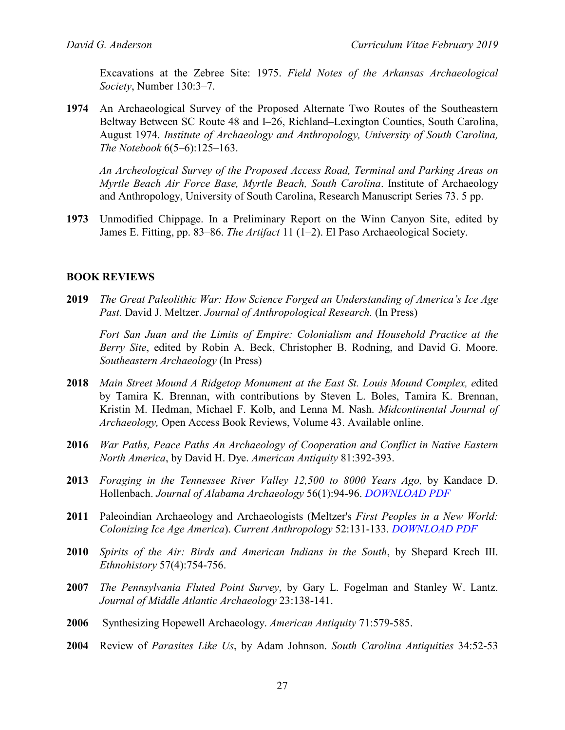Excavations at the Zebree Site: 1975. *Field Notes of the Arkansas Archaeological Society*, Number 130:3–7.

**1974** An Archaeological Survey of the Proposed Alternate Two Routes of the Southeastern Beltway Between SC Route 48 and I–26, Richland–Lexington Counties, South Carolina, August 1974. *Institute of Archaeology and Anthropology, University of South Carolina, The Notebook* 6(5–6):125–163.

*An Archeological Survey of the Proposed Access Road, Terminal and Parking Areas on Myrtle Beach Air Force Base, Myrtle Beach, South Carolina*. Institute of Archaeology and Anthropology, University of South Carolina, Research Manuscript Series 73. 5 pp.

**1973** Unmodified Chippage. In a Preliminary Report on the Winn Canyon Site, edited by James E. Fitting, pp. 83–86. *The Artifact* 11 (1–2). El Paso Archaeological Society.

## **BOOK REVIEWS**

**2019** *The Great Paleolithic War: How Science Forged an Understanding of America's Ice Age Past.* David J. Meltzer. *Journal of Anthropological Research.* (In Press)

*Fort San Juan and the Limits of Empire: Colonialism and Household Practice at the Berry Site*, edited by Robin A. Beck, Christopher B. Rodning, and David G. Moore. *Southeastern Archaeology* (In Press)

- **2018** *Main Street Mound A Ridgetop Monument at the East St. Louis Mound Complex, e*dited by Tamira K. Brennan, with contributions by Steven L. Boles, Tamira K. Brennan, Kristin M. Hedman, Michael F. Kolb, and Lenna M. Nash. *Midcontinental Journal of Archaeology,* Open Access Book Reviews, Volume 43. Available online.
- **2016** *War Paths, Peace Paths An Archaeology of Cooperation and Conflict in Native Eastern North America*, by David H. Dye. *American Antiquity* 81:392-393.
- **2013** *Foraging in the Tennessee River Valley 12,500 to 8000 Years Ago,* by Kandace D. Hollenbach. *Journal of Alabama Archaeology* 56(1):94-96. *[DOWNLOAD PDF](http://pidba.org/anderson/cv/2013.Anderson.JAA.pdf)*
- **2011** Paleoindian Archaeology and Archaeologists (Meltzer's *First Peoples in a New World: Colonizing Ice Age America*). *Current Anthropology* 52:131-133. *[DOWNLOAD PDF](http://pidba.org/anderson/cv/Anderson%20CA%20Meltzer%20Review.pdf)*
- **2010** *Spirits of the Air: Birds and American Indians in the South*, by Shepard Krech III. *Ethnohistory* 57(4):754-756.
- **2007** *The Pennsylvania Fluted Point Survey*, by Gary L. Fogelman and Stanley W. Lantz. *Journal of Middle Atlantic Archaeology* 23:138-141.
- **2006** Synthesizing Hopewell Archaeology. *American Antiquity* 71:579-585.
- **2004** Review of *Parasites Like Us*, by Adam Johnson. *South Carolina Antiquities* 34:52-53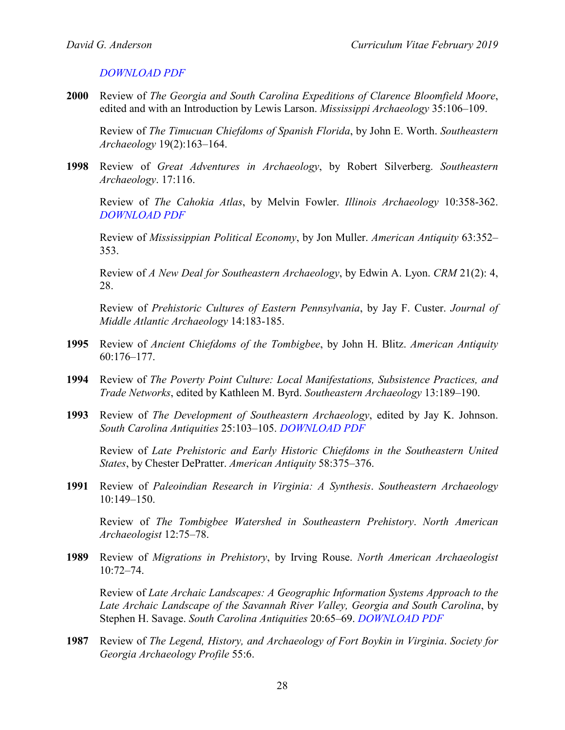#### *[DOWNLOAD PDF](http://pidba.org/anderson/cv/2004.Anderson.SCA.BookReview.pdf)*

**2000** Review of *The Georgia and South Carolina Expeditions of Clarence Bloomfield Moore*, edited and with an Introduction by Lewis Larson. *Mississippi Archaeology* 35:106–109.

Review of *The Timucuan Chiefdoms of Spanish Florida*, by John E. Worth. *Southeastern Archaeology* 19(2):163–164.

**1998** Review of *Great Adventures in Archaeology*, by Robert Silverberg. *Southeastern Archaeology*. 17:116.

Review of *The Cahokia Atlas*, by Melvin Fowler. *Illinois Archaeology* 10:358-362. *[DOWNLOAD PDF](http://pidba.org/anderson/cv/1998.Anderson.Review.pdf)*

Review of *Mississippian Political Economy*, by Jon Muller. *American Antiquity* 63:352– 353.

Review of *A New Deal for Southeastern Archaeology*, by Edwin A. Lyon. *CRM* 21(2): 4, 28.

Review of *Prehistoric Cultures of Eastern Pennsylvania*, by Jay F. Custer. *Journal of Middle Atlantic Archaeology* 14:183-185.

- **1995** Review of *Ancient Chiefdoms of the Tombigbee*, by John H. Blitz. *American Antiquity* 60:176–177.
- **1994** Review of *The Poverty Point Culture: Local Manifestations, Subsistence Practices, and Trade Networks*, edited by Kathleen M. Byrd. *Southeastern Archaeology* 13:189–190.
- **1993** Review of *The Development of Southeastern Archaeology*, edited by Jay K. Johnson. *South Carolina Antiquities* 25:103–105. *[DOWNLOAD PDF](http://pidba.org/anderson/cv/1993.Anderson.BookReview.pdf)*

Review of *Late Prehistoric and Early Historic Chiefdoms in the Southeastern United States*, by Chester DePratter. *American Antiquity* 58:375–376.

**1991** Review of *Paleoindian Research in Virginia: A Synthesis*. *Southeastern Archaeology* 10:149–150.

Review of *The Tombigbee Watershed in Southeastern Prehistory*. *North American Archaeologist* 12:75–78.

**1989** Review of *Migrations in Prehistory*, by Irving Rouse. *North American Archaeologist* 10:72–74.

Review of *Late Archaic Landscapes: A Geographic Information Systems Approach to the Late Archaic Landscape of the Savannah River Valley, Georgia and South Carolina*, by Stephen H. Savage. *South Carolina Antiquities* 20:65–69. *[DOWNLOAD PDF](http://pidba.org/anderson/cv/1989.Anderson.SCA.BookReview.pdf)*

**1987** Review of *The Legend, History, and Archaeology of Fort Boykin in Virginia*. *Society for Georgia Archaeology Profile* 55:6.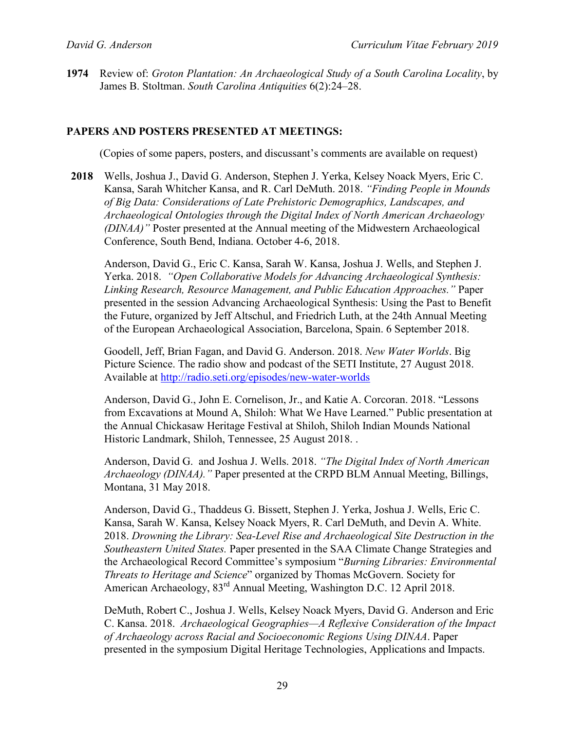**1974** Review of: *Groton Plantation: An Archaeological Study of a South Carolina Locality*, by James B. Stoltman. *South Carolina Antiquities* 6(2):24–28.

#### **PAPERS AND POSTERS PRESENTED AT MEETINGS:**

(Copies of some papers, posters, and discussant's comments are available on request)

**2018** Wells, Joshua J., David G. Anderson, Stephen J. Yerka, Kelsey Noack Myers, Eric C. Kansa, Sarah Whitcher Kansa, and R. Carl DeMuth. 2018. *"Finding People in Mounds of Big Data: Considerations of Late Prehistoric Demographics, Landscapes, and Archaeological Ontologies through the Digital Index of North American Archaeology (DINAA)"* Poster presented at the Annual meeting of the Midwestern Archaeological Conference, South Bend, Indiana. October 4-6, 2018.

Anderson, David G., Eric C. Kansa, Sarah W. Kansa, Joshua J. Wells, and Stephen J. Yerka. 2018. *"Open Collaborative Models for Advancing Archaeological Synthesis: Linking Research, Resource Management, and Public Education Approaches."* Paper presented in the session Advancing Archaeological Synthesis: Using the Past to Benefit the Future, organized by Jeff Altschul, and Friedrich Luth, at the 24th Annual Meeting of the European Archaeological Association, Barcelona, Spain. 6 September 2018.

Goodell, Jeff, Brian Fagan, and David G. Anderson. 2018. *New Water Worlds*. Big Picture Science. The radio show and podcast of the SETI Institute, 27 August 2018. Available at<http://radio.seti.org/episodes/new-water-worlds>

Anderson, David G., John E. Cornelison, Jr., and Katie A. Corcoran. 2018. "Lessons from Excavations at Mound A, Shiloh: What We Have Learned." Public presentation at the Annual Chickasaw Heritage Festival at Shiloh, Shiloh Indian Mounds National Historic Landmark, Shiloh, Tennessee, 25 August 2018. .

Anderson, David G. and Joshua J. Wells. 2018. *"The Digital Index of North American Archaeology (DINAA)."* Paper presented at the CRPD BLM Annual Meeting, Billings, Montana, 31 May 2018.

Anderson, David G., Thaddeus G. Bissett, Stephen J. Yerka, Joshua J. Wells, Eric C. Kansa, Sarah W. Kansa, Kelsey Noack Myers, R. Carl DeMuth, and Devin A. White. 2018. *Drowning the Library: Sea-Level Rise and Archaeological Site Destruction in the Southeastern United States.* Paper presented in the SAA Climate Change Strategies and the Archaeological Record Committee's symposium "*Burning Libraries: Environmental Threats to Heritage and Science*" organized by Thomas McGovern. Society for American Archaeology, 83<sup>rd</sup> Annual Meeting, Washington D.C. 12 April 2018.

DeMuth, Robert C., Joshua J. Wells, Kelsey Noack Myers, David G. Anderson and Eric C. Kansa. 2018. *Archaeological Geographies—A Reflexive Consideration of the Impact of Archaeology across Racial and Socioeconomic Regions Using DINAA*. Paper presented in the symposium Digital Heritage Technologies, Applications and Impacts.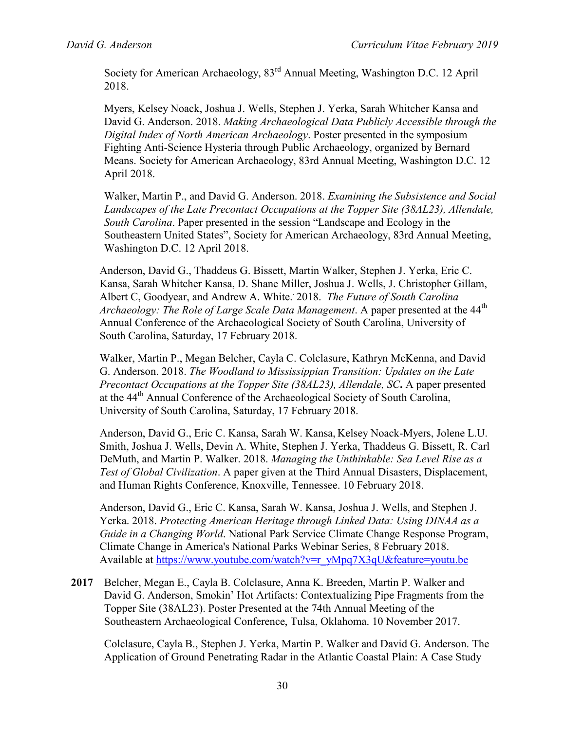Society for American Archaeology, 83rd Annual Meeting, Washington D.C. 12 April 2018.

Myers, Kelsey Noack, Joshua J. Wells, Stephen J. Yerka, Sarah Whitcher Kansa and David G. Anderson. 2018. *Making Archaeological Data Publicly Accessible through the Digital Index of North American Archaeology*. Poster presented in the symposium Fighting Anti-Science Hysteria through Public Archaeology, organized by Bernard Means. Society for American Archaeology, 83rd Annual Meeting, Washington D.C. 12 April 2018.

Walker, Martin P., and David G. Anderson. 2018. *Examining the Subsistence and Social Landscapes of the Late Precontact Occupations at the Topper Site (38AL23), Allendale, South Carolina*. Paper presented in the session "Landscape and Ecology in the Southeastern United States", Society for American Archaeology, 83rd Annual Meeting, Washington D.C. 12 April 2018.

Anderson, David G., Thaddeus G. Bissett, Martin Walker, Stephen J. Yerka, Eric C. Kansa, Sarah Whitcher Kansa, D. Shane Miller, Joshua J. Wells, J. Christopher Gillam, Albert C, Goodyear, and Andrew A. White. . 2018. *The Future of South Carolina*  Archaeology: The Role of Large Scale Data Management. A paper presented at the 44<sup>th</sup> Annual Conference of the Archaeological Society of South Carolina, University of South Carolina, Saturday, 17 February 2018.

Walker, Martin P., Megan Belcher, Cayla C. Colclasure, Kathryn McKenna, and David G. Anderson. 2018. *The Woodland to Mississippian Transition: Updates on the Late Precontact Occupations at the Topper Site (38AL23), Allendale, SC***.** A paper presented at the 44<sup>th</sup> Annual Conference of the Archaeological Society of South Carolina, University of South Carolina, Saturday, 17 February 2018.

Anderson, David G., Eric C. Kansa, Sarah W. Kansa, Kelsey Noack-Myers, Jolene L.U. Smith, Joshua J. Wells, Devin A. White, Stephen J. Yerka, Thaddeus G. Bissett, R. Carl DeMuth, and Martin P. Walker. 2018. *Managing the Unthinkable: Sea Level Rise as a Test of Global Civilization*. A paper given at the Third Annual Disasters, Displacement, and Human Rights Conference, Knoxville, Tennessee. 10 February 2018.

Anderson, David G., Eric C. Kansa, Sarah W. Kansa, Joshua J. Wells, and Stephen J. Yerka. 2018. *Protecting American Heritage through Linked Data: Using DINAA as a Guide in a Changing World*. National Park Service Climate Change Response Program, Climate Change in America's National Parks Webinar Series, 8 February 2018. Available at [https://www.youtube.com/watch?v=r\\_yMpq7X3qU&feature=youtu.be](https://www.youtube.com/watch?v=r_yMpq7X3qU&feature=youtu.be)

**2017** Belcher, Megan E., Cayla B. Colclasure, Anna K. Breeden, Martin P. Walker and David G. Anderson, Smokin' Hot Artifacts: Contextualizing Pipe Fragments from the Topper Site (38AL23). Poster Presented at the 74th Annual Meeting of the Southeastern Archaeological Conference, Tulsa, Oklahoma. 10 November 2017.

Colclasure, Cayla B., Stephen J. Yerka, Martin P. Walker and David G. Anderson. The Application of Ground Penetrating Radar in the Atlantic Coastal Plain: A Case Study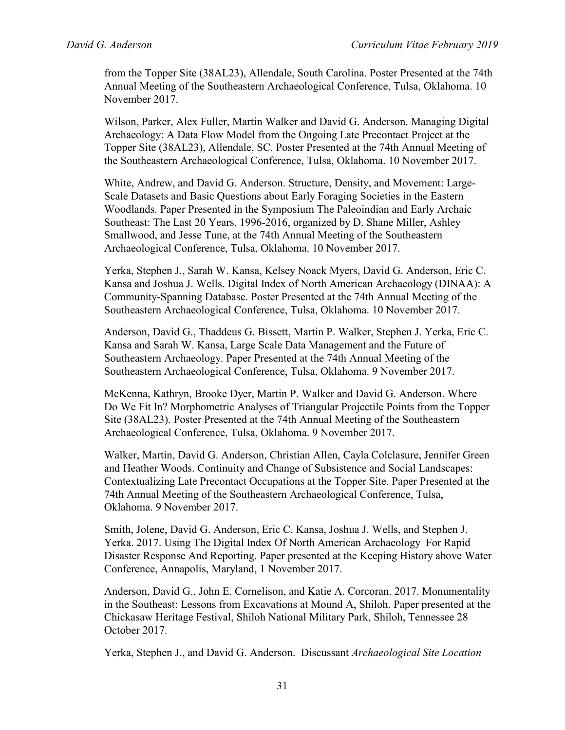from the Topper Site (38AL23), Allendale, South Carolina. Poster Presented at the 74th Annual Meeting of the Southeastern Archaeological Conference, Tulsa, Oklahoma. 10 November 2017.

Wilson, Parker, Alex Fuller, Martin Walker and David G. Anderson. Managing Digital Archaeology: A Data Flow Model from the Ongoing Late Precontact Project at the Topper Site (38AL23), Allendale, SC. Poster Presented at the 74th Annual Meeting of the Southeastern Archaeological Conference, Tulsa, Oklahoma. 10 November 2017.

White, Andrew, and David G. Anderson. Structure, Density, and Movement: Large-Scale Datasets and Basic Questions about Early Foraging Societies in the Eastern Woodlands. Paper Presented in the Symposium The Paleoindian and Early Archaic Southeast: The Last 20 Years, 1996-2016, organized by D. Shane Miller, Ashley Smallwood, and Jesse Tune, at the 74th Annual Meeting of the Southeastern Archaeological Conference, Tulsa, Oklahoma. 10 November 2017.

Yerka, Stephen J., Sarah W. Kansa, Kelsey Noack Myers, David G. Anderson, Eric C. Kansa and Joshua J. Wells. Digital Index of North American Archaeology (DINAA): A Community-Spanning Database. Poster Presented at the 74th Annual Meeting of the Southeastern Archaeological Conference, Tulsa, Oklahoma. 10 November 2017.

Anderson, David G., Thaddeus G. Bissett, Martin P. Walker, Stephen J. Yerka, Eric C. Kansa and Sarah W. Kansa, Large Scale Data Management and the Future of Southeastern Archaeology. Paper Presented at the 74th Annual Meeting of the Southeastern Archaeological Conference, Tulsa, Oklahoma. 9 November 2017.

McKenna, Kathryn, Brooke Dyer, Martin P. Walker and David G. Anderson. Where Do We Fit In? Morphometric Analyses of Triangular Projectile Points from the Topper Site (38AL23). Poster Presented at the 74th Annual Meeting of the Southeastern Archaeological Conference, Tulsa, Oklahoma. 9 November 2017.

Walker, Martin, David G. Anderson, Christian Allen, Cayla Colclasure, Jennifer Green and Heather Woods. Continuity and Change of Subsistence and Social Landscapes: Contextualizing Late Precontact Occupations at the Topper Site. Paper Presented at the 74th Annual Meeting of the Southeastern Archaeological Conference, Tulsa, Oklahoma. 9 November 2017.

Smith, Jolene, David G. Anderson, Eric C. Kansa, Joshua J. Wells, and Stephen J. Yerka. 2017. Using The Digital Index Of North American Archaeology For Rapid Disaster Response And Reporting. Paper presented at the Keeping History above Water Conference, Annapolis, Maryland, 1 November 2017.

Anderson, David G., John E. Cornelison, and Katie A. Corcoran. 2017. Monumentality in the Southeast: Lessons from Excavations at Mound A, Shiloh. Paper presented at the Chickasaw Heritage Festival, Shiloh National Military Park, Shiloh, Tennessee 28 October 2017.

Yerka, Stephen J., and David G. Anderson. Discussant *Archaeological Site Location*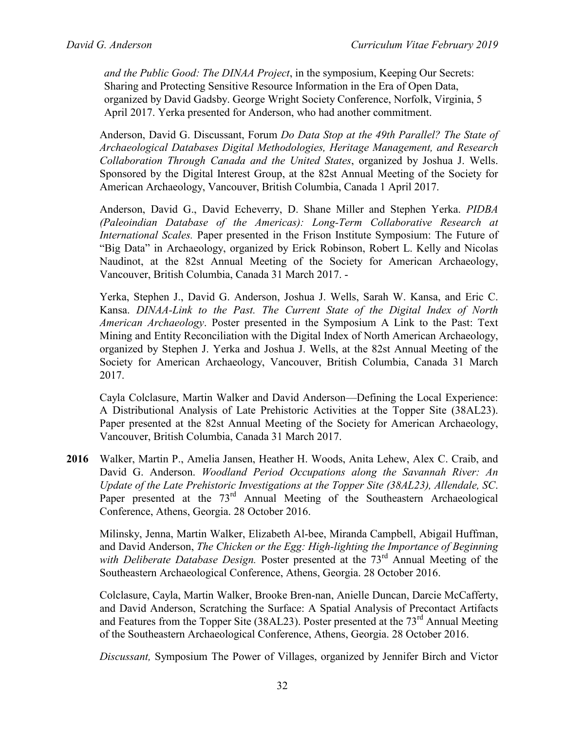*and the Public Good: The DINAA Project*, in the symposium, Keeping Our Secrets: Sharing and Protecting Sensitive Resource Information in the Era of Open Data, organized by David Gadsby. George Wright Society Conference, Norfolk, Virginia, 5 April 2017. Yerka presented for Anderson, who had another commitment.

Anderson, David G. Discussant, Forum *Do Data Stop at the 49th Parallel? The State of Archaeological Databases Digital Methodologies, Heritage Management, and Research Collaboration Through Canada and the United States*, organized by Joshua J. Wells. Sponsored by the Digital Interest Group, at the 82st Annual Meeting of the Society for American Archaeology, Vancouver, British Columbia, Canada 1 April 2017.

Anderson, David G., David Echeverry, D. Shane Miller and Stephen Yerka. *PIDBA (Paleoindian Database of the Americas): Long-Term Collaborative Research at International Scales.* Paper presented in the Frison Institute Symposium: The Future of "Big Data" in Archaeology, organized by Erick Robinson, Robert L. Kelly and Nicolas Naudinot, at the 82st Annual Meeting of the Society for American Archaeology, Vancouver, British Columbia, Canada 31 March 2017. -

Yerka, Stephen J., David G. Anderson, Joshua J. Wells, Sarah W. Kansa, and Eric C. Kansa. *DINAA-Link to the Past. The Current State of the Digital Index of North American Archaeology*. Poster presented in the Symposium A Link to the Past: Text Mining and Entity Reconciliation with the Digital Index of North American Archaeology, organized by Stephen J. Yerka and Joshua J. Wells, at the 82st Annual Meeting of the Society for American Archaeology, Vancouver, British Columbia, Canada 31 March 2017.

Cayla Colclasure, Martin Walker and David Anderson—Defining the Local Experience: A Distributional Analysis of Late Prehistoric Activities at the Topper Site (38AL23). Paper presented at the 82st Annual Meeting of the Society for American Archaeology, Vancouver, British Columbia, Canada 31 March 2017.

**2016** Walker, Martin P., Amelia Jansen, Heather H. Woods, Anita Lehew, Alex C. Craib, and David G. Anderson. *Woodland Period Occupations along the Savannah River: An Update of the Late Prehistoric Investigations at the Topper Site (38AL23), Allendale, SC*. Paper presented at the  $73<sup>rd</sup>$  Annual Meeting of the Southeastern Archaeological Conference, Athens, Georgia. 28 October 2016.

Milinsky, Jenna, Martin Walker, Elizabeth Al-bee, Miranda Campbell, Abigail Huffman, and David Anderson, *The Chicken or the Egg: High-lighting the Importance of Beginning*  with Deliberate Database Design. Poster presented at the 73<sup>rd</sup> Annual Meeting of the Southeastern Archaeological Conference, Athens, Georgia. 28 October 2016.

Colclasure, Cayla, Martin Walker, Brooke Bren-nan, Anielle Duncan, Darcie McCafferty, and David Anderson, Scratching the Surface: A Spatial Analysis of Precontact Artifacts and Features from the Topper Site  $(38AL23)$ . Poster presented at the  $73<sup>rd</sup>$  Annual Meeting of the Southeastern Archaeological Conference, Athens, Georgia. 28 October 2016.

*Discussant,* Symposium The Power of Villages, organized by Jennifer Birch and Victor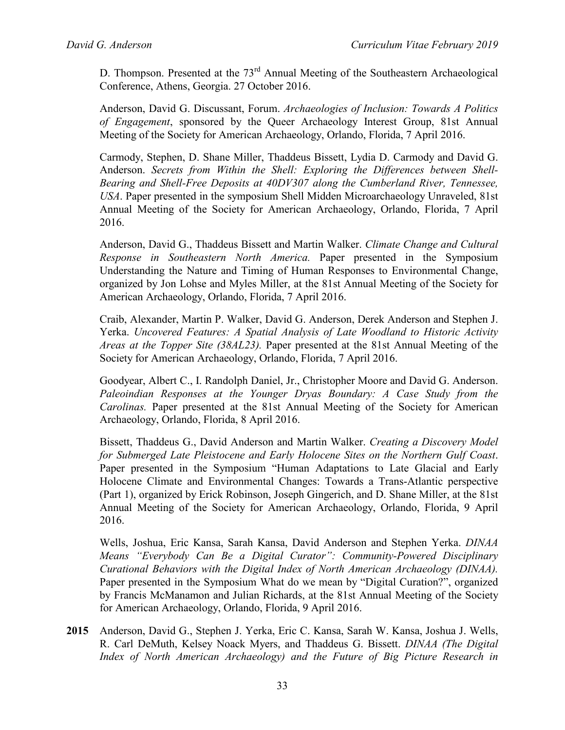D. Thompson. Presented at the 73<sup>rd</sup> Annual Meeting of the Southeastern Archaeological Conference, Athens, Georgia. 27 October 2016.

Anderson, David G. Discussant, Forum. *Archaeologies of Inclusion: Towards A Politics of Engagement*, sponsored by the Queer Archaeology Interest Group, 81st Annual Meeting of the Society for American Archaeology, Orlando, Florida, 7 April 2016.

Carmody, Stephen, D. Shane Miller, Thaddeus Bissett, Lydia D. Carmody and David G. Anderson. *Secrets from Within the Shell: Exploring the Differences between Shell-Bearing and Shell-Free Deposits at 40DV307 along the Cumberland River, Tennessee, USA*. Paper presented in the symposium Shell Midden Microarchaeology Unraveled, 81st Annual Meeting of the Society for American Archaeology, Orlando, Florida, 7 April 2016.

Anderson, David G., Thaddeus Bissett and Martin Walker. *Climate Change and Cultural Response in Southeastern North America.* Paper presented in the Symposium Understanding the Nature and Timing of Human Responses to Environmental Change, organized by Jon Lohse and Myles Miller, at the 81st Annual Meeting of the Society for American Archaeology, Orlando, Florida, 7 April 2016.

Craib, Alexander, Martin P. Walker, David G. Anderson, Derek Anderson and Stephen J. Yerka. *Uncovered Features: A Spatial Analysis of Late Woodland to Historic Activity Areas at the Topper Site (38AL23).* Paper presented at the 81st Annual Meeting of the Society for American Archaeology, Orlando, Florida, 7 April 2016.

Goodyear, Albert C., I. Randolph Daniel, Jr., Christopher Moore and David G. Anderson. *Paleoindian Responses at the Younger Dryas Boundary: A Case Study from the Carolinas.* Paper presented at the 81st Annual Meeting of the Society for American Archaeology, Orlando, Florida, 8 April 2016.

Bissett, Thaddeus G., David Anderson and Martin Walker. *Creating a Discovery Model for Submerged Late Pleistocene and Early Holocene Sites on the Northern Gulf Coast*. Paper presented in the Symposium "Human Adaptations to Late Glacial and Early Holocene Climate and Environmental Changes: Towards a Trans-Atlantic perspective (Part 1), organized by Erick Robinson, Joseph Gingerich, and D. Shane Miller, at the 81st Annual Meeting of the Society for American Archaeology, Orlando, Florida, 9 April 2016.

Wells, Joshua, Eric Kansa, Sarah Kansa, David Anderson and Stephen Yerka. *DINAA Means "Everybody Can Be a Digital Curator": Community-Powered Disciplinary Curational Behaviors with the Digital Index of North American Archaeology (DINAA).* Paper presented in the Symposium What do we mean by "Digital Curation?", organized by Francis McManamon and Julian Richards, at the 81st Annual Meeting of the Society for American Archaeology, Orlando, Florida, 9 April 2016.

**2015** Anderson, David G., Stephen J. Yerka, Eric C. Kansa, Sarah W. Kansa, Joshua J. Wells, R. Carl DeMuth, Kelsey Noack Myers, and Thaddeus G. Bissett. *DINAA (The Digital Index of North American Archaeology) and the Future of Big Picture Research in*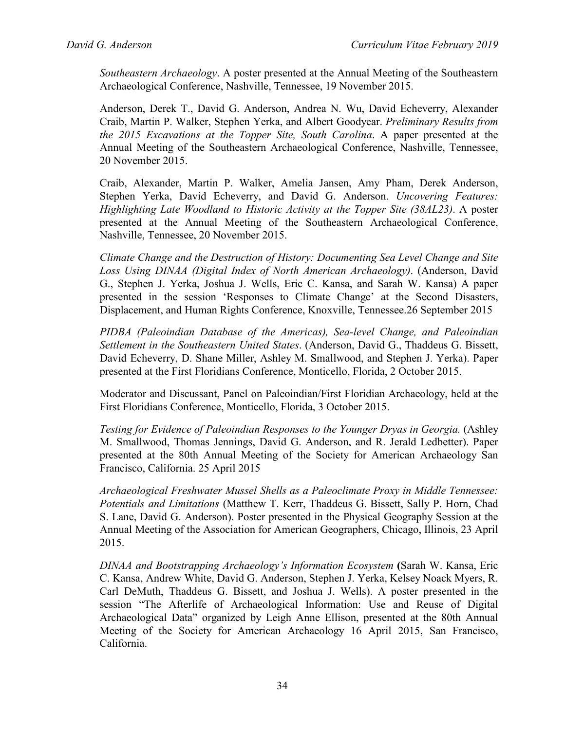*Southeastern Archaeology*. A poster presented at the Annual Meeting of the Southeastern Archaeological Conference, Nashville, Tennessee, 19 November 2015.

Anderson, Derek T., David G. Anderson, Andrea N. Wu, David Echeverry, Alexander Craib, Martin P. Walker, Stephen Yerka, and Albert Goodyear. *Preliminary Results from the 2015 Excavations at the Topper Site, South Carolina*. A paper presented at the Annual Meeting of the Southeastern Archaeological Conference, Nashville, Tennessee, 20 November 2015.

Craib, Alexander, Martin P. Walker, Amelia Jansen, Amy Pham, Derek Anderson, Stephen Yerka, David Echeverry, and David G. Anderson. *Uncovering Features: Highlighting Late Woodland to Historic Activity at the Topper Site (38AL23)*. A poster presented at the Annual Meeting of the Southeastern Archaeological Conference, Nashville, Tennessee, 20 November 2015.

*Climate Change and the Destruction of History: Documenting Sea Level Change and Site Loss Using DINAA (Digital Index of North American Archaeology)*. (Anderson, David G., Stephen J. Yerka, Joshua J. Wells, Eric C. Kansa, and Sarah W. Kansa) A paper presented in the session 'Responses to Climate Change' at the Second Disasters, Displacement, and Human Rights Conference, Knoxville, Tennessee.26 September 2015

*PIDBA (Paleoindian Database of the Americas), Sea-level Change, and Paleoindian Settlement in the Southeastern United States*. (Anderson, David G., Thaddeus G. Bissett, David Echeverry, D. Shane Miller, Ashley M. Smallwood, and Stephen J. Yerka). Paper presented at the First Floridians Conference, Monticello, Florida, 2 October 2015.

Moderator and Discussant, Panel on Paleoindian/First Floridian Archaeology, held at the First Floridians Conference, Monticello, Florida, 3 October 2015.

*Testing for Evidence of Paleoindian Responses to the Younger Dryas in Georgia.* (Ashley M. Smallwood, Thomas Jennings, David G. Anderson, and R. Jerald Ledbetter). Paper presented at the 80th Annual Meeting of the Society for American Archaeology San Francisco, California. 25 April 2015

*Archaeological Freshwater Mussel Shells as a Paleoclimate Proxy in Middle Tennessee: Potentials and Limitations* (Matthew T. Kerr, Thaddeus G. Bissett, Sally P. Horn, Chad S. Lane, David G. Anderson). Poster presented in the Physical Geography Session at the Annual Meeting of the Association for American Geographers, Chicago, Illinois, 23 April 2015.

*DINAA and Bootstrapping Archaeology's Information Ecosystem* **(**Sarah W. Kansa, Eric C. Kansa, Andrew White, David G. Anderson, Stephen J. Yerka, Kelsey Noack Myers, R. Carl DeMuth, Thaddeus G. Bissett, and Joshua J. Wells). A poster presented in the session "The Afterlife of Archaeological Information: Use and Reuse of Digital Archaeological Data" organized by Leigh Anne Ellison, presented at the 80th Annual Meeting of the Society for American Archaeology 16 April 2015, San Francisco, California.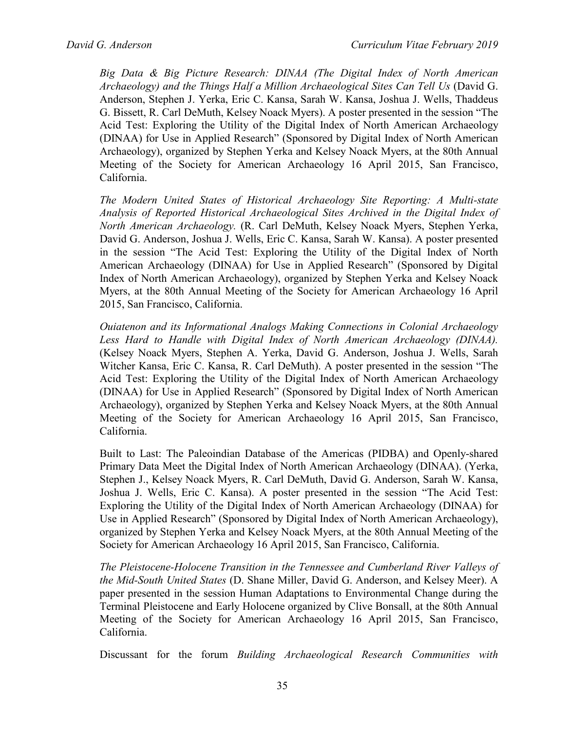*Big Data & Big Picture Research: DINAA (The Digital Index of North American Archaeology) and the Things Half a Million Archaeological Sites Can Tell Us* (David G. Anderson, Stephen J. Yerka, Eric C. Kansa, Sarah W. Kansa, Joshua J. Wells, Thaddeus G. Bissett, R. Carl DeMuth, Kelsey Noack Myers). A poster presented in the session "The Acid Test: Exploring the Utility of the Digital Index of North American Archaeology (DINAA) for Use in Applied Research" (Sponsored by Digital Index of North American Archaeology), organized by Stephen Yerka and Kelsey Noack Myers, at the 80th Annual Meeting of the Society for American Archaeology 16 April 2015, San Francisco, California.

*The Modern United States of Historical Archaeology Site Reporting: A Multi-state Analysis of Reported Historical Archaeological Sites Archived in the Digital Index of North American Archaeology.* (R. Carl DeMuth, Kelsey Noack Myers, Stephen Yerka, David G. Anderson, Joshua J. Wells, Eric C. Kansa, Sarah W. Kansa). A poster presented in the session "The Acid Test: Exploring the Utility of the Digital Index of North American Archaeology (DINAA) for Use in Applied Research" (Sponsored by Digital Index of North American Archaeology), organized by Stephen Yerka and Kelsey Noack Myers, at the 80th Annual Meeting of the Society for American Archaeology 16 April 2015, San Francisco, California.

*Ouiatenon and its Informational Analogs Making Connections in Colonial Archaeology Less Hard to Handle with Digital Index of North American Archaeology (DINAA).* (Kelsey Noack Myers, Stephen A. Yerka, David G. Anderson, Joshua J. Wells, Sarah Witcher Kansa, Eric C. Kansa, R. Carl DeMuth). A poster presented in the session "The Acid Test: Exploring the Utility of the Digital Index of North American Archaeology (DINAA) for Use in Applied Research" (Sponsored by Digital Index of North American Archaeology), organized by Stephen Yerka and Kelsey Noack Myers, at the 80th Annual Meeting of the Society for American Archaeology 16 April 2015, San Francisco, California.

Built to Last: The Paleoindian Database of the Americas (PIDBA) and Openly-shared Primary Data Meet the Digital Index of North American Archaeology (DINAA). (Yerka, Stephen J., Kelsey Noack Myers, R. Carl DeMuth, David G. Anderson, Sarah W. Kansa, Joshua J. Wells, Eric C. Kansa). A poster presented in the session "The Acid Test: Exploring the Utility of the Digital Index of North American Archaeology (DINAA) for Use in Applied Research" (Sponsored by Digital Index of North American Archaeology), organized by Stephen Yerka and Kelsey Noack Myers, at the 80th Annual Meeting of the Society for American Archaeology 16 April 2015, San Francisco, California.

*The Pleistocene-Holocene Transition in the Tennessee and Cumberland River Valleys of the Mid-South United States* (D. Shane Miller, David G. Anderson, and Kelsey Meer). A paper presented in the session Human Adaptations to Environmental Change during the Terminal Pleistocene and Early Holocene organized by Clive Bonsall, at the 80th Annual Meeting of the Society for American Archaeology 16 April 2015, San Francisco, California.

Discussant for the forum *Building Archaeological Research Communities with*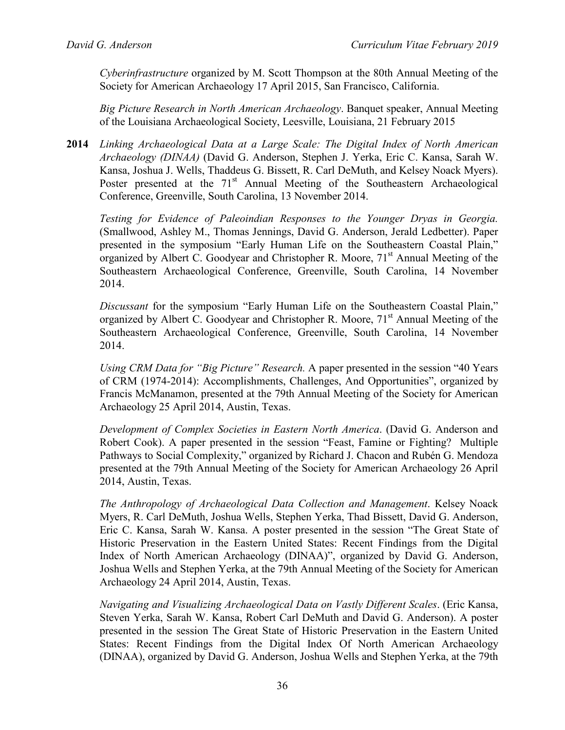*Cyberinfrastructure* organized by M. Scott Thompson at the 80th Annual Meeting of the Society for American Archaeology 17 April 2015, San Francisco, California.

*Big Picture Research in North American Archaeology*. Banquet speaker, Annual Meeting of the Louisiana Archaeological Society, Leesville, Louisiana, 21 February 2015

**2014** *Linking Archaeological Data at a Large Scale: The Digital Index of North American Archaeology (DINAA)* (David G. Anderson, Stephen J. Yerka, Eric C. Kansa, Sarah W. Kansa, Joshua J. Wells, Thaddeus G. Bissett, R. Carl DeMuth, and Kelsey Noack Myers). Poster presented at the  $71<sup>st</sup>$  Annual Meeting of the Southeastern Archaeological Conference, Greenville, South Carolina, 13 November 2014.

*Testing for Evidence of Paleoindian Responses to the Younger Dryas in Georgia.* (Smallwood, Ashley M., Thomas Jennings, David G. Anderson, Jerald Ledbetter). Paper presented in the symposium "Early Human Life on the Southeastern Coastal Plain," organized by Albert C. Goodyear and Christopher R. Moore, 71<sup>st</sup> Annual Meeting of the Southeastern Archaeological Conference, Greenville, South Carolina, 14 November 2014.

*Discussant* for the symposium "Early Human Life on the Southeastern Coastal Plain," organized by Albert C. Goodyear and Christopher R. Moore,  $71<sup>st</sup>$  Annual Meeting of the Southeastern Archaeological Conference, Greenville, South Carolina, 14 November 2014.

*Using CRM Data for "Big Picture" Research.* A paper presented in the session "40 Years of CRM (1974-2014): Accomplishments, Challenges, And Opportunities", organized by Francis McManamon, presented at the 79th Annual Meeting of the Society for American Archaeology 25 April 2014, Austin, Texas.

*Development of Complex Societies in Eastern North America*. (David G. Anderson and Robert Cook). A paper presented in the session "Feast, Famine or Fighting? Multiple Pathways to Social Complexity," organized by Richard J. Chacon and Rubén G. Mendoza presented at the 79th Annual Meeting of the Society for American Archaeology 26 April 2014, Austin, Texas.

*The Anthropology of Archaeological Data Collection and Management*. Kelsey Noack Myers, R. Carl DeMuth, Joshua Wells, Stephen Yerka, Thad Bissett, David G. Anderson, Eric C. Kansa, Sarah W. Kansa. A poster presented in the session "The Great State of Historic Preservation in the Eastern United States: Recent Findings from the Digital Index of North American Archaeology (DINAA)", organized by David G. Anderson, Joshua Wells and Stephen Yerka, at the 79th Annual Meeting of the Society for American Archaeology 24 April 2014, Austin, Texas.

*Navigating and Visualizing Archaeological Data on Vastly Different Scales*. (Eric Kansa, Steven Yerka, Sarah W. Kansa, Robert Carl DeMuth and David G. Anderson). A poster presented in the session The Great State of Historic Preservation in the Eastern United States: Recent Findings from the Digital Index Of North American Archaeology (DINAA), organized by David G. Anderson, Joshua Wells and Stephen Yerka, at the 79th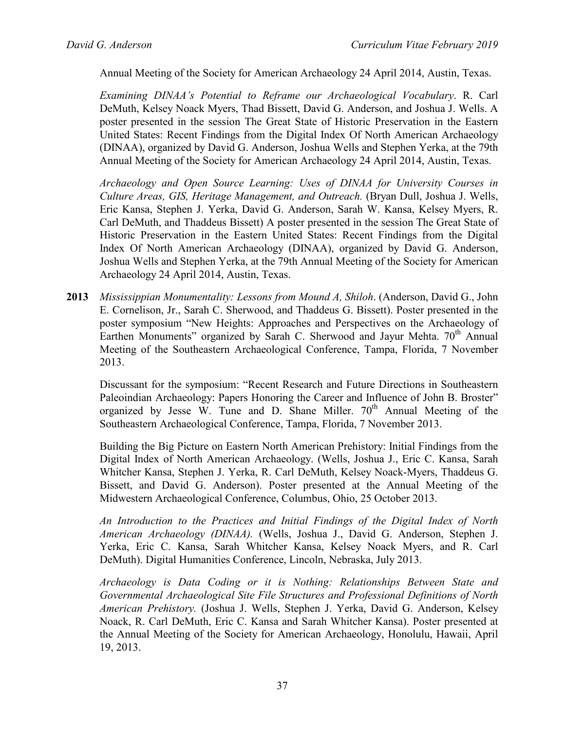Annual Meeting of the Society for American Archaeology 24 April 2014, Austin, Texas.

*Examining DINAA's Potential to Reframe our Archaeological Vocabulary*. R. Carl DeMuth, Kelsey Noack Myers, Thad Bissett, David G. Anderson, and Joshua J. Wells. A poster presented in the session The Great State of Historic Preservation in the Eastern United States: Recent Findings from the Digital Index Of North American Archaeology (DINAA), organized by David G. Anderson, Joshua Wells and Stephen Yerka, at the 79th Annual Meeting of the Society for American Archaeology 24 April 2014, Austin, Texas.

*Archaeology and Open Source Learning: Uses of DINAA for University Courses in Culture Areas, GIS, Heritage Management, and Outreach.* (Bryan Dull, Joshua J. Wells, Eric Kansa, Stephen J. Yerka, David G. Anderson, Sarah W. Kansa, Kelsey Myers, R. Carl DeMuth, and Thaddeus Bissett) A poster presented in the session The Great State of Historic Preservation in the Eastern United States: Recent Findings from the Digital Index Of North American Archaeology (DINAA), organized by David G. Anderson, Joshua Wells and Stephen Yerka, at the 79th Annual Meeting of the Society for American Archaeology 24 April 2014, Austin, Texas.

**2013** *Mississippian Monumentality: Lessons from Mound A, Shiloh*. (Anderson, David G., John E. Cornelison, Jr., Sarah C. Sherwood, and Thaddeus G. Bissett). Poster presented in the poster symposium "New Heights: Approaches and Perspectives on the Archaeology of Earthen Monuments" organized by Sarah C. Sherwood and Jayur Mehta.  $70<sup>th</sup>$  Annual Meeting of the Southeastern Archaeological Conference, Tampa, Florida, 7 November 2013.

Discussant for the symposium: "Recent Research and Future Directions in Southeastern Paleoindian Archaeology: Papers Honoring the Career and Influence of John B. Broster" organized by Jesse W. Tune and D. Shane Miller.  $70<sup>th</sup>$  Annual Meeting of the Southeastern Archaeological Conference, Tampa, Florida, 7 November 2013.

Building the Big Picture on Eastern North American Prehistory: Initial Findings from the Digital Index of North American Archaeology. (Wells, Joshua J., Eric C. Kansa, Sarah Whitcher Kansa, Stephen J. Yerka, R. Carl DeMuth, Kelsey Noack-Myers, Thaddeus G. Bissett, and David G. Anderson). Poster presented at the Annual Meeting of the Midwestern Archaeological Conference, Columbus, Ohio, 25 October 2013.

*An Introduction to the Practices and Initial Findings of the Digital Index of North American Archaeology (DINAA).* (Wells, Joshua J., David G. Anderson, Stephen J. Yerka, Eric C. Kansa, Sarah Whitcher Kansa, Kelsey Noack Myers, and R. Carl DeMuth). Digital Humanities Conference, Lincoln, Nebraska, July 2013.

*Archaeology is Data Coding or it is Nothing: Relationships Between State and Governmental Archaeological Site File Structures and Professional Definitions of North American Prehistory.* (Joshua J. Wells, Stephen J. Yerka, David G. Anderson, Kelsey Noack, R. Carl DeMuth, Eric C. Kansa and Sarah Whitcher Kansa). Poster presented at the Annual Meeting of the Society for American Archaeology, Honolulu, Hawaii, April 19, 2013.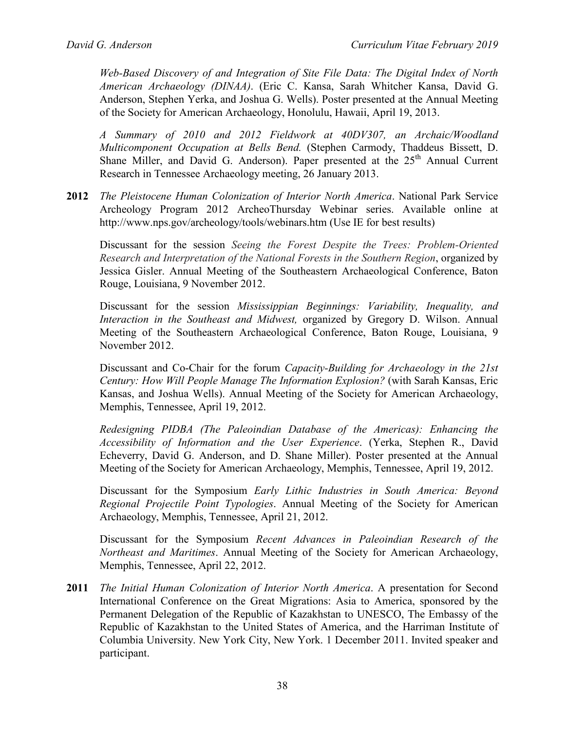*Web-Based Discovery of and Integration of Site File Data: The Digital Index of North American Archaeology (DINAA)*. (Eric C. Kansa, Sarah Whitcher Kansa, David G. Anderson, Stephen Yerka, and Joshua G. Wells). Poster presented at the Annual Meeting of the Society for American Archaeology, Honolulu, Hawaii, April 19, 2013.

*A Summary of 2010 and 2012 Fieldwork at 40DV307, an Archaic/Woodland Multicomponent Occupation at Bells Bend.* (Stephen Carmody, Thaddeus Bissett, D. Shane Miller, and David G. Anderson). Paper presented at the  $25<sup>th</sup>$  Annual Current Research in Tennessee Archaeology meeting, 26 January 2013.

**2012** *The Pleistocene Human Colonization of Interior North America*. National Park Service Archeology Program 2012 ArcheoThursday Webinar series. Available online at <http://www.nps.gov/archeology/tools/webinars.htm> (Use IE for best results)

Discussant for the session *Seeing the Forest Despite the Trees: Problem-Oriented Research and Interpretation of the National Forests in the Southern Region*, organized by Jessica Gisler. Annual Meeting of the Southeastern Archaeological Conference, Baton Rouge, Louisiana, 9 November 2012.

Discussant for the session *Mississippian Beginnings: Variability, Inequality, and Interaction in the Southeast and Midwest,* organized by Gregory D. Wilson. Annual Meeting of the Southeastern Archaeological Conference, Baton Rouge, Louisiana, 9 November 2012.

Discussant and Co-Chair for the forum *Capacity-Building for Archaeology in the 21st Century: How Will People Manage The Information Explosion?* (with Sarah Kansas, Eric Kansas, and Joshua Wells). Annual Meeting of the Society for American Archaeology, Memphis, Tennessee, April 19, 2012.

*Redesigning PIDBA (The Paleoindian Database of the Americas): Enhancing the Accessibility of Information and the User Experience*. (Yerka, Stephen R., David Echeverry, David G. Anderson, and D. Shane Miller). Poster presented at the Annual Meeting of the Society for American Archaeology, Memphis, Tennessee, April 19, 2012.

Discussant for the Symposium *Early Lithic Industries in South America: Beyond Regional Projectile Point Typologies*. Annual Meeting of the Society for American Archaeology, Memphis, Tennessee, April 21, 2012.

Discussant for the Symposium *Recent Advances in Paleoindian Research of the Northeast and Maritimes*. Annual Meeting of the Society for American Archaeology, Memphis, Tennessee, April 22, 2012.

**2011** *The Initial Human Colonization of Interior North America*. A presentation for Second International Conference on the Great Migrations: Asia to America, sponsored by the Permanent Delegation of the Republic of Kazakhstan to UNESCO, The Embassy of the Republic of Kazakhstan to the United States of America, and the Harriman Institute of Columbia University. New York City, New York. 1 December 2011. Invited speaker and participant.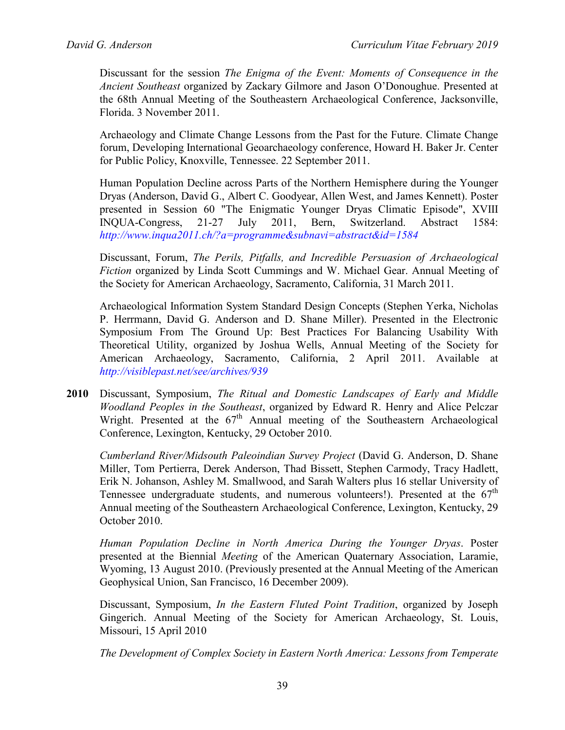Discussant for the session *The Enigma of the Event: Moments of Consequence in the Ancient Southeast* organized by Zackary Gilmore and Jason O'Donoughue. Presented at the 68th Annual Meeting of the Southeastern Archaeological Conference, Jacksonville, Florida. 3 November 2011.

Archaeology and Climate Change Lessons from the Past for the Future. Climate Change forum, Developing International Geoarchaeology conference, Howard H. Baker Jr. Center for Public Policy, Knoxville, Tennessee. 22 September 2011.

Human Population Decline across Parts of the Northern Hemisphere during the Younger Dryas (Anderson, David G., Albert C. Goodyear, Allen West, and James Kennett). Poster presented in Session 60 "The Enigmatic Younger Dryas Climatic Episode", XVIII INQUA-Congress, 21-27 July 2011, Bern, Switzerland. Abstract 1584: *<http://www.inqua2011.ch/?a=programme&subnavi=abstract&id=1584>*

Discussant, Forum, *The Perils, Pitfalls, and Incredible Persuasion of Archaeological Fiction* organized by Linda Scott Cummings and W. Michael Gear. Annual Meeting of the Society for American Archaeology, Sacramento, California, 31 March 2011.

Archaeological Information System Standard Design Concepts (Stephen Yerka, Nicholas P. Herrmann, David G. Anderson and D. Shane Miller). Presented in the Electronic Symposium From The Ground Up: Best Practices For Balancing Usability With Theoretical Utility, organized by Joshua Wells, Annual Meeting of the Society for American Archaeology, Sacramento, California, 2 April 2011. Available at *<http://visiblepast.net/see/archives/939>*

**2010** Discussant, Symposium, *The Ritual and Domestic Landscapes of Early and Middle Woodland Peoples in the Southeast*, organized by Edward R. Henry and Alice Pelczar Wright. Presented at the  $67<sup>th</sup>$  Annual meeting of the Southeastern Archaeological Conference, Lexington, Kentucky, 29 October 2010.

*Cumberland River/Midsouth Paleoindian Survey Project* (David G. Anderson, D. Shane Miller, Tom Pertierra, Derek Anderson, Thad Bissett, Stephen Carmody, Tracy Hadlett, Erik N. Johanson, Ashley M. Smallwood, and Sarah Walters plus 16 stellar University of Tennessee undergraduate students, and numerous volunteers!). Presented at the  $67<sup>th</sup>$ Annual meeting of the Southeastern Archaeological Conference, Lexington, Kentucky, 29 October 2010.

*Human Population Decline in North America During the Younger Dryas*. Poster presented at the Biennial *Meeting* of the American Quaternary Association, Laramie, Wyoming, 13 August 2010. (Previously presented at the Annual Meeting of the American Geophysical Union, San Francisco, 16 December 2009).

Discussant, Symposium, *In the Eastern Fluted Point Tradition*, organized by Joseph Gingerich. Annual Meeting of the Society for American Archaeology, St. Louis, Missouri, 15 April 2010

*The Development of Complex Society in Eastern North America: Lessons from Temperate*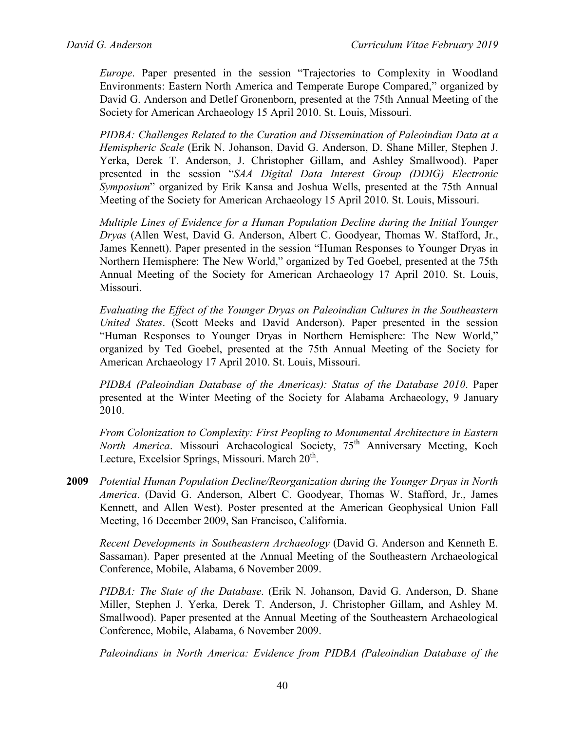*Europe*. Paper presented in the session "Trajectories to Complexity in Woodland Environments: Eastern North America and Temperate Europe Compared," organized by David G. Anderson and Detlef Gronenborn, presented at the 75th Annual Meeting of the Society for American Archaeology 15 April 2010. St. Louis, Missouri.

*PIDBA: Challenges Related to the Curation and Dissemination of Paleoindian Data at a Hemispheric Scale* (Erik N. Johanson, David G. Anderson, D. Shane Miller, Stephen J. Yerka, Derek T. Anderson, J. Christopher Gillam, and Ashley Smallwood). Paper presented in the session "*SAA Digital Data Interest Group (DDIG) Electronic Symposium*" organized by Erik Kansa and Joshua Wells, presented at the 75th Annual Meeting of the Society for American Archaeology 15 April 2010. St. Louis, Missouri.

*Multiple Lines of Evidence for a Human Population Decline during the Initial Younger Dryas* (Allen West, David G. Anderson, Albert C. Goodyear, Thomas W. Stafford, Jr., James Kennett). Paper presented in the session "Human Responses to Younger Dryas in Northern Hemisphere: The New World," organized by Ted Goebel, presented at the 75th Annual Meeting of the Society for American Archaeology 17 April 2010. St. Louis, Missouri.

*Evaluating the Effect of the Younger Dryas on Paleoindian Cultures in the Southeastern United States*. (Scott Meeks and David Anderson). Paper presented in the session "Human Responses to Younger Dryas in Northern Hemisphere: The New World," organized by Ted Goebel, presented at the 75th Annual Meeting of the Society for American Archaeology 17 April 2010. St. Louis, Missouri.

*PIDBA (Paleoindian Database of the Americas): Status of the Database 2010*. Paper presented at the Winter Meeting of the Society for Alabama Archaeology, 9 January 2010.

*From Colonization to Complexity: First Peopling to Monumental Architecture in Eastern North America*. Missouri Archaeological Society, 75<sup>th</sup> Anniversary Meeting, Koch Lecture, Excelsior Springs, Missouri. March 20<sup>th</sup>.

**2009** *Potential Human Population Decline/Reorganization during the Younger Dryas in North America*. (David G. Anderson, Albert C. Goodyear, Thomas W. Stafford, Jr., James Kennett, and Allen West). Poster presented at the American Geophysical Union Fall Meeting, 16 December 2009, San Francisco, California.

*Recent Developments in Southeastern Archaeology* (David G. Anderson and Kenneth E. Sassaman). Paper presented at the Annual Meeting of the Southeastern Archaeological Conference, Mobile, Alabama, 6 November 2009.

*PIDBA: The State of the Database*. (Erik N. Johanson, David G. Anderson, D. Shane Miller, Stephen J. Yerka, Derek T. Anderson, J. Christopher Gillam, and Ashley M. Smallwood). Paper presented at the Annual Meeting of the Southeastern Archaeological Conference, Mobile, Alabama, 6 November 2009.

*Paleoindians in North America: Evidence from PIDBA (Paleoindian Database of the*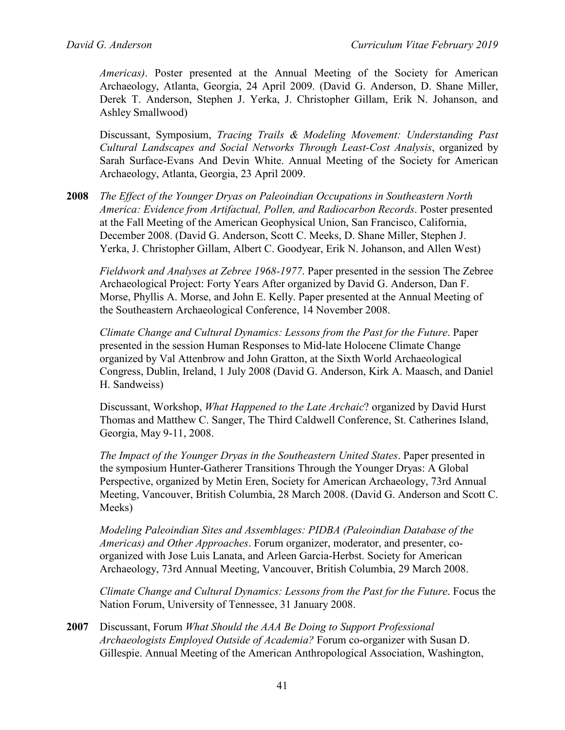*Americas)*. Poster presented at the Annual Meeting of the Society for American Archaeology, Atlanta, Georgia, 24 April 2009. (David G. Anderson, D. Shane Miller, Derek T. Anderson, Stephen J. Yerka, J. Christopher Gillam, Erik N. Johanson, and Ashley Smallwood)

Discussant, Symposium, *Tracing Trails & Modeling Movement: Understanding Past Cultural Landscapes and Social Networks Through Least-Cost Analysis*, organized by Sarah Surface-Evans And Devin White. Annual Meeting of the Society for American Archaeology, Atlanta, Georgia, 23 April 2009.

**2008** *The Effect of the Younger Dryas on Paleoindian Occupations in Southeastern North America: Evidence from Artifactual, Pollen, and Radiocarbon Records*. Poster presented at the Fall Meeting of the American Geophysical Union, San Francisco, California, December 2008. (David G. Anderson, Scott C. Meeks, D. Shane Miller, Stephen J. Yerka, J. Christopher Gillam, Albert C. Goodyear, Erik N. Johanson, and Allen West)

*Fieldwork and Analyses at Zebree 1968-1977*. Paper presented in the session The Zebree Archaeological Project: Forty Years After organized by David G. Anderson, Dan F. Morse, Phyllis A. Morse, and John E. Kelly. Paper presented at the Annual Meeting of the Southeastern Archaeological Conference, 14 November 2008.

*Climate Change and Cultural Dynamics: Lessons from the Past for the Future*. Paper presented in the session Human Responses to Mid-late Holocene Climate Change organized by Val Attenbrow and John Gratton, at the Sixth World Archaeological Congress, Dublin, Ireland, 1 July 2008 (David G. Anderson, Kirk A. Maasch, and Daniel H. Sandweiss)

Discussant, Workshop, *What Happened to the Late Archaic*? organized by David Hurst Thomas and Matthew C. Sanger, The Third Caldwell Conference, St. Catherines Island, Georgia, May 9-11, 2008.

*The Impact of the Younger Dryas in the Southeastern United States*. Paper presented in the symposium Hunter-Gatherer Transitions Through the Younger Dryas: A Global Perspective, organized by Metin Eren, Society for American Archaeology, 73rd Annual Meeting, Vancouver, British Columbia, 28 March 2008. (David G. Anderson and Scott C. Meeks)

*Modeling Paleoindian Sites and Assemblages: PIDBA (Paleoindian Database of the Americas) and Other Approaches*. Forum organizer, moderator, and presenter, coorganized with Jose Luis Lanata, and Arleen Garcia-Herbst. Society for American Archaeology, 73rd Annual Meeting, Vancouver, British Columbia, 29 March 2008.

*Climate Change and Cultural Dynamics: Lessons from the Past for the Future*. Focus the Nation Forum, University of Tennessee, 31 January 2008.

**2007** Discussant, Forum *What Should the AAA Be Doing to Support Professional Archaeologists Employed Outside of Academia?* Forum co-organizer with Susan D. Gillespie. Annual Meeting of the American Anthropological Association, Washington,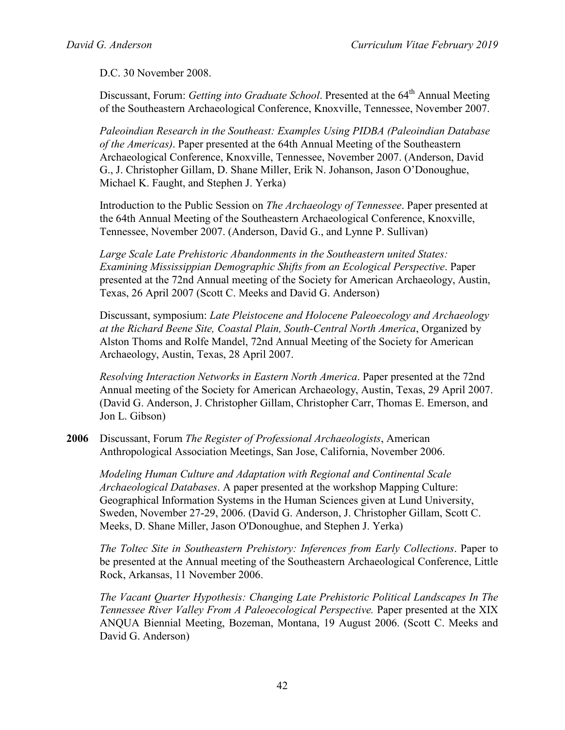D.C. 30 November 2008.

Discussant, Forum: *Getting into Graduate School*. Presented at the 64<sup>th</sup> Annual Meeting of the Southeastern Archaeological Conference, Knoxville, Tennessee, November 2007.

*Paleoindian Research in the Southeast: Examples Using PIDBA (Paleoindian Database of the Americas)*. Paper presented at the 64th Annual Meeting of the Southeastern Archaeological Conference, Knoxville, Tennessee, November 2007. (Anderson, David G., J. Christopher Gillam, D. Shane Miller, Erik N. Johanson, Jason O'Donoughue, Michael K. Faught, and Stephen J. Yerka)

Introduction to the Public Session on *The Archaeology of Tennessee*. Paper presented at the 64th Annual Meeting of the Southeastern Archaeological Conference, Knoxville, Tennessee, November 2007. (Anderson, David G., and Lynne P. Sullivan)

*Large Scale Late Prehistoric Abandonments in the Southeastern united States: Examining Mississippian Demographic Shifts from an Ecological Perspective*. Paper presented at the 72nd Annual meeting of the Society for American Archaeology, Austin, Texas, 26 April 2007 (Scott C. Meeks and David G. Anderson)

Discussant, symposium: *Late Pleistocene and Holocene Paleoecology and Archaeology at the Richard Beene Site, Coastal Plain, South-Central North America*, Organized by Alston Thoms and Rolfe Mandel, 72nd Annual Meeting of the Society for American Archaeology, Austin, Texas, 28 April 2007.

*Resolving Interaction Networks in Eastern North America*. Paper presented at the 72nd Annual meeting of the Society for American Archaeology, Austin, Texas, 29 April 2007. (David G. Anderson, J. Christopher Gillam, Christopher Carr, Thomas E. Emerson, and Jon L. Gibson)

**2006** Discussant, Forum *The Register of Professional Archaeologists*, American Anthropological Association Meetings, San Jose, California, November 2006.

*Modeling Human Culture and Adaptation with Regional and Continental Scale Archaeological Databases*. A paper presented at the workshop Mapping Culture: Geographical Information Systems in the Human Sciences given at Lund University, Sweden, November 27-29, 2006. (David G. Anderson, J. Christopher Gillam, Scott C. Meeks, D. Shane Miller, Jason O'Donoughue, and Stephen J. Yerka)

*The Toltec Site in Southeastern Prehistory: Inferences from Early Collections*. Paper to be presented at the Annual meeting of the Southeastern Archaeological Conference, Little Rock, Arkansas, 11 November 2006.

*The Vacant Quarter Hypothesis: Changing Late Prehistoric Political Landscapes In The Tennessee River Valley From A Paleoecological Perspective.* Paper presented at the XIX ANQUA Biennial Meeting, Bozeman, Montana, 19 August 2006. (Scott C. Meeks and David G. Anderson)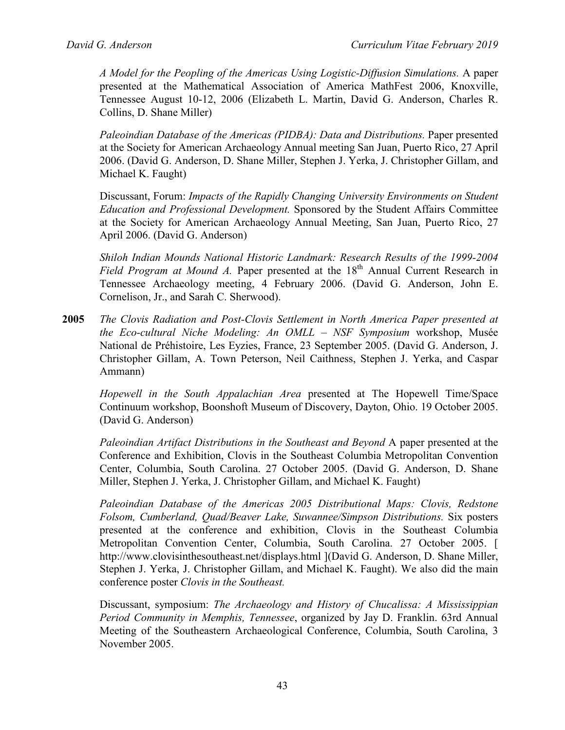*A Model for the Peopling of the Americas Using Logistic-Diffusion Simulations.* A paper presented at the Mathematical Association of America MathFest 2006, Knoxville, Tennessee August 10-12, 2006 (Elizabeth L. Martin, David G. Anderson, Charles R. Collins, D. Shane Miller)

*Paleoindian Database of the Americas (PIDBA): Data and Distributions.* Paper presented at the Society for American Archaeology Annual meeting San Juan, Puerto Rico, 27 April 2006. (David G. Anderson, D. Shane Miller, Stephen J. Yerka, J. Christopher Gillam, and Michael K. Faught)

Discussant, Forum: *Impacts of the Rapidly Changing University Environments on Student Education and Professional Development.* Sponsored by the Student Affairs Committee at the Society for American Archaeology Annual Meeting, San Juan, Puerto Rico, 27 April 2006. (David G. Anderson)

*Shiloh Indian Mounds National Historic Landmark: Research Results of the 1999-2004 Field Program at Mound A.* Paper presented at the 18<sup>th</sup> Annual Current Research in Tennessee Archaeology meeting, 4 February 2006. (David G. Anderson, John E. Cornelison, Jr., and Sarah C. Sherwood).

**2005** *The Clovis Radiation and Post-Clovis Settlement in North America Paper presented at the Eco-cultural Niche Modeling: An OMLL – NSF Symposium* workshop, Musée National de Préhistoire, Les Eyzies, France, 23 September 2005. (David G. Anderson, J. Christopher Gillam, A. Town Peterson, Neil Caithness, Stephen J. Yerka, and Caspar Ammann)

*Hopewell in the South Appalachian Area* presented at The Hopewell Time/Space Continuum workshop, Boonshoft Museum of Discovery, Dayton, Ohio. 19 October 2005. (David G. Anderson)

*Paleoindian Artifact Distributions in the Southeast and Beyond* A paper presented at the Conference and Exhibition, Clovis in the Southeast Columbia Metropolitan Convention Center, Columbia, South Carolina. 27 October 2005. (David G. Anderson, D. Shane Miller, Stephen J. Yerka, J. Christopher Gillam, and Michael K. Faught)

*Paleoindian Database of the Americas 2005 Distributional Maps: Clovis, Redstone Folsom, Cumberland, Quad/Beaver Lake, Suwannee/Simpson Distributions.* Six posters presented at the conference and exhibition, Clovis in the Southeast Columbia Metropolitan Convention Center, Columbia, South Carolina. 27 October 2005. [ http://www.clovisinthesoutheast.net/displays.html ](David G. Anderson, D. Shane Miller, Stephen J. Yerka, J. Christopher Gillam, and Michael K. Faught). We also did the main conference poster *Clovis in the Southeast.*

Discussant, symposium: *The Archaeology and History of Chucalissa: A Mississippian Period Community in Memphis, Tennessee*, organized by Jay D. Franklin. 63rd Annual Meeting of the Southeastern Archaeological Conference, Columbia, South Carolina, 3 November 2005.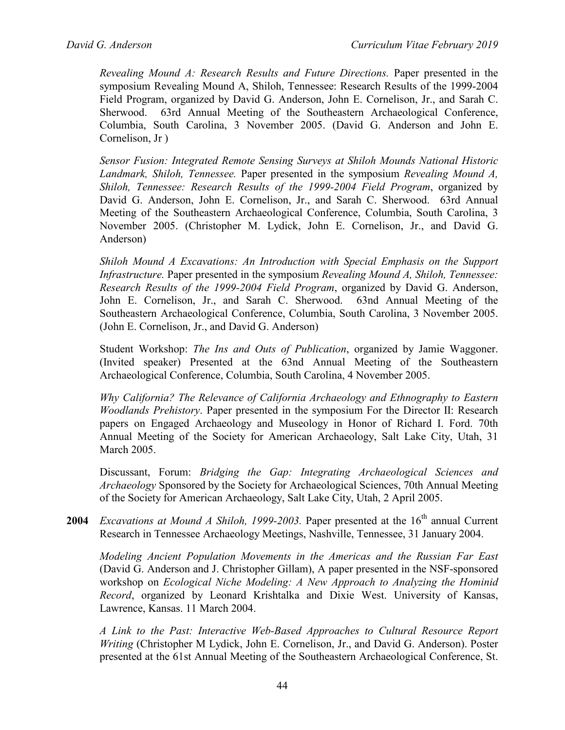*Revealing Mound A: Research Results and Future Directions.* Paper presented in the symposium Revealing Mound A, Shiloh, Tennessee: Research Results of the 1999-2004 Field Program, organized by David G. Anderson, John E. Cornelison, Jr., and Sarah C. Sherwood. 63rd Annual Meeting of the Southeastern Archaeological Conference, Columbia, South Carolina, 3 November 2005. (David G. Anderson and John E. Cornelison, Jr )

*Sensor Fusion: Integrated Remote Sensing Surveys at Shiloh Mounds National Historic Landmark, Shiloh, Tennessee.* Paper presented in the symposium *Revealing Mound A, Shiloh, Tennessee: Research Results of the 1999-2004 Field Program*, organized by David G. Anderson, John E. Cornelison, Jr., and Sarah C. Sherwood. 63rd Annual Meeting of the Southeastern Archaeological Conference, Columbia, South Carolina, 3 November 2005. (Christopher M. Lydick, John E. Cornelison, Jr., and David G. Anderson)

*Shiloh Mound A Excavations: An Introduction with Special Emphasis on the Support Infrastructure.* Paper presented in the symposium *Revealing Mound A, Shiloh, Tennessee: Research Results of the 1999-2004 Field Program*, organized by David G. Anderson, John E. Cornelison, Jr., and Sarah C. Sherwood. 63nd Annual Meeting of the Southeastern Archaeological Conference, Columbia, South Carolina, 3 November 2005. (John E. Cornelison, Jr., and David G. Anderson)

Student Workshop: *The Ins and Outs of Publication*, organized by Jamie Waggoner. (Invited speaker) Presented at the 63nd Annual Meeting of the Southeastern Archaeological Conference, Columbia, South Carolina, 4 November 2005.

*Why California? The Relevance of California Archaeology and Ethnography to Eastern Woodlands Prehistory*. Paper presented in the symposium For the Director II: Research papers on Engaged Archaeology and Museology in Honor of Richard I. Ford. 70th Annual Meeting of the Society for American Archaeology, Salt Lake City, Utah, 31 March 2005.

Discussant, Forum: *Bridging the Gap: Integrating Archaeological Sciences and Archaeology* Sponsored by the Society for Archaeological Sciences, 70th Annual Meeting of the Society for American Archaeology, Salt Lake City, Utah, 2 April 2005.

**2004** *Excavations at Mound A Shiloh, 1999-2003*. Paper presented at the 16<sup>th</sup> annual Current Research in Tennessee Archaeology Meetings, Nashville, Tennessee, 31 January 2004.

*Modeling Ancient Population Movements in the Americas and the Russian Far East* (David G. Anderson and J. Christopher Gillam), A paper presented in the NSF-sponsored workshop on *Ecological Niche Modeling: A New Approach to Analyzing the Hominid Record*, organized by Leonard Krishtalka and Dixie West. University of Kansas, Lawrence, Kansas. 11 March 2004.

*A Link to the Past: Interactive Web-Based Approaches to Cultural Resource Report Writing* (Christopher M Lydick, John E. Cornelison, Jr., and David G. Anderson). Poster presented at the 61st Annual Meeting of the Southeastern Archaeological Conference, St.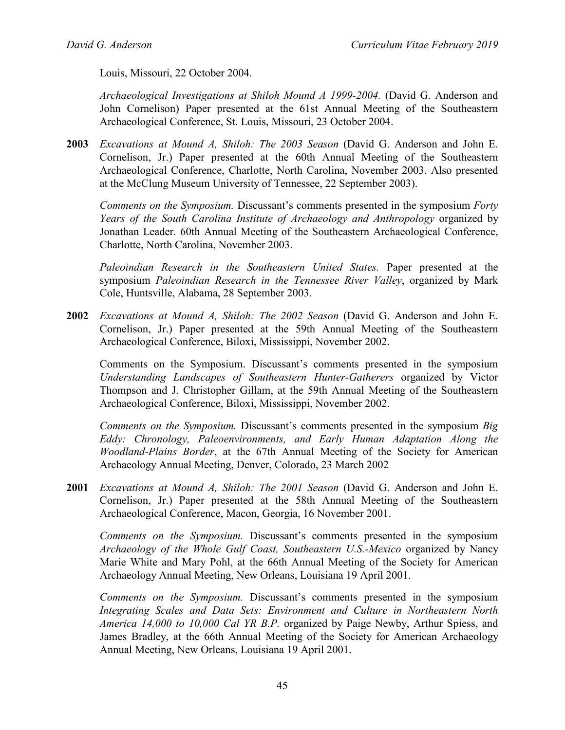Louis, Missouri, 22 October 2004.

*Archaeological Investigations at Shiloh Mound A 1999-2004.* (David G. Anderson and John Cornelison) Paper presented at the 61st Annual Meeting of the Southeastern Archaeological Conference, St. Louis, Missouri, 23 October 2004.

**2003** *Excavations at Mound A, Shiloh: The 2003 Season* (David G. Anderson and John E. Cornelison, Jr.) Paper presented at the 60th Annual Meeting of the Southeastern Archaeological Conference, Charlotte, North Carolina, November 2003. Also presented at the McClung Museum University of Tennessee, 22 September 2003).

*Comments on the Symposium.* Discussant's comments presented in the symposium *Forty Years of the South Carolina Institute of Archaeology and Anthropology* organized by Jonathan Leader. 60th Annual Meeting of the Southeastern Archaeological Conference, Charlotte, North Carolina, November 2003.

*Paleoindian Research in the Southeastern United States.* Paper presented at the symposium *Paleoindian Research in the Tennessee River Valley*, organized by Mark Cole, Huntsville, Alabama, 28 September 2003.

**2002** *Excavations at Mound A, Shiloh: The 2002 Season* (David G. Anderson and John E. Cornelison, Jr.) Paper presented at the 59th Annual Meeting of the Southeastern Archaeological Conference, Biloxi, Mississippi, November 2002.

Comments on the Symposium. Discussant's comments presented in the symposium *Understanding Landscapes of Southeastern Hunter-Gatherers* organized by Victor Thompson and J. Christopher Gillam, at the 59th Annual Meeting of the Southeastern Archaeological Conference, Biloxi, Mississippi, November 2002.

*Comments on the Symposium.* Discussant's comments presented in the symposium *Big Eddy: Chronology, Paleoenvironments, and Early Human Adaptation Along the Woodland-Plains Border*, at the 67th Annual Meeting of the Society for American Archaeology Annual Meeting, Denver, Colorado, 23 March 2002

**2001** *Excavations at Mound A, Shiloh: The 2001 Season* (David G. Anderson and John E. Cornelison, Jr.) Paper presented at the 58th Annual Meeting of the Southeastern Archaeological Conference, Macon, Georgia, 16 November 2001.

*Comments on the Symposium.* Discussant's comments presented in the symposium *Archaeology of the Whole Gulf Coast, Southeastern U.S.-Mexico* organized by Nancy Marie White and Mary Pohl, at the 66th Annual Meeting of the Society for American Archaeology Annual Meeting, New Orleans, Louisiana 19 April 2001.

*Comments on the Symposium.* Discussant's comments presented in the symposium *Integrating Scales and Data Sets: Environment and Culture in Northeastern North America 14,000 to 10,000 Cal YR B.P.* organized by Paige Newby, Arthur Spiess, and James Bradley, at the 66th Annual Meeting of the Society for American Archaeology Annual Meeting, New Orleans, Louisiana 19 April 2001.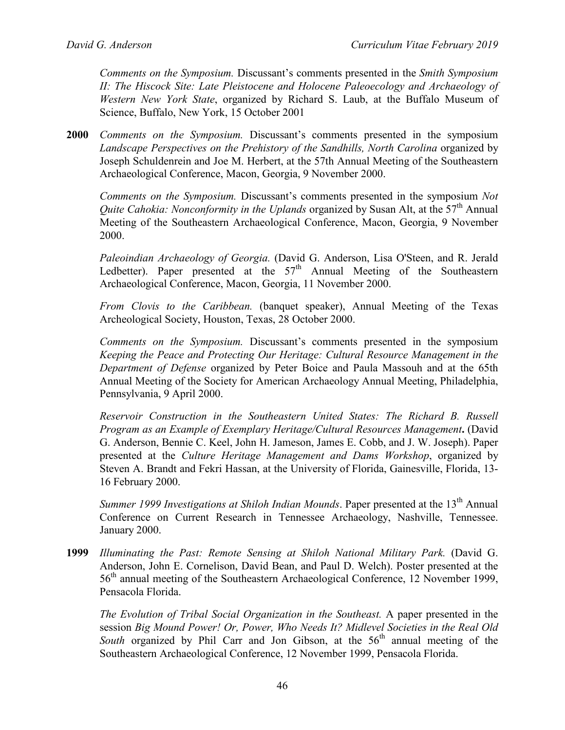*Comments on the Symposium.* Discussant's comments presented in the *Smith Symposium II: The Hiscock Site: Late Pleistocene and Holocene Paleoecology and Archaeology of Western New York State*, organized by Richard S. Laub, at the Buffalo Museum of Science, Buffalo, New York, 15 October 2001

**2000** *Comments on the Symposium.* Discussant's comments presented in the symposium *Landscape Perspectives on the Prehistory of the Sandhills, North Carolina* organized by Joseph Schuldenrein and Joe M. Herbert, at the 57th Annual Meeting of the Southeastern Archaeological Conference, Macon, Georgia, 9 November 2000.

*Comments on the Symposium.* Discussant's comments presented in the symposium *Not Quite Cahokia: Nonconformity in the Uplands* organized by Susan Alt, at the 57<sup>th</sup> Annual Meeting of the Southeastern Archaeological Conference, Macon, Georgia, 9 November 2000.

*Paleoindian Archaeology of Georgia.* (David G. Anderson, Lisa O'Steen, and R. Jerald Ledbetter). Paper presented at the  $57<sup>th</sup>$  Annual Meeting of the Southeastern Archaeological Conference, Macon, Georgia, 11 November 2000.

*From Clovis to the Caribbean.* (banquet speaker), Annual Meeting of the Texas Archeological Society, Houston, Texas, 28 October 2000.

*Comments on the Symposium.* Discussant's comments presented in the symposium *Keeping the Peace and Protecting Our Heritage: Cultural Resource Management in the Department of Defense* organized by Peter Boice and Paula Massouh and at the 65th Annual Meeting of the Society for American Archaeology Annual Meeting, Philadelphia, Pennsylvania, 9 April 2000.

*Reservoir Construction in the Southeastern United States: The Richard B. Russell Program as an Example of Exemplary Heritage/Cultural Resources Management***.** (David G. Anderson, Bennie C. Keel, John H. Jameson, James E. Cobb, and J. W. Joseph). Paper presented at the *Culture Heritage Management and Dams Workshop*, organized by Steven A. Brandt and Fekri Hassan, at the University of Florida, Gainesville, Florida, 13- 16 February 2000.

*Summer 1999 Investigations at Shiloh Indian Mounds*. Paper presented at the 13<sup>th</sup> Annual Conference on Current Research in Tennessee Archaeology, Nashville, Tennessee. January 2000.

**1999** *Illuminating the Past: Remote Sensing at Shiloh National Military Park.* (David G. Anderson, John E. Cornelison, David Bean, and Paul D. Welch). Poster presented at the 56<sup>th</sup> annual meeting of the Southeastern Archaeological Conference, 12 November 1999, Pensacola Florida.

*The Evolution of Tribal Social Organization in the Southeast.* A paper presented in the session *Big Mound Power! Or, Power, Who Needs It? Midlevel Societies in the Real Old South* organized by Phil Carr and Jon Gibson, at the  $56<sup>th</sup>$  annual meeting of the Southeastern Archaeological Conference, 12 November 1999, Pensacola Florida.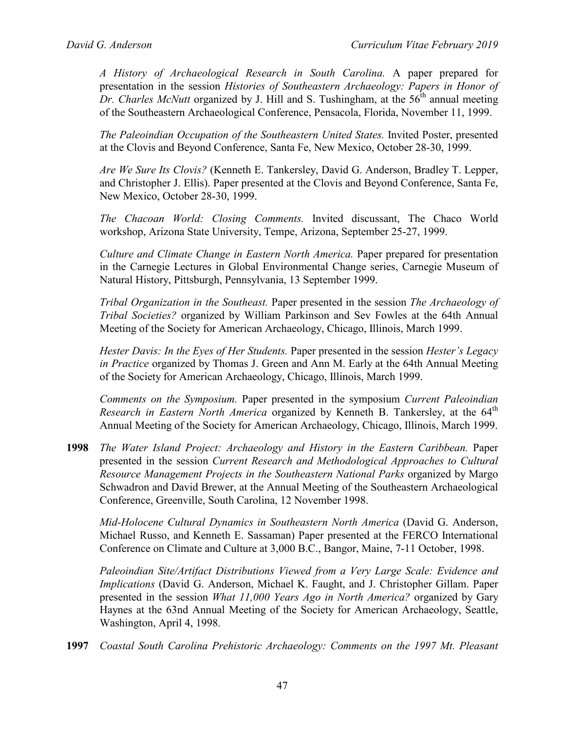*A History of Archaeological Research in South Carolina.* A paper prepared for presentation in the session *Histories of Southeastern Archaeology: Papers in Honor of Dr. Charles McNutt* organized by J. Hill and S. Tushingham, at the 56<sup>th</sup> annual meeting of the Southeastern Archaeological Conference, Pensacola, Florida, November 11, 1999.

*The Paleoindian Occupation of the Southeastern United States.* Invited Poster, presented at the Clovis and Beyond Conference, Santa Fe, New Mexico, October 28-30, 1999.

*Are We Sure Its Clovis?* (Kenneth E. Tankersley, David G. Anderson, Bradley T. Lepper, and Christopher J. Ellis). Paper presented at the Clovis and Beyond Conference, Santa Fe, New Mexico, October 28-30, 1999.

*The Chacoan World: Closing Comments.* Invited discussant, The Chaco World workshop, Arizona State University, Tempe, Arizona, September 25-27, 1999.

*Culture and Climate Change in Eastern North America.* Paper prepared for presentation in the Carnegie Lectures in Global Environmental Change series, Carnegie Museum of Natural History, Pittsburgh, Pennsylvania, 13 September 1999.

*Tribal Organization in the Southeast.* Paper presented in the session *The Archaeology of Tribal Societies?* organized by William Parkinson and Sev Fowles at the 64th Annual Meeting of the Society for American Archaeology, Chicago, Illinois, March 1999.

*Hester Davis: In the Eyes of Her Students.* Paper presented in the session *Hester's Legacy in Practice* organized by Thomas J. Green and Ann M. Early at the 64th Annual Meeting of the Society for American Archaeology, Chicago, Illinois, March 1999.

*Comments on the Symposium.* Paper presented in the symposium *Current Paleoindian Research in Eastern North America* organized by Kenneth B. Tankersley, at the 64<sup>th</sup> Annual Meeting of the Society for American Archaeology, Chicago, Illinois, March 1999.

**1998** *The Water Island Project: Archaeology and History in the Eastern Caribbean.* Paper presented in the session *Current Research and Methodological Approaches to Cultural Resource Management Projects in the Southeastern National Parks* organized by Margo Schwadron and David Brewer, at the Annual Meeting of the Southeastern Archaeological Conference, Greenville, South Carolina, 12 November 1998.

*Mid-Holocene Cultural Dynamics in Southeastern North America* (David G. Anderson, Michael Russo, and Kenneth E. Sassaman) Paper presented at the FERCO International Conference on Climate and Culture at 3,000 B.C., Bangor, Maine, 7-11 October, 1998.

*Paleoindian Site/Artifact Distributions Viewed from a Very Large Scale: Evidence and Implications* (David G. Anderson, Michael K. Faught, and J. Christopher Gillam. Paper presented in the session *What 11,000 Years Ago in North America?* organized by Gary Haynes at the 63nd Annual Meeting of the Society for American Archaeology, Seattle, Washington, April 4, 1998.

**1997** *Coastal South Carolina Prehistoric Archaeology: Comments on the 1997 Mt. Pleasant*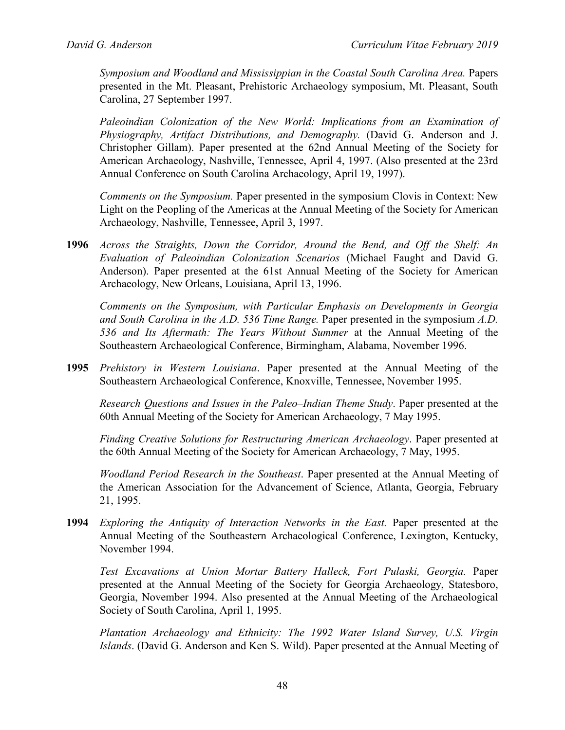*Symposium and Woodland and Mississippian in the Coastal South Carolina Area.* Papers presented in the Mt. Pleasant, Prehistoric Archaeology symposium, Mt. Pleasant, South Carolina, 27 September 1997.

Paleoindian Colonization of the New World: Implications from an Examination of *Physiography, Artifact Distributions, and Demography.* (David G. Anderson and J. Christopher Gillam). Paper presented at the 62nd Annual Meeting of the Society for American Archaeology, Nashville, Tennessee, April 4, 1997. (Also presented at the 23rd Annual Conference on South Carolina Archaeology, April 19, 1997).

*Comments on the Symposium.* Paper presented in the symposium Clovis in Context: New Light on the Peopling of the Americas at the Annual Meeting of the Society for American Archaeology, Nashville, Tennessee, April 3, 1997.

**1996** *Across the Straights, Down the Corridor, Around the Bend, and Off the Shelf: An Evaluation of Paleoindian Colonization Scenarios* (Michael Faught and David G. Anderson). Paper presented at the 61st Annual Meeting of the Society for American Archaeology, New Orleans, Louisiana, April 13, 1996.

*Comments on the Symposium, with Particular Emphasis on Developments in Georgia and South Carolina in the A.D. 536 Time Range.* Paper presented in the symposium *A.D. 536 and Its Aftermath: The Years Without Summer* at the Annual Meeting of the Southeastern Archaeological Conference, Birmingham, Alabama, November 1996.

**1995** *Prehistory in Western Louisiana*. Paper presented at the Annual Meeting of the Southeastern Archaeological Conference, Knoxville, Tennessee, November 1995.

*Research Questions and Issues in the Paleo–Indian Theme Study*. Paper presented at the 60th Annual Meeting of the Society for American Archaeology, 7 May 1995.

*Finding Creative Solutions for Restructuring American Archaeology*. Paper presented at the 60th Annual Meeting of the Society for American Archaeology, 7 May, 1995.

*Woodland Period Research in the Southeast*. Paper presented at the Annual Meeting of the American Association for the Advancement of Science, Atlanta, Georgia, February 21, 1995.

**1994** *Exploring the Antiquity of Interaction Networks in the East.* Paper presented at the Annual Meeting of the Southeastern Archaeological Conference, Lexington, Kentucky, November 1994.

*Test Excavations at Union Mortar Battery Halleck, Fort Pulaski, Georgia.* Paper presented at the Annual Meeting of the Society for Georgia Archaeology, Statesboro, Georgia, November 1994. Also presented at the Annual Meeting of the Archaeological Society of South Carolina, April 1, 1995.

*Plantation Archaeology and Ethnicity: The 1992 Water Island Survey, U.S. Virgin Islands*. (David G. Anderson and Ken S. Wild). Paper presented at the Annual Meeting of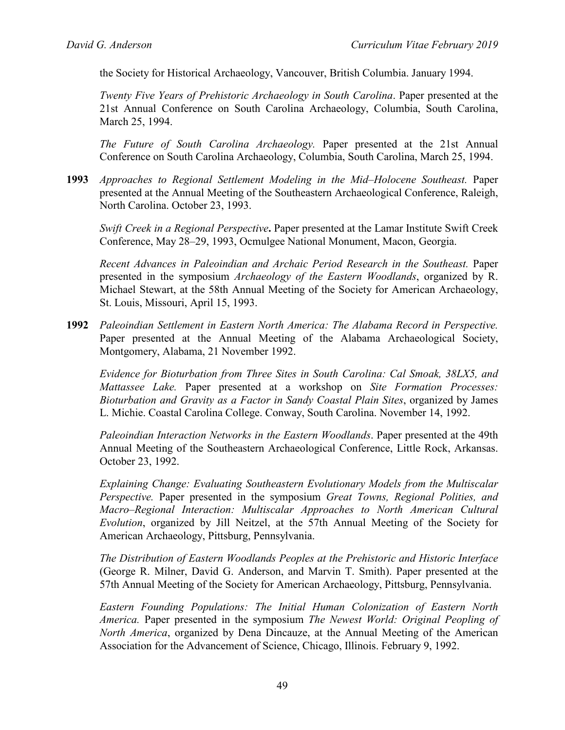the Society for Historical Archaeology, Vancouver, British Columbia. January 1994.

*Twenty Five Years of Prehistoric Archaeology in South Carolina*. Paper presented at the 21st Annual Conference on South Carolina Archaeology, Columbia, South Carolina, March 25, 1994.

*The Future of South Carolina Archaeology.* Paper presented at the 21st Annual Conference on South Carolina Archaeology, Columbia, South Carolina, March 25, 1994.

**1993** *Approaches to Regional Settlement Modeling in the Mid–Holocene Southeast.* Paper presented at the Annual Meeting of the Southeastern Archaeological Conference, Raleigh, North Carolina. October 23, 1993.

*Swift Creek in a Regional Perspective***.** Paper presented at the Lamar Institute Swift Creek Conference, May 28–29, 1993, Ocmulgee National Monument, Macon, Georgia.

*Recent Advances in Paleoindian and Archaic Period Research in the Southeast.* Paper presented in the symposium *Archaeology of the Eastern Woodlands*, organized by R. Michael Stewart, at the 58th Annual Meeting of the Society for American Archaeology, St. Louis, Missouri, April 15, 1993.

**1992** *Paleoindian Settlement in Eastern North America: The Alabama Record in Perspective.* Paper presented at the Annual Meeting of the Alabama Archaeological Society, Montgomery, Alabama, 21 November 1992.

*Evidence for Bioturbation from Three Sites in South Carolina: Cal Smoak, 38LX5, and Mattassee Lake.* Paper presented at a workshop on *Site Formation Processes: Bioturbation and Gravity as a Factor in Sandy Coastal Plain Sites*, organized by James L. Michie. Coastal Carolina College. Conway, South Carolina. November 14, 1992.

*Paleoindian Interaction Networks in the Eastern Woodlands*. Paper presented at the 49th Annual Meeting of the Southeastern Archaeological Conference, Little Rock, Arkansas. October 23, 1992.

*Explaining Change: Evaluating Southeastern Evolutionary Models from the Multiscalar Perspective.* Paper presented in the symposium *Great Towns, Regional Polities, and Macro–Regional Interaction: Multiscalar Approaches to North American Cultural Evolution*, organized by Jill Neitzel, at the 57th Annual Meeting of the Society for American Archaeology, Pittsburg, Pennsylvania.

*The Distribution of Eastern Woodlands Peoples at the Prehistoric and Historic Interface* (George R. Milner, David G. Anderson, and Marvin T. Smith). Paper presented at the 57th Annual Meeting of the Society for American Archaeology, Pittsburg, Pennsylvania.

*Eastern Founding Populations: The Initial Human Colonization of Eastern North America.* Paper presented in the symposium *The Newest World: Original Peopling of North America*, organized by Dena Dincauze, at the Annual Meeting of the American Association for the Advancement of Science, Chicago, Illinois. February 9, 1992.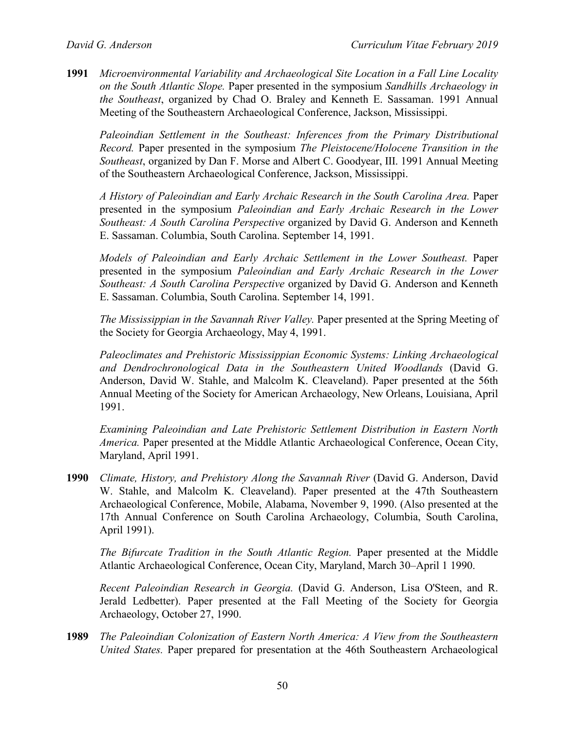**1991** *Microenvironmental Variability and Archaeological Site Location in a Fall Line Locality on the South Atlantic Slope.* Paper presented in the symposium *Sandhills Archaeology in the Southeast*, organized by Chad O. Braley and Kenneth E. Sassaman. 1991 Annual Meeting of the Southeastern Archaeological Conference, Jackson, Mississippi.

*Paleoindian Settlement in the Southeast: Inferences from the Primary Distributional Record.* Paper presented in the symposium *The Pleistocene/Holocene Transition in the Southeast*, organized by Dan F. Morse and Albert C. Goodyear, III. 1991 Annual Meeting of the Southeastern Archaeological Conference, Jackson, Mississippi.

*A History of Paleoindian and Early Archaic Research in the South Carolina Area.* Paper presented in the symposium *Paleoindian and Early Archaic Research in the Lower Southeast: A South Carolina Perspective* organized by David G. Anderson and Kenneth E. Sassaman. Columbia, South Carolina. September 14, 1991.

*Models of Paleoindian and Early Archaic Settlement in the Lower Southeast.* Paper presented in the symposium *Paleoindian and Early Archaic Research in the Lower Southeast: A South Carolina Perspective* organized by David G. Anderson and Kenneth E. Sassaman. Columbia, South Carolina. September 14, 1991.

*The Mississippian in the Savannah River Valley.* Paper presented at the Spring Meeting of the Society for Georgia Archaeology, May 4, 1991.

*Paleoclimates and Prehistoric Mississippian Economic Systems: Linking Archaeological and Dendrochronological Data in the Southeastern United Woodlands* (David G. Anderson, David W. Stahle, and Malcolm K. Cleaveland). Paper presented at the 56th Annual Meeting of the Society for American Archaeology, New Orleans, Louisiana, April 1991.

*Examining Paleoindian and Late Prehistoric Settlement Distribution in Eastern North America.* Paper presented at the Middle Atlantic Archaeological Conference, Ocean City, Maryland, April 1991.

**1990** *Climate, History, and Prehistory Along the Savannah River* (David G. Anderson, David W. Stahle, and Malcolm K. Cleaveland). Paper presented at the 47th Southeastern Archaeological Conference, Mobile, Alabama, November 9, 1990. (Also presented at the 17th Annual Conference on South Carolina Archaeology, Columbia, South Carolina, April 1991).

*The Bifurcate Tradition in the South Atlantic Region.* Paper presented at the Middle Atlantic Archaeological Conference, Ocean City, Maryland, March 30–April 1 1990.

*Recent Paleoindian Research in Georgia.* (David G. Anderson, Lisa O'Steen, and R. Jerald Ledbetter). Paper presented at the Fall Meeting of the Society for Georgia Archaeology, October 27, 1990.

**1989** *The Paleoindian Colonization of Eastern North America: A View from the Southeastern United States.* Paper prepared for presentation at the 46th Southeastern Archaeological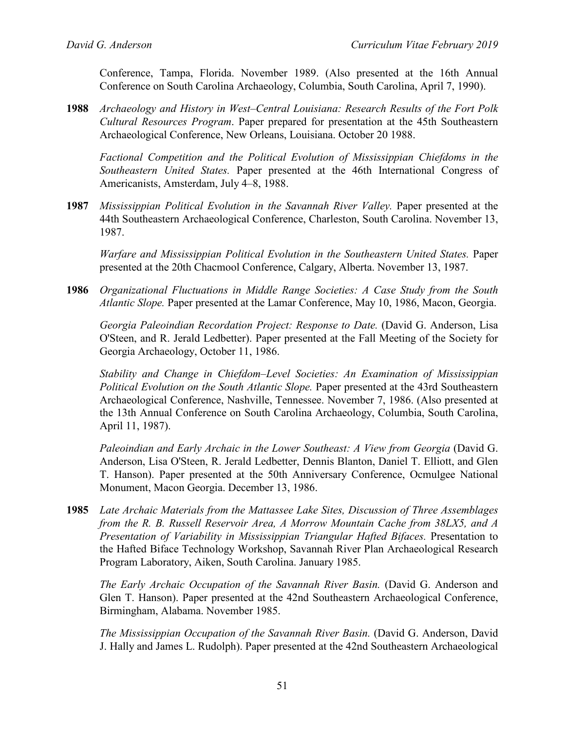Conference, Tampa, Florida. November 1989. (Also presented at the 16th Annual Conference on South Carolina Archaeology, Columbia, South Carolina, April 7, 1990).

**1988** *Archaeology and History in West–Central Louisiana: Research Results of the Fort Polk Cultural Resources Program*. Paper prepared for presentation at the 45th Southeastern Archaeological Conference, New Orleans, Louisiana. October 20 1988.

*Factional Competition and the Political Evolution of Mississippian Chiefdoms in the Southeastern United States.* Paper presented at the 46th International Congress of Americanists, Amsterdam, July 4–8, 1988.

**1987** *Mississippian Political Evolution in the Savannah River Valley.* Paper presented at the 44th Southeastern Archaeological Conference, Charleston, South Carolina. November 13, 1987.

*Warfare and Mississippian Political Evolution in the Southeastern United States.* Paper presented at the 20th Chacmool Conference, Calgary, Alberta. November 13, 1987.

**1986** *Organizational Fluctuations in Middle Range Societies: A Case Study from the South Atlantic Slope.* Paper presented at the Lamar Conference, May 10, 1986, Macon, Georgia.

*Georgia Paleoindian Recordation Project: Response to Date.* (David G. Anderson, Lisa O'Steen, and R. Jerald Ledbetter). Paper presented at the Fall Meeting of the Society for Georgia Archaeology, October 11, 1986.

*Stability and Change in Chiefdom–Level Societies: An Examination of Mississippian Political Evolution on the South Atlantic Slope.* Paper presented at the 43rd Southeastern Archaeological Conference, Nashville, Tennessee. November 7, 1986. (Also presented at the 13th Annual Conference on South Carolina Archaeology, Columbia, South Carolina, April 11, 1987).

*Paleoindian and Early Archaic in the Lower Southeast: A View from Georgia* (David G. Anderson, Lisa O'Steen, R. Jerald Ledbetter, Dennis Blanton, Daniel T. Elliott, and Glen T. Hanson). Paper presented at the 50th Anniversary Conference, Ocmulgee National Monument, Macon Georgia. December 13, 1986.

**1985** *Late Archaic Materials from the Mattassee Lake Sites, Discussion of Three Assemblages from the R. B. Russell Reservoir Area, A Morrow Mountain Cache from 38LX5, and A Presentation of Variability in Mississippian Triangular Hafted Bifaces.* Presentation to the Hafted Biface Technology Workshop, Savannah River Plan Archaeological Research Program Laboratory, Aiken, South Carolina. January 1985.

*The Early Archaic Occupation of the Savannah River Basin.* (David G. Anderson and Glen T. Hanson). Paper presented at the 42nd Southeastern Archaeological Conference, Birmingham, Alabama. November 1985.

*The Mississippian Occupation of the Savannah River Basin.* (David G. Anderson, David J. Hally and James L. Rudolph). Paper presented at the 42nd Southeastern Archaeological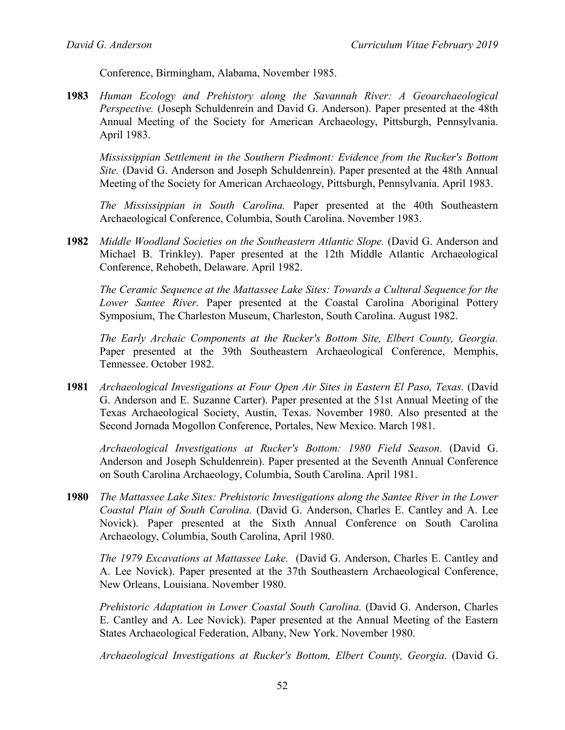Conference, Birmingham, Alabama, November 1985.

**1983** *Human Ecology and Prehistory along the Savannah River: A Geoarchaeological Perspective.* (Joseph Schuldenrein and David G. Anderson). Paper presented at the 48th Annual Meeting of the Society for American Archaeology, Pittsburgh, Pennsylvania. April 1983.

*Mississippian Settlement in the Southern Piedmont: Evidence from the Rucker's Bottom Site.* (David G. Anderson and Joseph Schuldenrein). Paper presented at the 48th Annual Meeting of the Society for American Archaeology, Pittsburgh, Pennsylvania. April 1983.

*The Mississippian in South Carolina.* Paper presented at the 40th Southeastern Archaeological Conference, Columbia, South Carolina. November 1983.

**1982** *Middle Woodland Societies on the Southeastern Atlantic Slope.* (David G. Anderson and Michael B. Trinkley). Paper presented at the 12th Middle Atlantic Archaeological Conference, Rehobeth, Delaware. April 1982.

*The Ceramic Sequence at the Mattassee Lake Sites: Towards a Cultural Sequence for the Lower Santee River.* Paper presented at the Coastal Carolina Aboriginal Pottery Symposium, The Charleston Museum, Charleston, South Carolina. August 1982.

*The Early Archaic Components at the Rucker's Bottom Site, Elbert County, Georgia.*  Paper presented at the 39th Southeastern Archaeological Conference, Memphis, Tennessee. October 1982.

**1981** *Archaeological Investigations at Four Open Air Sites in Eastern El Paso, Texas.* (David G. Anderson and E. Suzanne Carter). Paper presented at the 51st Annual Meeting of the Texas Archaeological Society, Austin, Texas. November 1980. Also presented at the Second Jornada Mogollon Conference, Portales, New Mexico. March 1981.

*Archaeological Investigations at Rucker's Bottom: 1980 Field Season.* (David G. Anderson and Joseph Schuldenrein). Paper presented at the Seventh Annual Conference on South Carolina Archaeology, Columbia, South Carolina. April 1981.

**1980** *The Mattassee Lake Sites: Prehistoric Investigations along the Santee River in the Lower Coastal Plain of South Carolina.* (David G. Anderson, Charles E. Cantley and A. Lee Novick). Paper presented at the Sixth Annual Conference on South Carolina Archaeology, Columbia, South Carolina, April 1980.

*The 1979 Excavations at Mattassee Lake.* (David G. Anderson, Charles E. Cantley and A. Lee Novick). Paper presented at the 37th Southeastern Archaeological Conference, New Orleans, Louisiana. November 1980.

*Prehistoric Adaptation in Lower Coastal South Carolina.* (David G. Anderson, Charles E. Cantley and A. Lee Novick). Paper presented at the Annual Meeting of the Eastern States Archaeological Federation, Albany, New York. November 1980.

*Archaeological Investigations at Rucker's Bottom, Elbert County, Georgia.* (David G.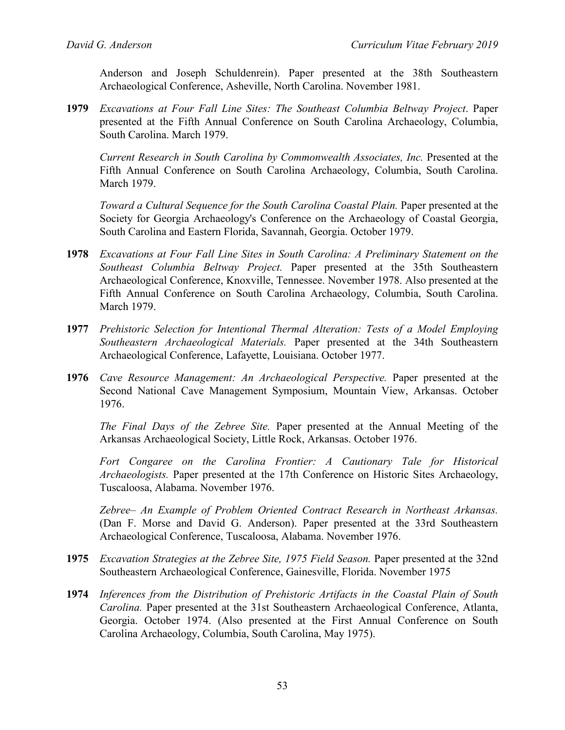Anderson and Joseph Schuldenrein). Paper presented at the 38th Southeastern Archaeological Conference, Asheville, North Carolina. November 1981.

**1979** *Excavations at Four Fall Line Sites: The Southeast Columbia Beltway Project*. Paper presented at the Fifth Annual Conference on South Carolina Archaeology, Columbia, South Carolina. March 1979.

*Current Research in South Carolina by Commonwealth Associates, Inc.* Presented at the Fifth Annual Conference on South Carolina Archaeology, Columbia, South Carolina. March 1979.

*Toward a Cultural Sequence for the South Carolina Coastal Plain.* Paper presented at the Society for Georgia Archaeology's Conference on the Archaeology of Coastal Georgia, South Carolina and Eastern Florida, Savannah, Georgia. October 1979.

- **1978** *Excavations at Four Fall Line Sites in South Carolina: A Preliminary Statement on the Southeast Columbia Beltway Project.* Paper presented at the 35th Southeastern Archaeological Conference, Knoxville, Tennessee. November 1978. Also presented at the Fifth Annual Conference on South Carolina Archaeology, Columbia, South Carolina. March 1979.
- **1977** *Prehistoric Selection for Intentional Thermal Alteration: Tests of a Model Employing Southeastern Archaeological Materials.* Paper presented at the 34th Southeastern Archaeological Conference, Lafayette, Louisiana. October 1977.
- **1976** *Cave Resource Management: An Archaeological Perspective.* Paper presented at the Second National Cave Management Symposium, Mountain View, Arkansas. October 1976.

*The Final Days of the Zebree Site.* Paper presented at the Annual Meeting of the Arkansas Archaeological Society, Little Rock, Arkansas. October 1976.

*Fort Congaree on the Carolina Frontier: A Cautionary Tale for Historical Archaeologists.* Paper presented at the 17th Conference on Historic Sites Archaeology, Tuscaloosa, Alabama. November 1976.

*Zebree– An Example of Problem Oriented Contract Research in Northeast Arkansas.*  (Dan F. Morse and David G. Anderson). Paper presented at the 33rd Southeastern Archaeological Conference, Tuscaloosa, Alabama. November 1976.

- **1975** *Excavation Strategies at the Zebree Site, 1975 Field Season.* Paper presented at the 32nd Southeastern Archaeological Conference, Gainesville, Florida. November 1975
- **1974** *Inferences from the Distribution of Prehistoric Artifacts in the Coastal Plain of South Carolina.* Paper presented at the 31st Southeastern Archaeological Conference, Atlanta, Georgia. October 1974. (Also presented at the First Annual Conference on South Carolina Archaeology, Columbia, South Carolina, May 1975).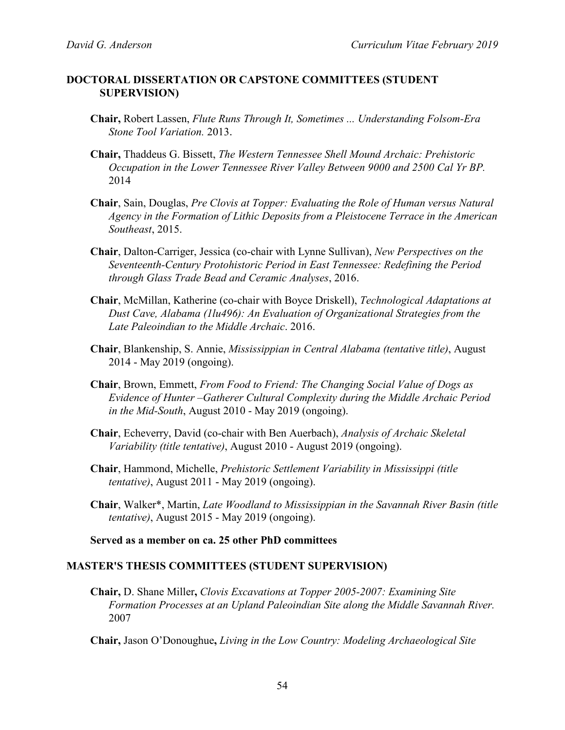#### **DOCTORAL DISSERTATION OR CAPSTONE COMMITTEES (STUDENT SUPERVISION)**

- **Chair,** Robert Lassen, *Flute Runs Through It, Sometimes ... Understanding Folsom-Era Stone Tool Variation.* 2013.
- **Chair,** Thaddeus G. Bissett, *The Western Tennessee Shell Mound Archaic: Prehistoric Occupation in the Lower Tennessee River Valley Between 9000 and 2500 Cal Yr BP.*  2014
- **Chair**, Sain, Douglas, *Pre Clovis at Topper: Evaluating the Role of Human versus Natural Agency in the Formation of Lithic Deposits from a Pleistocene Terrace in the American Southeast*, 2015.
- **Chair**, Dalton-Carriger, Jessica (co-chair with Lynne Sullivan), *New Perspectives on the Seventeenth-Century Protohistoric Period in East Tennessee: Redefining the Period through Glass Trade Bead and Ceramic Analyses*, 2016.
- **Chair**, McMillan, Katherine (co-chair with Boyce Driskell), *Technological Adaptations at Dust Cave, Alabama (1lu496): An Evaluation of Organizational Strategies from the Late Paleoindian to the Middle Archaic*. 2016.
- **Chair**, Blankenship, S. Annie, *Mississippian in Central Alabama (tentative title)*, August 2014 - May 2019 (ongoing).
- **Chair**, Brown, Emmett, *From Food to Friend: The Changing Social Value of Dogs as Evidence of Hunter –Gatherer Cultural Complexity during the Middle Archaic Period in the Mid-South*, August 2010 - May 2019 (ongoing).
- **Chair**, Echeverry, David (co-chair with Ben Auerbach), *Analysis of Archaic Skeletal Variability (title tentative)*, August 2010 - August 2019 (ongoing).
- **Chair**, Hammond, Michelle, *Prehistoric Settlement Variability in Mississippi (title tentative)*, August 2011 - May 2019 (ongoing).
- **Chair**, Walker\*, Martin, *Late Woodland to Mississippian in the Savannah River Basin (title tentative)*, August 2015 - May 2019 (ongoing).

**Served as a member on ca. 25 other PhD committees**

#### **MASTER'S THESIS COMMITTEES (STUDENT SUPERVISION)**

**Chair,** D. Shane Miller**,** *Clovis Excavations at Topper 2005-2007: Examining Site Formation Processes at an Upland Paleoindian Site along the Middle Savannah River.*  2007

**Chair,** Jason O'Donoughue**,** *Living in the Low Country: Modeling Archaeological Site*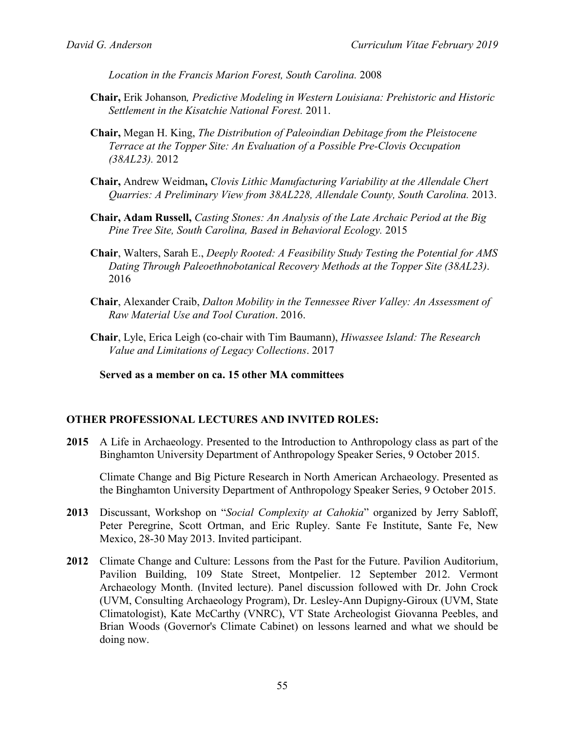*Location in the Francis Marion Forest, South Carolina.* 2008

- **Chair,** Erik Johanson*, Predictive Modeling in Western Louisiana: Prehistoric and Historic Settlement in the Kisatchie National Forest.* 2011.
- **Chair,** Megan H. King, *The Distribution of Paleoindian Debitage from the Pleistocene Terrace at the Topper Site: An Evaluation of a Possible Pre-Clovis Occupation (38AL23).* 2012
- **Chair,** Andrew Weidman**,** *Clovis Lithic Manufacturing Variability at the Allendale Chert Quarries: A Preliminary View from 38AL228, Allendale County, South Carolina.* 2013.
- **Chair, Adam Russell,** *Casting Stones: An Analysis of the Late Archaic Period at the Big Pine Tree Site, South Carolina, Based in Behavioral Ecology.* 2015
- **Chair**, Walters, Sarah E., *Deeply Rooted: A Feasibility Study Testing the Potential for AMS Dating Through Paleoethnobotanical Recovery Methods at the Topper Site (38AL23)*. 2016
- **Chair**, Alexander Craib, *Dalton Mobility in the Tennessee River Valley: An Assessment of Raw Material Use and Tool Curation*. 2016.
- **Chair**, Lyle, Erica Leigh (co-chair with Tim Baumann), *Hiwassee Island: The Research Value and Limitations of Legacy Collections*. 2017

**Served as a member on ca. 15 other MA committees**

#### **OTHER PROFESSIONAL LECTURES AND INVITED ROLES:**

**2015** A Life in Archaeology. Presented to the Introduction to Anthropology class as part of the Binghamton University Department of Anthropology Speaker Series, 9 October 2015.

Climate Change and Big Picture Research in North American Archaeology. Presented as the Binghamton University Department of Anthropology Speaker Series, 9 October 2015.

- **2013** Discussant, Workshop on "*Social Complexity at Cahokia*" organized by Jerry Sabloff, Peter Peregrine, Scott Ortman, and Eric Rupley. Sante Fe Institute, Sante Fe, New Mexico, 28-30 May 2013. Invited participant.
- **2012** Climate Change and Culture: Lessons from the Past for the Future. Pavilion Auditorium, Pavilion Building, 109 State Street, Montpelier. 12 September 2012. Vermont Archaeology Month. (Invited lecture). Panel discussion followed with Dr. John Crock (UVM, Consulting Archaeology Program), Dr. Lesley-Ann Dupigny-Giroux (UVM, State Climatologist), Kate McCarthy (VNRC), VT State Archeologist Giovanna Peebles, and Brian Woods (Governor's Climate Cabinet) on lessons learned and what we should be doing now.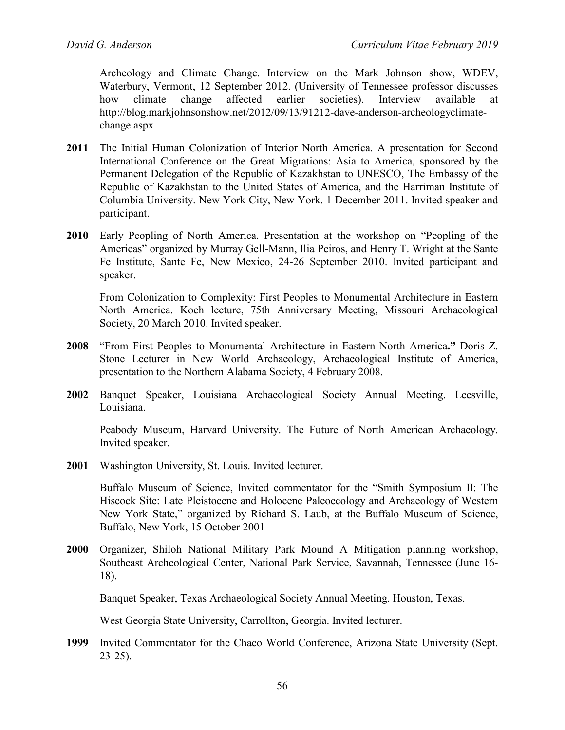Archeology and Climate Change. Interview on the Mark Johnson show, WDEV, Waterbury, Vermont, 12 September 2012. (University of Tennessee professor discusses how climate change affected earlier societies). Interview available at [http://blog.markjohnsonshow.net/2012/09/13/91212-dave-anderson-archeologyclimate](http://blog.markjohnsonshow.net/2012/09/13/91212-dave-anderson-archeologyclimate-change.aspx)[change.aspx](http://blog.markjohnsonshow.net/2012/09/13/91212-dave-anderson-archeologyclimate-change.aspx) 

- **2011** The Initial Human Colonization of Interior North America. A presentation for Second International Conference on the Great Migrations: Asia to America, sponsored by the Permanent Delegation of the Republic of Kazakhstan to UNESCO, The Embassy of the Republic of Kazakhstan to the United States of America, and the Harriman Institute of Columbia University. New York City, New York. 1 December 2011. Invited speaker and participant.
- **2010** Early Peopling of North America. Presentation at the workshop on "Peopling of the Americas" organized by Murray Gell-Mann, Ilia Peiros, and Henry T. Wright at the Sante Fe Institute, Sante Fe, New Mexico, 24-26 September 2010. Invited participant and speaker.

From Colonization to Complexity: First Peoples to Monumental Architecture in Eastern North America. Koch lecture, 75th Anniversary Meeting, Missouri Archaeological Society, 20 March 2010. Invited speaker.

- **2008** "From First Peoples to Monumental Architecture in Eastern North America**."** Doris Z. Stone Lecturer in New World Archaeology, Archaeological Institute of America, presentation to the Northern Alabama Society, 4 February 2008.
- **2002** Banquet Speaker, Louisiana Archaeological Society Annual Meeting. Leesville, Louisiana.

Peabody Museum, Harvard University. The Future of North American Archaeology. Invited speaker.

**2001** Washington University, St. Louis. Invited lecturer.

Buffalo Museum of Science, Invited commentator for the "Smith Symposium II: The Hiscock Site: Late Pleistocene and Holocene Paleoecology and Archaeology of Western New York State," organized by Richard S. Laub, at the Buffalo Museum of Science, Buffalo, New York, 15 October 2001

**2000** Organizer, Shiloh National Military Park Mound A Mitigation planning workshop, Southeast Archeological Center, National Park Service, Savannah, Tennessee (June 16- 18).

Banquet Speaker, Texas Archaeological Society Annual Meeting. Houston, Texas.

West Georgia State University, Carrollton, Georgia. Invited lecturer.

**1999** Invited Commentator for the Chaco World Conference, Arizona State University (Sept. 23-25).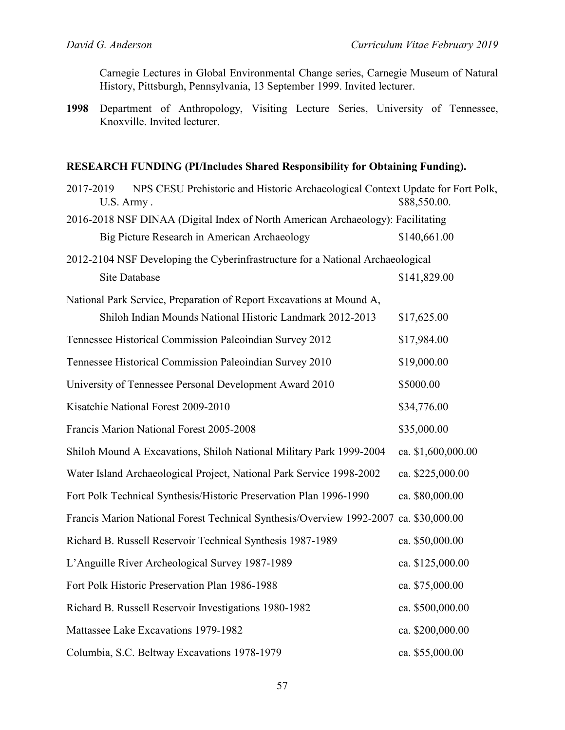Carnegie Lectures in Global Environmental Change series, Carnegie Museum of Natural History, Pittsburgh, Pennsylvania, 13 September 1999. Invited lecturer.

**1998** Department of Anthropology, Visiting Lecture Series, University of Tennessee, Knoxville. Invited lecturer.

### **RESEARCH FUNDING (PI/Includes Shared Responsibility for Obtaining Funding).**

| 2017-2019<br>NPS CESU Prehistoric and Historic Archaeological Context Update for Fort Polk,<br>U.S. Army. | \$88,550.00.     |  |  |
|-----------------------------------------------------------------------------------------------------------|------------------|--|--|
| 2016-2018 NSF DINAA (Digital Index of North American Archaeology): Facilitating                           |                  |  |  |
| Big Picture Research in American Archaeology                                                              | \$140,661.00     |  |  |
| 2012-2104 NSF Developing the Cyberinfrastructure for a National Archaeological                            |                  |  |  |
| Site Database                                                                                             | \$141,829.00     |  |  |
| National Park Service, Preparation of Report Excavations at Mound A,                                      |                  |  |  |
| Shiloh Indian Mounds National Historic Landmark 2012-2013                                                 | \$17,625.00      |  |  |
| Tennessee Historical Commission Paleoindian Survey 2012                                                   | \$17,984.00      |  |  |
| Tennessee Historical Commission Paleoindian Survey 2010                                                   | \$19,000.00      |  |  |
| University of Tennessee Personal Development Award 2010                                                   | \$5000.00        |  |  |
| Kisatchie National Forest 2009-2010                                                                       | \$34,776.00      |  |  |
| Francis Marion National Forest 2005-2008                                                                  | \$35,000.00      |  |  |
| Shiloh Mound A Excavations, Shiloh National Military Park 1999-2004<br>ca. \$1,600,000.00                 |                  |  |  |
| Water Island Archaeological Project, National Park Service 1998-2002                                      | ca. \$225,000.00 |  |  |
| Fort Polk Technical Synthesis/Historic Preservation Plan 1996-1990                                        | ca. \$80,000.00  |  |  |
| Francis Marion National Forest Technical Synthesis/Overview 1992-2007 ca. \$30,000.00                     |                  |  |  |
| Richard B. Russell Reservoir Technical Synthesis 1987-1989                                                | ca. \$50,000.00  |  |  |
| L'Anguille River Archeological Survey 1987-1989                                                           | ca. \$125,000.00 |  |  |
| Fort Polk Historic Preservation Plan 1986-1988                                                            | ca. \$75,000.00  |  |  |
| Richard B. Russell Reservoir Investigations 1980-1982                                                     | ca. \$500,000.00 |  |  |
| Mattassee Lake Excavations 1979-1982                                                                      | ca. \$200,000.00 |  |  |
| Columbia, S.C. Beltway Excavations 1978-1979                                                              | ca. \$55,000.00  |  |  |